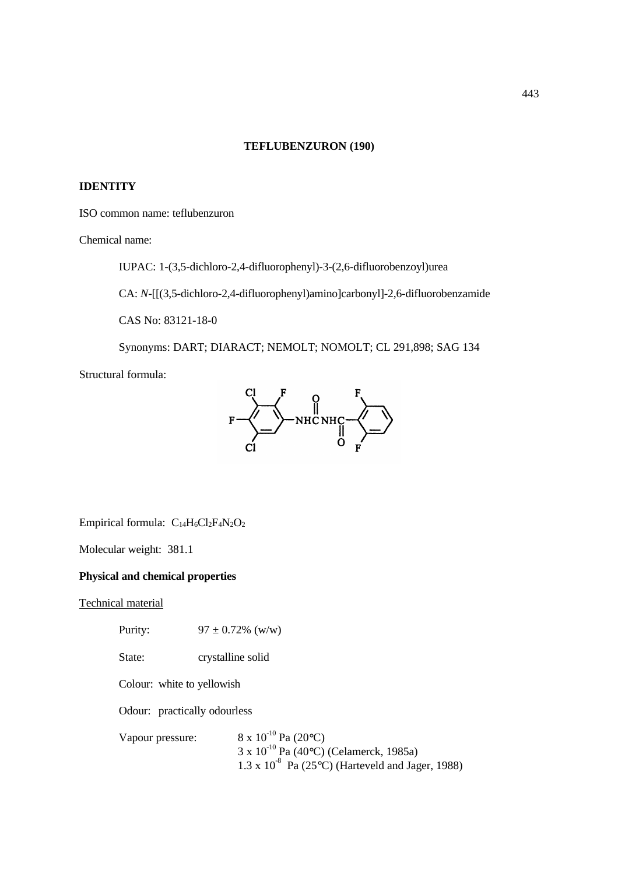# **TEFLUBENZURON (190)**

# **IDENTITY**

ISO common name: teflubenzuron

Chemical name:

IUPAC: 1-(3,5-dichloro-2,4-difluorophenyl)-3-(2,6-difluorobenzoyl)urea

CA: *N*-[[(3,5-dichloro-2,4-difluorophenyl)amino]carbonyl]-2,6-difluorobenzamide

CAS No: 83121-18-0

Synonyms: DART; DIARACT; NEMOLT; NOMOLT; CL 291,898; SAG 134

Structural formula:



Empirical formula:  $C_{14}H_6Cl_2F_4N_2O_2$ 

Molecular weight: 381.1

# **Physical and chemical properties**

Technical material

Purity:  $97 \pm 0.72\%$  (w/w) State: crystalline solid Colour: white to yellowish Odour: practically odourless Vapour pressure:  $8 \times 10^{-10}$  Pa (20 $\degree$ C)  $3 \times 10^{-10}$  Pa (40°C) (Celamerck, 1985a) 1.3 x  $10^{-8}$  Pa (25°C) (Harteveld and Jager, 1988)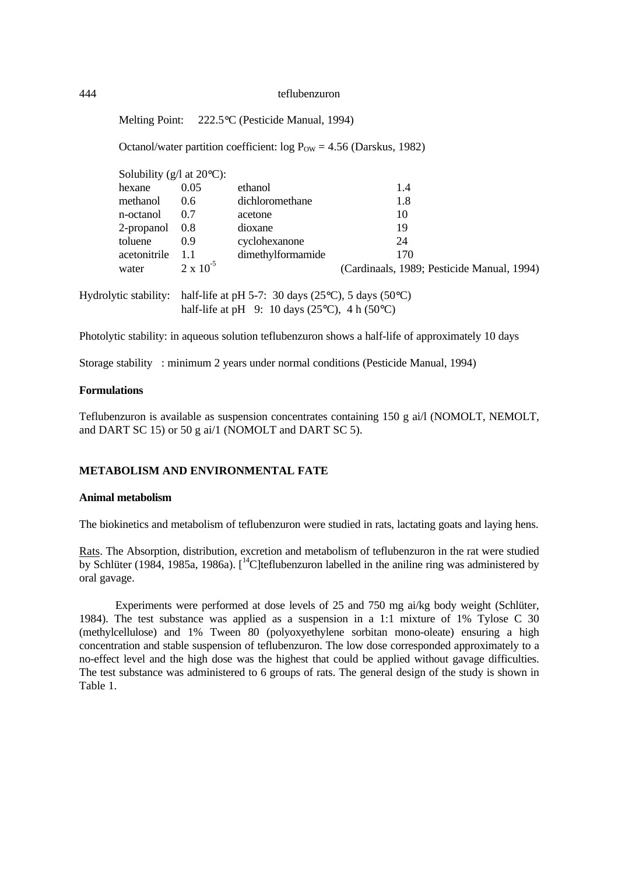Melting Point: 222.5°C (Pesticide Manual, 1994)

Octanol/water partition coefficient:  $log P_{OW} = 4.56$  (Darskus, 1982)

| Solubility ( $g/l$ at 20 $\degree$ C): |                    |                   |                                            |
|----------------------------------------|--------------------|-------------------|--------------------------------------------|
| hexane                                 | 0.05               | ethanol           | 1.4                                        |
| methanol                               | 0.6                | dichloromethane   | 1.8                                        |
| n-octanol                              | 0.7                | acetone           | 10                                         |
| 2-propanol                             | 0.8                | dioxane           | 19                                         |
| toluene                                | 0.9                | cyclohexanone     | 24                                         |
| acetonitrile                           | 1.1                | dimethylformamide | 170                                        |
| water                                  | $2 \times 10^{-5}$ |                   | (Cardinaals, 1989; Pesticide Manual, 1994) |

Hydrolytic stability: half-life at pH 5-7: 30 days (25°C), 5 days (50°C) half-life at pH 9: 10 days (25 $\degree$ C), 4 h (50 $\degree$ C)

Photolytic stability: in aqueous solution teflubenzuron shows a half-life of approximately 10 days

Storage stability : minimum 2 years under normal conditions (Pesticide Manual, 1994)

### **Formulations**

Teflubenzuron is available as suspension concentrates containing 150 g ai/l (NOMOLT, NEMOLT, and DART SC 15) or 50 g ai/1 (NOMOLT and DART SC 5).

# **METABOLISM AND ENVIRONMENTAL FATE**

# **Animal metabolism**

The biokinetics and metabolism of teflubenzuron were studied in rats, lactating goats and laying hens.

Rats. The Absorption, distribution, excretion and metabolism of teflubenzuron in the rat were studied by Schlüter (1984, 1985a, 1986a).  $\int_{0}^{14}$ C | teflubenzuron labelled in the aniline ring was administered by oral gavage.

Experiments were performed at dose levels of 25 and 750 mg ai/kg body weight (Schlüter, 1984). The test substance was applied as a suspension in a 1:1 mixture of 1% Tylose C 30 (methylcellulose) and 1% Tween 80 (polyoxyethylene sorbitan mono-oleate) ensuring a high concentration and stable suspension of teflubenzuron. The low dose corresponded approximately to a no-effect level and the high dose was the highest that could be applied without gavage difficulties. The test substance was administered to 6 groups of rats. The general design of the study is shown in Table 1.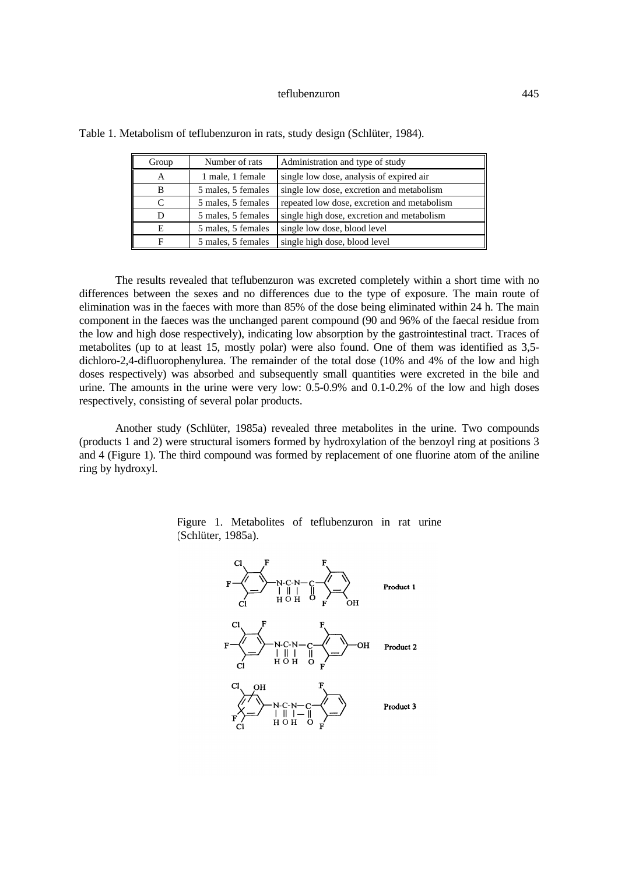| Group | Number of rats     | Administration and type of study            |
|-------|--------------------|---------------------------------------------|
|       | 1 male, 1 female   | single low dose, analysis of expired air    |
| B     | 5 males, 5 females | single low dose, excretion and metabolism   |
|       | 5 males, 5 females | repeated low dose, excretion and metabolism |
|       | 5 males, 5 females | single high dose, excretion and metabolism  |
| E     | 5 males, 5 females | single low dose, blood level                |
| F     | 5 males, 5 females | single high dose, blood level               |

Table 1. Metabolism of teflubenzuron in rats, study design (Schlüter, 1984).

The results revealed that teflubenzuron was excreted completely within a short time with no differences between the sexes and no differences due to the type of exposure. The main route of elimination was in the faeces with more than 85% of the dose being eliminated within 24 h. The main component in the faeces was the unchanged parent compound (90 and 96% of the faecal residue from the low and high dose respectively), indicating low absorption by the gastrointestinal tract. Traces of metabolites (up to at least 15, mostly polar) were also found. One of them was identified as 3,5 dichloro-2,4-difluorophenylurea. The remainder of the total dose (10% and 4% of the low and high doses respectively) was absorbed and subsequently small quantities were excreted in the bile and urine. The amounts in the urine were very low: 0.5-0.9% and 0.1-0.2% of the low and high doses respectively, consisting of several polar products.

Another study (Schlüter, 1985a) revealed three metabolites in the urine. Two compounds (products 1 and 2) were structural isomers formed by hydroxylation of the benzoyl ring at positions 3 and 4 (Figure 1). The third compound was formed by replacement of one fluorine atom of the aniline ring by hydroxyl.



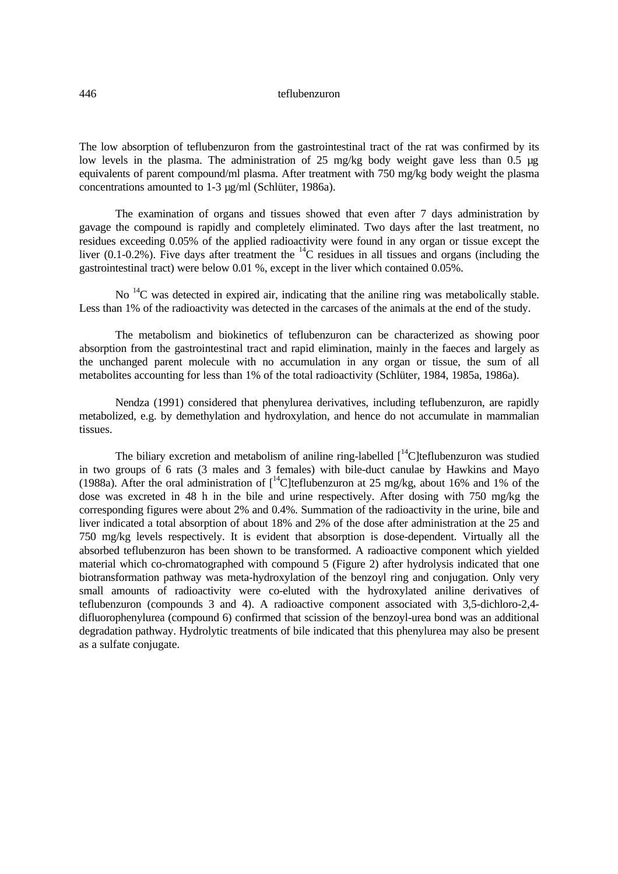The low absorption of teflubenzuron from the gastrointestinal tract of the rat was confirmed by its low levels in the plasma. The administration of 25 mg/kg body weight gave less than 0.5  $\mu$ g equivalents of parent compound/ml plasma. After treatment with 750 mg/kg body weight the plasma concentrations amounted to 1-3 µg/ml (Schlüter, 1986a).

The examination of organs and tissues showed that even after 7 days administration by gavage the compound is rapidly and completely eliminated. Two days after the last treatment, no residues exceeding 0.05% of the applied radioactivity were found in any organ or tissue except the liver (0.1-0.2%). Five days after treatment the  $^{14}$ C residues in all tissues and organs (including the gastrointestinal tract) were below 0.01 %, except in the liver which contained 0.05%.

No <sup>14</sup>C was detected in expired air, indicating that the aniline ring was metabolically stable. Less than 1% of the radioactivity was detected in the carcases of the animals at the end of the study.

The metabolism and biokinetics of teflubenzuron can be characterized as showing poor absorption from the gastrointestinal tract and rapid elimination, mainly in the faeces and largely as the unchanged parent molecule with no accumulation in any organ or tissue, the sum of all metabolites accounting for less than 1% of the total radioactivity (Schlüter, 1984, 1985a, 1986a).

Nendza (1991) considered that phenylurea derivatives, including teflubenzuron, are rapidly metabolized, e.g. by demethylation and hydroxylation, and hence do not accumulate in mammalian tissues.

The biliary excretion and metabolism of aniline ring-labelled  $\int_{0}^{14}C$ ]teflubenzuron was studied in two groups of 6 rats (3 males and 3 females) with bile-duct canulae by Hawkins and Mayo (1988a). After the oral administration of  $\int_0^{14}$ C]teflubenzuron at 25 mg/kg, about 16% and 1% of the dose was excreted in 48 h in the bile and urine respectively. After dosing with 750 mg/kg the corresponding figures were about 2% and 0.4%. Summation of the radioactivity in the urine, bile and liver indicated a total absorption of about 18% and 2% of the dose after administration at the 25 and 750 mg/kg levels respectively. It is evident that absorption is dose-dependent. Virtually all the absorbed teflubenzuron has been shown to be transformed. A radioactive component which yielded material which co-chromatographed with compound 5 (Figure 2) after hydrolysis indicated that one biotransformation pathway was meta-hydroxylation of the benzoyl ring and conjugation. Only very small amounts of radioactivity were co-eluted with the hydroxylated aniline derivatives of teflubenzuron (compounds 3 and 4). A radioactive component associated with 3,5-dichloro-2,4 difluorophenylurea (compound 6) confirmed that scission of the benzoyl-urea bond was an additional degradation pathway. Hydrolytic treatments of bile indicated that this phenylurea may also be present as a sulfate conjugate.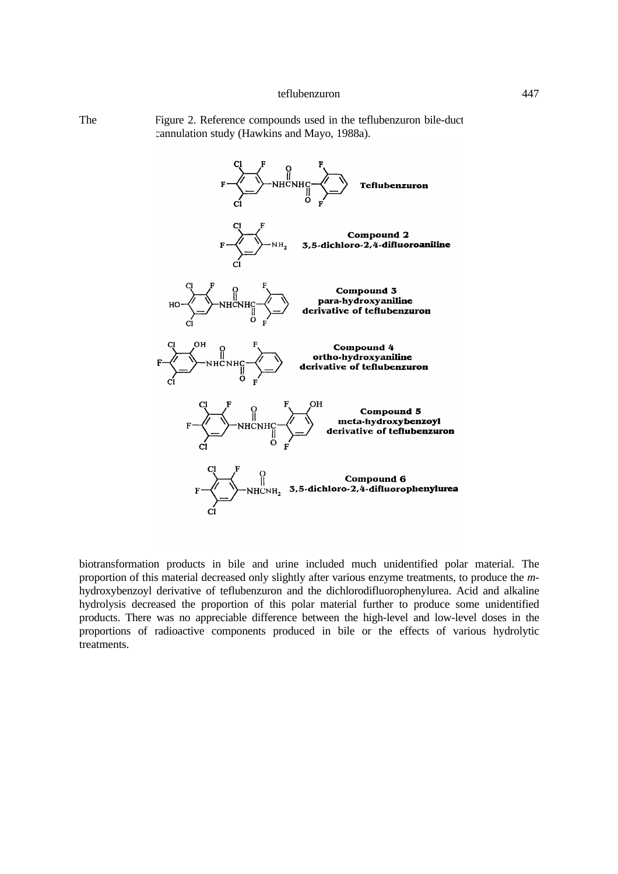The Figure 2. Reference compounds used in the teflubenzuron bile-duct cannulation study (Hawkins and Mayo, 1988a).



biotransformation products in bile and urine included much unidentified polar material. The proportion of this material decreased only slightly after various enzyme treatments, to produce the *m*hydroxybenzoyl derivative of teflubenzuron and the dichlorodifluorophenylurea. Acid and alkaline hydrolysis decreased the proportion of this polar material further to produce some unidentified products. There was no appreciable difference between the high-level and low-level doses in the proportions of radioactive components produced in bile or the effects of various hydrolytic treatments.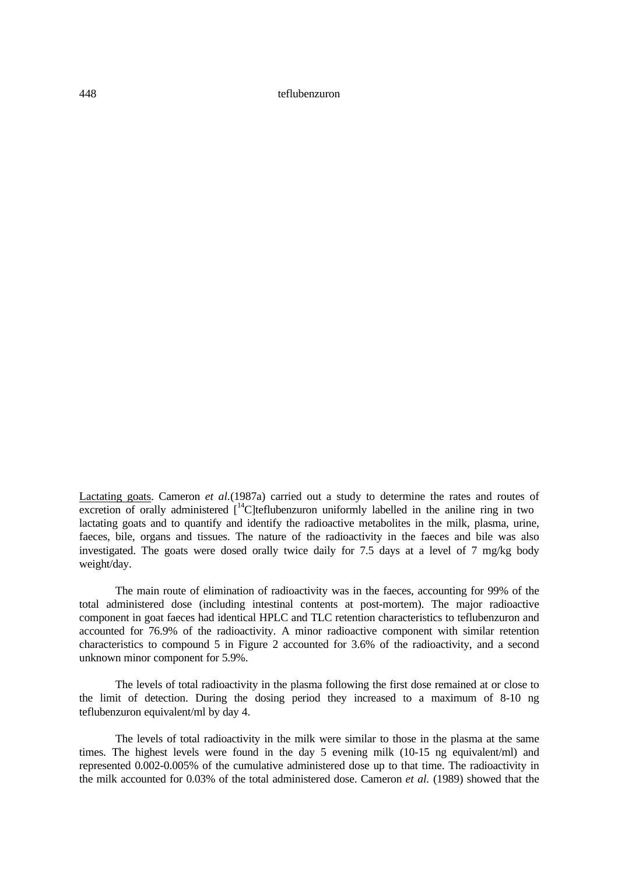Lactating goats. Cameron *et al.*(1987a) carried out a study to determine the rates and routes of excretion of orally administered  $\int_{0}^{14}$ C]teflubenzuron uniformly labelled in the aniline ring in two lactating goats and to quantify and identify the radioactive metabolites in the milk, plasma, urine, faeces, bile, organs and tissues. The nature of the radioactivity in the faeces and bile was also investigated. The goats were dosed orally twice daily for 7.5 days at a level of 7 mg/kg body weight/day.

The main route of elimination of radioactivity was in the faeces, accounting for 99% of the total administered dose (including intestinal contents at post-mortem). The major radioactive component in goat faeces had identical HPLC and TLC retention characteristics to teflubenzuron and accounted for 76.9% of the radioactivity. A minor radioactive component with similar retention characteristics to compound 5 in Figure 2 accounted for 3.6% of the radioactivity, and a second unknown minor component for 5.9%.

The levels of total radioactivity in the plasma following the first dose remained at or close to the limit of detection. During the dosing period they increased to a maximum of 8-10 ng teflubenzuron equivalent/ml by day 4.

The levels of total radioactivity in the milk were similar to those in the plasma at the same times. The highest levels were found in the day 5 evening milk (10-15 ng equivalent/ml) and represented 0.002-0.005% of the cumulative administered dose up to that time. The radioactivity in the milk accounted for 0.03% of the total administered dose. Cameron *et al.* (1989) showed that the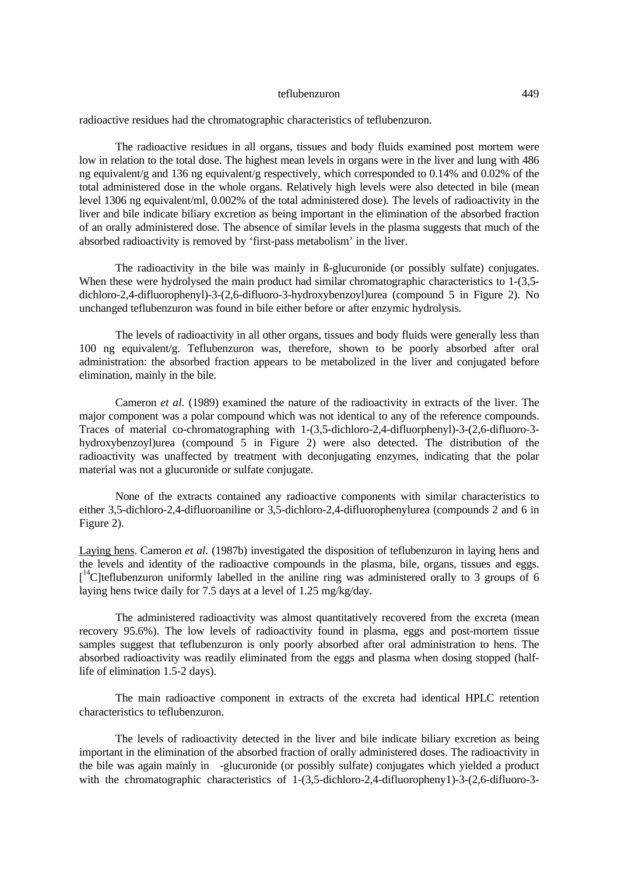radioactive residues had the chromatographic characteristics of teflubenzuron.

The radioactive residues in all organs, tissues and body fluids examined post mortem were low in relation to the total dose. The highest mean levels in organs were in the liver and lung with 486 ng equivalent/g and 136 ng equivalent/g respectively, which corresponded to 0.14% and 0.02% of the total administered dose in the whole organs. Relatively high levels were also detected in bile (mean level 1306 ng equivalent/ml, 0.002% of the total administered dose). The levels of radioactivity in the liver and bile indicate biliary excretion as being important in the elimination of the absorbed fraction of an orally administered dose. The absence of similar levels in the plasma suggests that much of the absorbed radioactivity is removed by 'first-pass metabolism' in the liver.

The radioactivity in the bile was mainly in ß-glucuronide (or possibly sulfate) conjugates. When these were hydrolysed the main product had similar chromatographic characteristics to 1-(3,5dichloro-2,4-difluorophenyl)-3-(2,6-difluoro-3-hydroxybenzoyl)urea (compound 5 in Figure 2). No unchanged teflubenzuron was found in bile either before or after enzymic hydrolysis.

The levels of radioactivity in all other organs, tissues and body fluids were generally less than 100 ng equivalent/g. Teflubenzuron was, therefore, shown to be poorly absorbed after oral administration: the absorbed fraction appears to be metabolized in the liver and conjugated before elimination, mainly in the bile.

Cameron *et al.* (1989) examined the nature of the radioactivity in extracts of the liver. The major component was a polar compound which was not identical to any of the reference compounds. Traces of material co-chromatographing with 1-(3,5-dichloro-2,4-difluorphenyl)-3-(2,6-difluoro-3 hydroxybenzoyl)urea (compound 5 in Figure 2) were also detected. The distribution of the radioactivity was unaffected by treatment with deconjugating enzymes, indicating that the polar material was not a glucuronide or sulfate conjugate.

None of the extracts contained any radioactive components with similar characteristics to either 3,5-dichloro-2,4-difluoroaniline or 3,5-dichloro-2,4-difluorophenylurea (compounds 2 and 6 in Figure 2).

Laying hens. Cameron *et al.* (1987b) investigated the disposition of teflubenzuron in laying hens and the levels and identity of the radioactive compounds in the plasma, bile, organs, tissues and eggs. [<sup>14</sup>C]teflubenzuron uniformly labelled in the aniline ring was administered orally to 3 groups of 6 laying hens twice daily for 7.5 days at a level of 1.25 mg/kg/day.

The administered radioactivity was almost quantitatively recovered from the excreta (mean recovery 95.6%). The low levels of radioactivity found in plasma, eggs and post-mortem tissue samples suggest that teflubenzuron is only poorly absorbed after oral administration to hens. The absorbed radioactivity was readily eliminated from the eggs and plasma when dosing stopped (halflife of elimination 1.5-2 days).

The main radioactive component in extracts of the excreta had identical HPLC retention characteristics to teflubenzuron.

The levels of radioactivity detected in the liver and bile indicate biliary excretion as being important in the elimination of the absorbed fraction of orally administered doses. The radioactivity in the bile was again mainly in  $\hat{a}$ -glucuronide (or possibly sulfate) conjugates which yielded a product with the chromatographic characteristics of 1-(3,5-dichloro-2,4-difluoropheny1)-3-(2,6-difluoro-3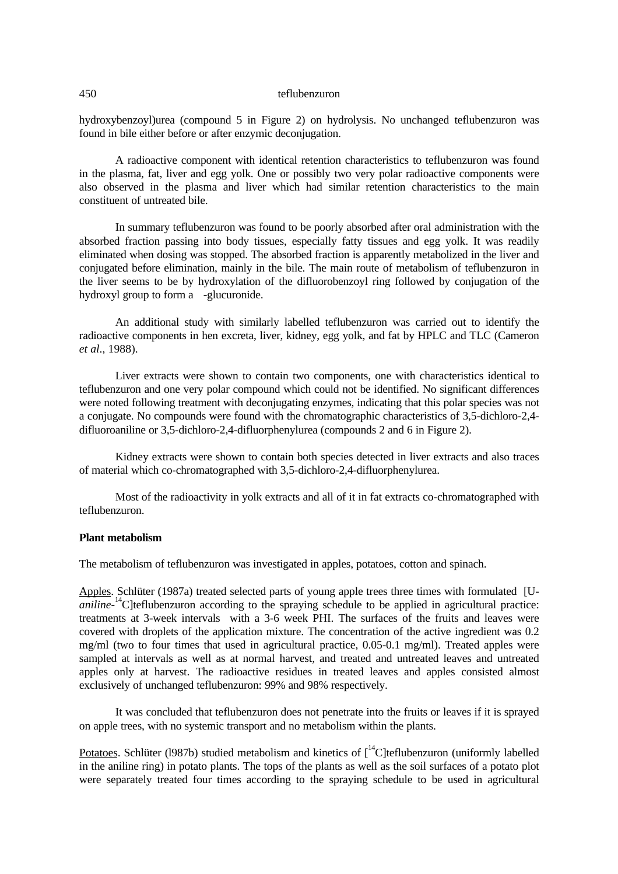hydroxybenzoyl)urea (compound 5 in Figure 2) on hydrolysis. No unchanged teflubenzuron was found in bile either before or after enzymic deconjugation.

A radioactive component with identical retention characteristics to teflubenzuron was found in the plasma, fat, liver and egg yolk. One or possibly two very polar radioactive components were also observed in the plasma and liver which had similar retention characteristics to the main constituent of untreated bile.

In summary teflubenzuron was found to be poorly absorbed after oral administration with the absorbed fraction passing into body tissues, especially fatty tissues and egg yolk. It was readily eliminated when dosing was stopped. The absorbed fraction is apparently metabolized in the liver and conjugated before elimination, mainly in the bile. The main route of metabolism of teflubenzuron in the liver seems to be by hydroxylation of the difluorobenzoyl ring followed by conjugation of the hydroxyl group to form a  $\hat{a}$ -glucuronide.

An additional study with similarly labelled teflubenzuron was carried out to identify the radioactive components in hen excreta, liver, kidney, egg yolk, and fat by HPLC and TLC (Cameron *et al*., 1988).

Liver extracts were shown to contain two components, one with characteristics identical to teflubenzuron and one very polar compound which could not be identified. No significant differences were noted following treatment with deconjugating enzymes, indicating that this polar species was not a conjugate. No compounds were found with the chromatographic characteristics of 3,5-dichloro-2,4 difluoroaniline or 3,5-dichloro-2,4-difluorphenylurea (compounds 2 and 6 in Figure 2).

Kidney extracts were shown to contain both species detected in liver extracts and also traces of material which co-chromatographed with 3,5-dichloro-2,4-difluorphenylurea.

Most of the radioactivity in yolk extracts and all of it in fat extracts co-chromatographed with teflubenzuron.

# **Plant metabolism**

The metabolism of teflubenzuron was investigated in apples, potatoes, cotton and spinach.

Apples. Schlüter (1987a) treated selected parts of young apple trees three times with formulated [U*aniline*<sup>-14</sup>C]teflubenzuron according to the spraying schedule to be applied in agricultural practice: treatments at 3-week intervals with a 3-6 week PHI. The surfaces of the fruits and leaves were covered with droplets of the application mixture. The concentration of the active ingredient was 0.2 mg/ml (two to four times that used in agricultural practice, 0.05-0.1 mg/ml). Treated apples were sampled at intervals as well as at normal harvest, and treated and untreated leaves and untreated apples only at harvest. The radioactive residues in treated leaves and apples consisted almost exclusively of unchanged teflubenzuron: 99% and 98% respectively.

It was concluded that teflubenzuron does not penetrate into the fruits or leaves if it is sprayed on apple trees, with no systemic transport and no metabolism within the plants.

Potatoes. Schlüter (1987b) studied metabolism and kinetics of  $\int_{0}^{14}C$  [teflubenzuron (uniformly labelled in the aniline ring) in potato plants. The tops of the plants as well as the soil surfaces of a potato plot were separately treated four times according to the spraying schedule to be used in agricultural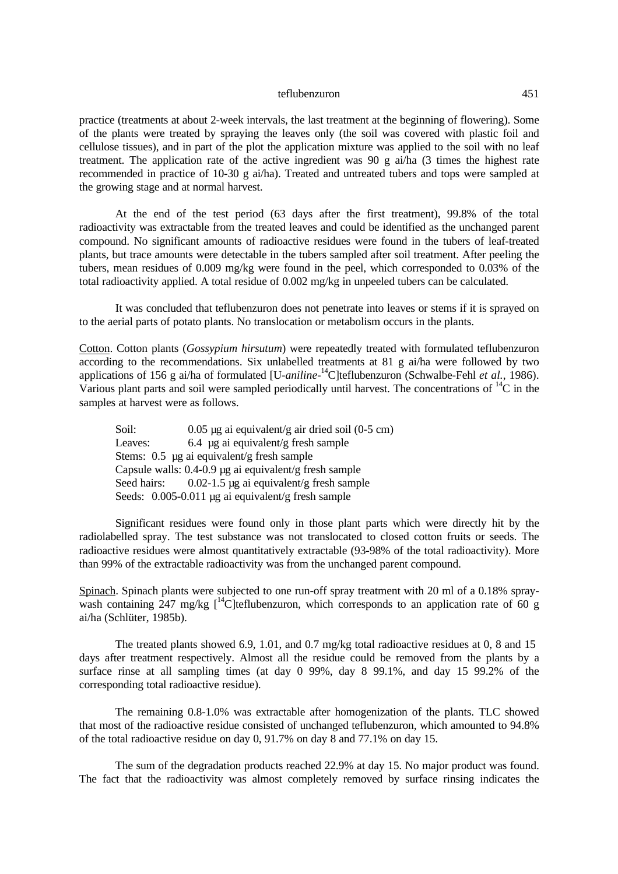practice (treatments at about 2-week intervals, the last treatment at the beginning of flowering). Some of the plants were treated by spraying the leaves only (the soil was covered with plastic foil and cellulose tissues), and in part of the plot the application mixture was applied to the soil with no leaf treatment. The application rate of the active ingredient was 90 g ai/ha (3 times the highest rate recommended in practice of 10-30 g ai/ha). Treated and untreated tubers and tops were sampled at the growing stage and at normal harvest.

At the end of the test period (63 days after the first treatment), 99.8% of the total radioactivity was extractable from the treated leaves and could be identified as the unchanged parent compound. No significant amounts of radioactive residues were found in the tubers of leaf-treated plants, but trace amounts were detectable in the tubers sampled after soil treatment. After peeling the tubers, mean residues of 0.009 mg/kg were found in the peel, which corresponded to 0.03% of the total radioactivity applied. A total residue of 0.002 mg/kg in unpeeled tubers can be calculated.

It was concluded that teflubenzuron does not penetrate into leaves or stems if it is sprayed on to the aerial parts of potato plants. No translocation or metabolism occurs in the plants.

Cotton. Cotton plants (*Gossypium hirsutum*) were repeatedly treated with formulated teflubenzuron according to the recommendations. Six unlabelled treatments at 81 g ai/ha were followed by two applications of 156 g ai/ha of formulated [U-*aniline*-<sup>14</sup>C]teflubenzuron (Schwalbe-Fehl *et al.*, 1986). Various plant parts and soil were sampled periodically until harvest. The concentrations of  ${}^{14}C$  in the samples at harvest were as follows.

| Soil:   | $0.05 \mu$ g ai equivalent/g air dried soil (0-5 cm)         |
|---------|--------------------------------------------------------------|
| Leaves: | 6.4 µg ai equivalent/g fresh sample                          |
|         | Stems: 0.5 µg ai equivalent/g fresh sample                   |
|         | Capsule walls: $0.4$ - $0.9$ µg ai equivalent/g fresh sample |
|         | Seed hairs: $0.02-1.5 \mu g$ ai equivalent/g fresh sample    |
|         | Seeds: 0.005-0.011 µg ai equivalent/g fresh sample           |

Significant residues were found only in those plant parts which were directly hit by the radiolabelled spray. The test substance was not translocated to closed cotton fruits or seeds. The radioactive residues were almost quantitatively extractable (93-98% of the total radioactivity). More than 99% of the extractable radioactivity was from the unchanged parent compound.

Spinach. Spinach plants were subjected to one run-off spray treatment with 20 ml of a 0.18% spraywash containing 247 mg/kg  $\int_{0}^{14}$ C | teflubenzuron, which corresponds to an application rate of 60 g ai/ha (Schlüter, 1985b).

The treated plants showed 6.9, 1.01, and 0.7 mg/kg total radioactive residues at 0, 8 and 15 days after treatment respectively. Almost all the residue could be removed from the plants by a surface rinse at all sampling times (at day 0 99%, day 8 99.1%, and day 15 99.2% of the corresponding total radioactive residue).

The remaining 0.8-1.0% was extractable after homogenization of the plants. TLC showed that most of the radioactive residue consisted of unchanged teflubenzuron, which amounted to 94.8% of the total radioactive residue on day 0, 91.7% on day 8 and 77.1% on day 15.

The sum of the degradation products reached 22.9% at day 15. No major product was found. The fact that the radioactivity was almost completely removed by surface rinsing indicates the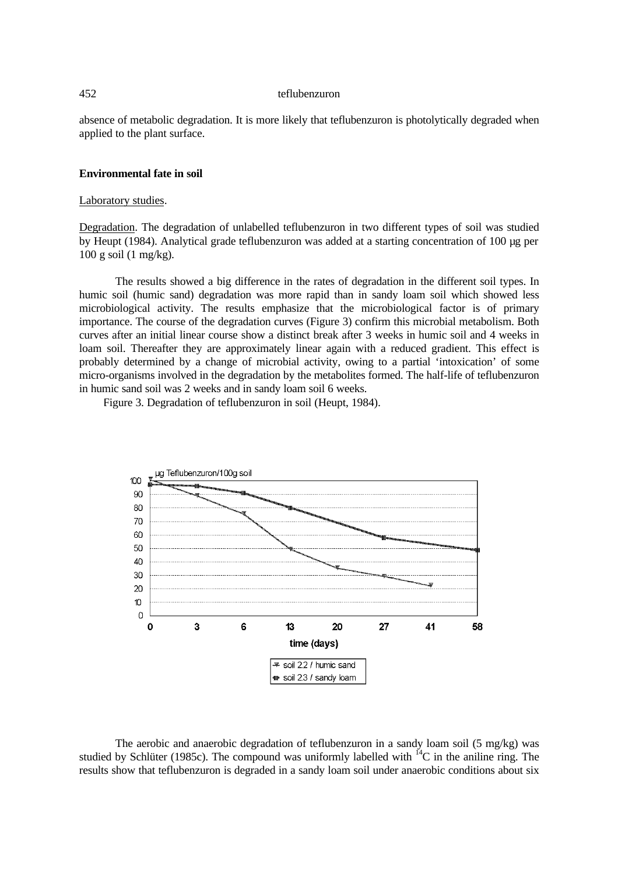absence of metabolic degradation. It is more likely that teflubenzuron is photolytically degraded when applied to the plant surface.

### **Environmental fate in soil**

### Laboratory studies.

Degradation. The degradation of unlabelled teflubenzuron in two different types of soil was studied by Heupt (1984). Analytical grade teflubenzuron was added at a starting concentration of 100 µg per 100 g soil (1 mg/kg).

The results showed a big difference in the rates of degradation in the different soil types. In humic soil (humic sand) degradation was more rapid than in sandy loam soil which showed less microbiological activity. The results emphasize that the microbiological factor is of primary importance. The course of the degradation curves (Figure 3) confirm this microbial metabolism. Both curves after an initial linear course show a distinct break after 3 weeks in humic soil and 4 weeks in loam soil. Thereafter they are approximately linear again with a reduced gradient. This effect is probably determined by a change of microbial activity, owing to a partial 'intoxication' of some micro-organisms involved in the degradation by the metabolites formed. The half-life of teflubenzuron in humic sand soil was 2 weeks and in sandy loam soil 6 weeks.

Figure 3. Degradation of teflubenzuron in soil (Heupt, 1984).



The aerobic and anaerobic degradation of teflubenzuron in a sandy loam soil (5 mg/kg) was studied by Schlüter (1985c). The compound was uniformly labelled with  ${}^{14}C$  in the aniline ring. The results show that teflubenzuron is degraded in a sandy loam soil under anaerobic conditions about six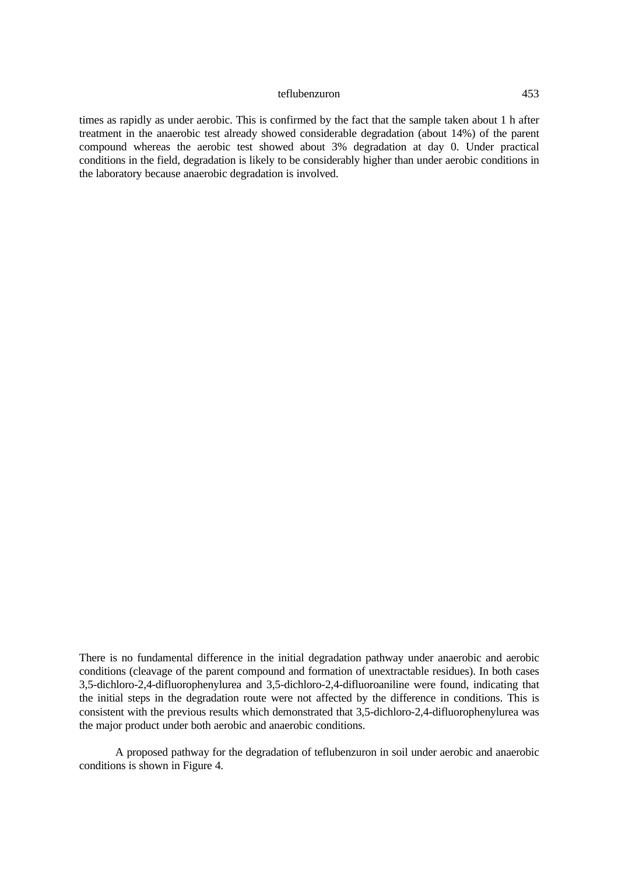times as rapidly as under aerobic. This is confirmed by the fact that the sample taken about 1 h after treatment in the anaerobic test already showed considerable degradation (about 14%) of the parent compound whereas the aerobic test showed about 3% degradation at day 0. Under practical conditions in the field, degradation is likely to be considerably higher than under aerobic conditions in the laboratory because anaerobic degradation is involved.

There is no fundamental difference in the initial degradation pathway under anaerobic and aerobic conditions (cleavage of the parent compound and formation of unextractable residues). In both cases 3,5-dichloro-2,4-difluorophenylurea and 3,5-dichloro-2,4-difluoroaniline were found, indicating that the initial steps in the degradation route were not affected by the difference in conditions. This is consistent with the previous results which demonstrated that 3,5-dichloro-2,4-difluorophenylurea was the major product under both aerobic and anaerobic conditions.

A proposed pathway for the degradation of teflubenzuron in soil under aerobic and anaerobic conditions is shown in Figure 4.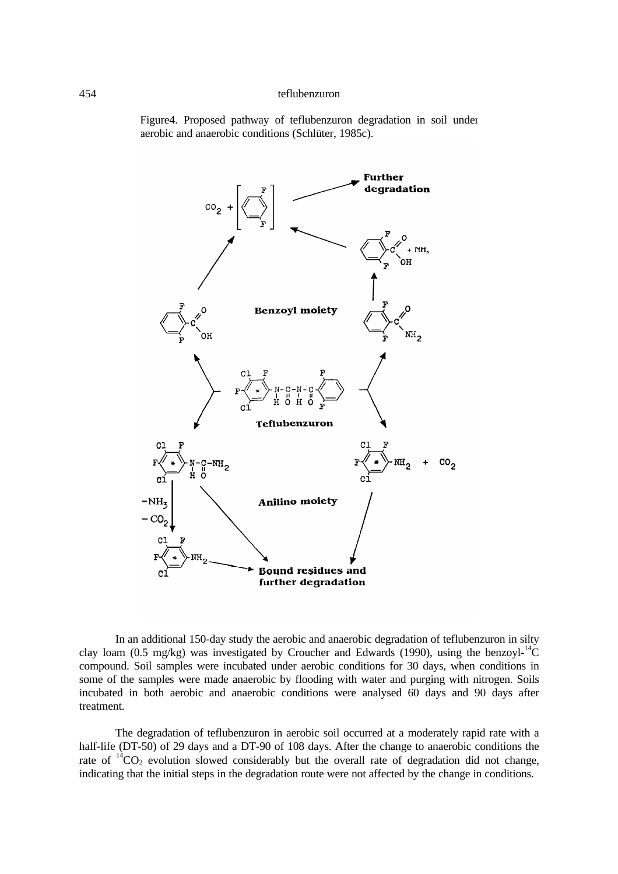Figure4. Proposed pathway of teflubenzuron degradation in soil under aerobic and anaerobic conditions (Schlüter, 1985c).



In an additional 150-day study the aerobic and anaerobic degradation of teflubenzuron in silty clay loam (0.5 mg/kg) was investigated by Croucher and Edwards (1990), using the benzoyl- $^{14}C$ compound. Soil samples were incubated under aerobic conditions for 30 days, when conditions in some of the samples were made anaerobic by flooding with water and purging with nitrogen. Soils incubated in both aerobic and anaerobic conditions were analysed 60 days and 90 days after treatment.

The degradation of teflubenzuron in aerobic soil occurred at a moderately rapid rate with a half-life (DT-50) of 29 days and a DT-90 of 108 days. After the change to anaerobic conditions the rate of  ${}^{14}CO_2$  evolution slowed considerably but the overall rate of degradation did not change, indicating that the initial steps in the degradation route were not affected by the change in conditions.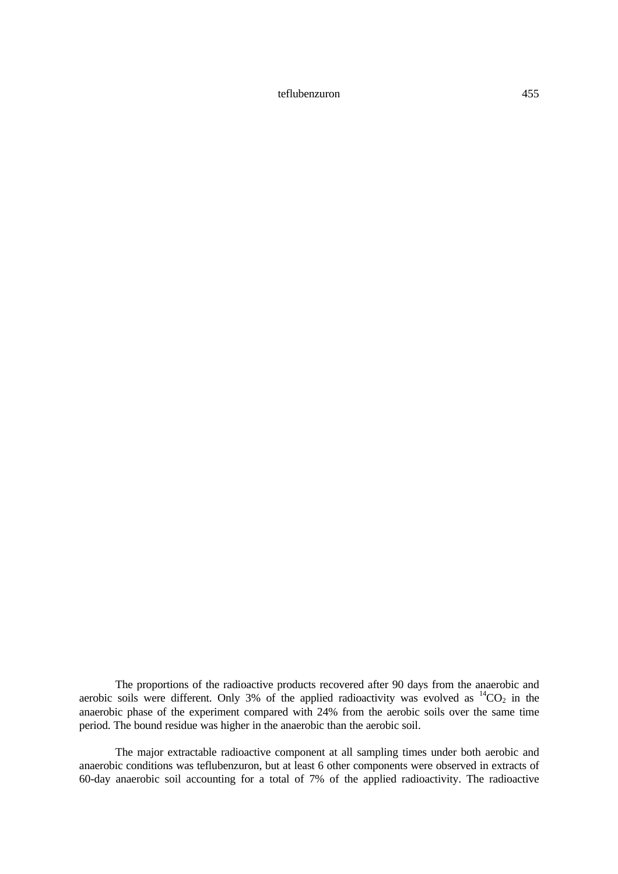The proportions of the radioactive products recovered after 90 days from the anaerobic and aerobic soils were different. Only 3% of the applied radioactivity was evolved as  ${}^{14}CO_2$  in the anaerobic phase of the experiment compared with 24% from the aerobic soils over the same time period. The bound residue was higher in the anaerobic than the aerobic soil.

The major extractable radioactive component at all sampling times under both aerobic and anaerobic conditions was teflubenzuron, but at least 6 other components were observed in extracts of 60-day anaerobic soil accounting for a total of 7% of the applied radioactivity. The radioactive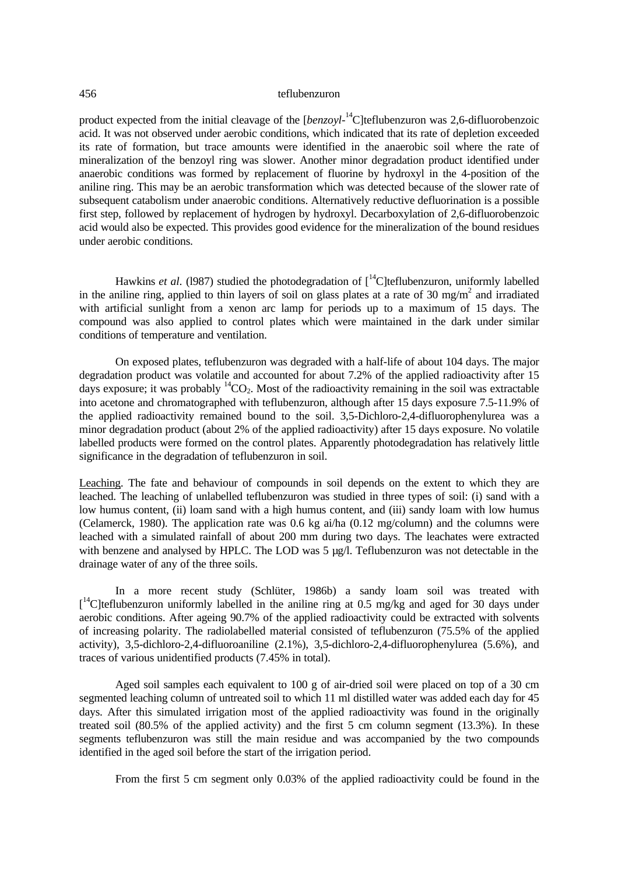product expected from the initial cleavage of the [*benzoyl*-<sup>14</sup>C]teflubenzuron was 2,6-difluorobenzoic acid. It was not observed under aerobic conditions, which indicated that its rate of depletion exceeded its rate of formation, but trace amounts were identified in the anaerobic soil where the rate of mineralization of the benzoyl ring was slower. Another minor degradation product identified under anaerobic conditions was formed by replacement of fluorine by hydroxyl in the 4-position of the aniline ring. This may be an aerobic transformation which was detected because of the slower rate of subsequent catabolism under anaerobic conditions. Alternatively reductive defluorination is a possible first step, followed by replacement of hydrogen by hydroxyl. Decarboxylation of 2,6-difluorobenzoic acid would also be expected. This provides good evidence for the mineralization of the bound residues under aerobic conditions.

Hawkins *et al.* (1987) studied the photodegradation of  $\int_{0}^{14}$ C | teflubenzuron, uniformly labelled in the aniline ring, applied to thin layers of soil on glass plates at a rate of 30 mg/m<sup>2</sup> and irradiated with artificial sunlight from a xenon arc lamp for periods up to a maximum of 15 days. The compound was also applied to control plates which were maintained in the dark under similar conditions of temperature and ventilation.

On exposed plates, teflubenzuron was degraded with a half-life of about 104 days. The major degradation product was volatile and accounted for about 7.2% of the applied radioactivity after 15 days exposure; it was probably  ${}^{14}CO_2$ . Most of the radioactivity remaining in the soil was extractable into acetone and chromatographed with teflubenzuron, although after 15 days exposure 7.5-11.9% of the applied radioactivity remained bound to the soil. 3,5-Dichloro-2,4-difluorophenylurea was a minor degradation product (about 2% of the applied radioactivity) after 15 days exposure. No volatile labelled products were formed on the control plates. Apparently photodegradation has relatively little significance in the degradation of teflubenzuron in soil.

Leaching. The fate and behaviour of compounds in soil depends on the extent to which they are leached. The leaching of unlabelled teflubenzuron was studied in three types of soil: (i) sand with a low humus content, (ii) loam sand with a high humus content, and (iii) sandy loam with low humus (Celamerck, 1980). The application rate was 0.6 kg ai/ha (0.12 mg/column) and the columns were leached with a simulated rainfall of about 200 mm during two days. The leachates were extracted with benzene and analysed by HPLC. The LOD was 5 µg/l. Teflubenzuron was not detectable in the drainage water of any of the three soils.

In a more recent study (Schlüter, 1986b) a sandy loam soil was treated with [<sup>14</sup>C]teflubenzuron uniformly labelled in the aniline ring at 0.5 mg/kg and aged for 30 days under aerobic conditions. After ageing 90.7% of the applied radioactivity could be extracted with solvents of increasing polarity. The radiolabelled material consisted of teflubenzuron (75.5% of the applied activity), 3,5-dichloro-2,4-difluoroaniline (2.1%), 3,5-dichloro-2,4-difluorophenylurea (5.6%), and traces of various unidentified products (7.45% in total).

Aged soil samples each equivalent to 100 g of air-dried soil were placed on top of a 30 cm segmented leaching column of untreated soil to which 11 ml distilled water was added each day for 45 days. After this simulated irrigation most of the applied radioactivity was found in the originally treated soil (80.5% of the applied activity) and the first 5 cm column segment (13.3%). In these segments teflubenzuron was still the main residue and was accompanied by the two compounds identified in the aged soil before the start of the irrigation period.

From the first 5 cm segment only 0.03% of the applied radioactivity could be found in the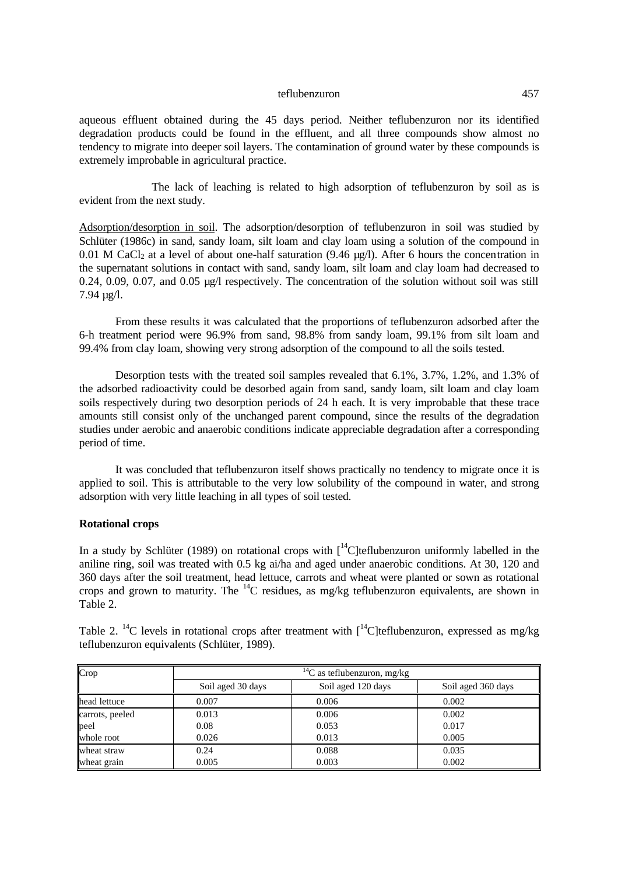aqueous effluent obtained during the 45 days period. Neither teflubenzuron nor its identified degradation products could be found in the effluent, and all three compounds show almost no tendency to migrate into deeper soil layers. The contamination of ground water by these compounds is extremely improbable in agricultural practice.

The lack of leaching is related to high adsorption of teflubenzuron by soil as is evident from the next study.

Adsorption/desorption in soil. The adsorption/desorption of teflubenzuron in soil was studied by Schlüter (1986c) in sand, sandy loam, silt loam and clay loam using a solution of the compound in 0.01 M CaCl<sub>2</sub> at a level of about one-half saturation (9.46 µg/l). After 6 hours the concentration in the supernatant solutions in contact with sand, sandy loam, silt loam and clay loam had decreased to 0.24, 0.09, 0.07, and 0.05 µg/l respectively. The concentration of the solution without soil was still 7.94 µg/l.

From these results it was calculated that the proportions of teflubenzuron adsorbed after the 6-h treatment period were 96.9% from sand, 98.8% from sandy loam, 99.1% from silt loam and 99.4% from clay loam, showing very strong adsorption of the compound to all the soils tested.

Desorption tests with the treated soil samples revealed that 6.1%, 3.7%, 1.2%, and 1.3% of the adsorbed radioactivity could be desorbed again from sand, sandy loam, silt loam and clay loam soils respectively during two desorption periods of 24 h each. It is very improbable that these trace amounts still consist only of the unchanged parent compound, since the results of the degradation studies under aerobic and anaerobic conditions indicate appreciable degradation after a corresponding period of time.

It was concluded that teflubenzuron itself shows practically no tendency to migrate once it is applied to soil. This is attributable to the very low solubility of the compound in water, and strong adsorption with very little leaching in all types of soil tested.

# **Rotational crops**

In a study by Schlüter (1989) on rotational crops with  $\int_{0}^{14}$ C | teflubenzuron uniformly labelled in the aniline ring, soil was treated with 0.5 kg ai/ha and aged under anaerobic conditions. At 30, 120 and 360 days after the soil treatment, head lettuce, carrots and wheat were planted or sown as rotational crops and grown to maturity. The  $^{14}$ C residues, as mg/kg teflubenzuron equivalents, are shown in Table 2.

Table 2. <sup>14</sup>C levels in rotational crops after treatment with  $1^{4}$ C lteflubenzuron, expressed as mg/kg teflubenzuron equivalents (Schlüter, 1989).

| Crop            | $^{14}C$ as teflubenzuron, mg/kg |                    |                    |  |  |
|-----------------|----------------------------------|--------------------|--------------------|--|--|
|                 | Soil aged 30 days                | Soil aged 120 days | Soil aged 360 days |  |  |
| head lettuce    | 0.007                            | 0.006              | 0.002              |  |  |
| carrots, peeled | 0.013                            | 0.006              | 0.002              |  |  |
| peel            | 0.08                             | 0.053              | 0.017              |  |  |
| whole root      | 0.026                            | 0.013              | 0.005              |  |  |
| wheat straw     | 0.24                             | 0.088              | 0.035              |  |  |
| wheat grain     | 0.005                            | 0.003              | 0.002              |  |  |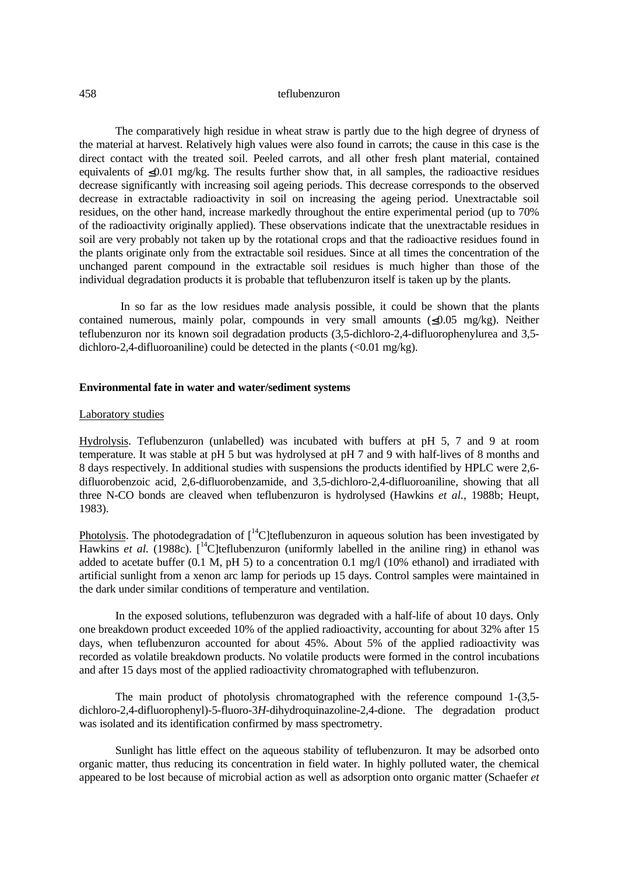The comparatively high residue in wheat straw is partly due to the high degree of dryness of the material at harvest. Relatively high values were also found in carrots; the cause in this case is the direct contact with the treated soil. Peeled carrots, and all other fresh plant material, contained equivalents of  $\leq 0.01$  mg/kg. The results further show that, in all samples, the radioactive residues decrease significantly with increasing soil ageing periods. This decrease corresponds to the observed decrease in extractable radioactivity in soil on increasing the ageing period. Unextractable soil residues, on the other hand, increase markedly throughout the entire experimental period (up to 70% of the radioactivity originally applied). These observations indicate that the unextractable residues in soil are very probably not taken up by the rotational crops and that the radioactive residues found in the plants originate only from the extractable soil residues. Since at all times the concentration of the unchanged parent compound in the extractable soil residues is much higher than those of the individual degradation products it is probable that teflubenzuron itself is taken up by the plants.

 In so far as the low residues made analysis possible, it could be shown that the plants contained numerous, mainly polar, compounds in very small amounts  $(\leq 0.05 \text{ mg/kg})$ . Neither teflubenzuron nor its known soil degradation products (3,5-dichloro-2,4-difluorophenylurea and 3,5 dichloro-2,4-difluoroaniline) could be detected in the plants  $\langle 0.01 \text{ mg/kg} \rangle$ .

#### **Environmental fate in water and water/sediment systems**

# Laboratory studies

Hydrolysis. Teflubenzuron (unlabelled) was incubated with buffers at pH 5, 7 and 9 at room temperature. It was stable at pH 5 but was hydrolysed at pH 7 and 9 with half-lives of 8 months and 8 days respectively. In additional studies with suspensions the products identified by HPLC were 2,6 difluorobenzoic acid, 2,6-difluorobenzamide, and 3,5-dichloro-2,4-difluoroaniline, showing that all three N-CO bonds are cleaved when teflubenzuron is hydrolysed (Hawkins *et al.*, 1988b; Heupt, 1983).

Photolysis. The photodegradation of  $\int_0^1 C$  teflubenzuron in aqueous solution has been investigated by Hawkins *et al.* (1988c). [<sup>14</sup>C]teflubenzuron (uniformly labelled in the aniline ring) in ethanol was added to acetate buffer (0.1 M, pH 5) to a concentration 0.1 mg/l (10% ethanol) and irradiated with artificial sunlight from a xenon arc lamp for periods up 15 days. Control samples were maintained in the dark under similar conditions of temperature and ventilation.

In the exposed solutions, teflubenzuron was degraded with a half-life of about 10 days. Only one breakdown product exceeded 10% of the applied radioactivity, accounting for about 32% after 15 days, when teflubenzuron accounted for about 45%. About 5% of the applied radioactivity was recorded as volatile breakdown products. No volatile products were formed in the control incubations and after 15 days most of the applied radioactivity chromatographed with teflubenzuron.

The main product of photolysis chromatographed with the reference compound 1-(3,5 dichloro-2,4-difluorophenyl)-5-fluoro-3*H*-dihydroquinazoline-2,4-dione. The degradation product was isolated and its identification confirmed by mass spectrometry.

Sunlight has little effect on the aqueous stability of teflubenzuron. It may be adsorbed onto organic matter, thus reducing its concentration in field water. In highly polluted water, the chemical appeared to be lost because of microbial action as well as adsorption onto organic matter (Schaefer *et*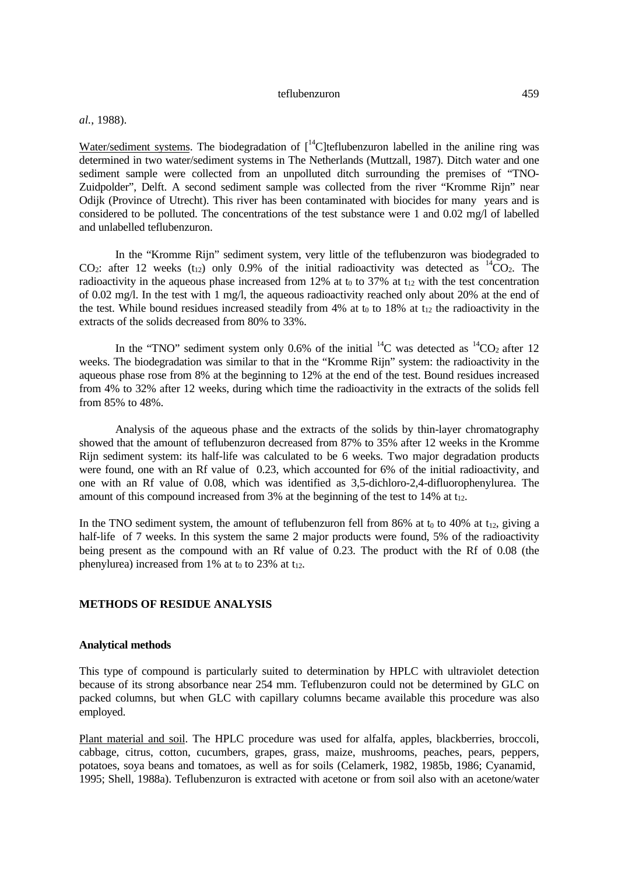### *al.*, 1988).

Water/sediment systems. The biodegradation of  $\int_{0}^{14}C$  |teflubenzuron labelled in the aniline ring was determined in two water/sediment systems in The Netherlands (Muttzall, 1987). Ditch water and one sediment sample were collected from an unpolluted ditch surrounding the premises of "TNO-Zuidpolder", Delft. A second sediment sample was collected from the river "Kromme Rijn" near Odijk (Province of Utrecht). This river has been contaminated with biocides for many years and is considered to be polluted. The concentrations of the test substance were 1 and 0.02 mg/l of labelled and unlabelled teflubenzuron.

In the "Kromme Rijn" sediment system, very little of the teflubenzuron was biodegraded to CO<sub>2</sub>: after 12 weeks (t<sub>12</sub>) only 0.9% of the initial radioactivity was detected as  ${}^{14}CO_2$ . The radioactivity in the aqueous phase increased from 12% at  $t_0$  to 37% at  $t_{12}$  with the test concentration of 0.02 mg/l. In the test with 1 mg/l, the aqueous radioactivity reached only about 20% at the end of the test. While bound residues increased steadily from 4% at  $t_0$  to 18% at  $t_{12}$  the radioactivity in the extracts of the solids decreased from 80% to 33%.

In the "TNO" sediment system only 0.6% of the initial  ${}^{14}C$  was detected as  ${}^{14}CO_2$  after 12 weeks. The biodegradation was similar to that in the "Kromme Rijn" system: the radioactivity in the aqueous phase rose from 8% at the beginning to 12% at the end of the test. Bound residues increased from 4% to 32% after 12 weeks, during which time the radioactivity in the extracts of the solids fell from 85% to 48%.

Analysis of the aqueous phase and the extracts of the solids by thin-layer chromatography showed that the amount of teflubenzuron decreased from 87% to 35% after 12 weeks in the Kromme Rijn sediment system: its half-life was calculated to be 6 weeks. Two major degradation products were found, one with an Rf value of 0.23, which accounted for 6% of the initial radioactivity, and one with an Rf value of 0.08, which was identified as 3,5-dichloro-2,4-difluorophenylurea. The amount of this compound increased from  $3\%$  at the beginning of the test to 14% at t<sub>12</sub>.

In the TNO sediment system, the amount of teflubenzuron fell from 86% at  $t_0$  to 40% at  $t_{12}$ , giving a half-life of 7 weeks. In this system the same 2 major products were found, 5% of the radioactivity being present as the compound with an Rf value of 0.23. The product with the Rf of 0.08 (the phenylurea) increased from 1% at to to 23% at  $t_{12}$ .

#### **METHODS OF RESIDUE ANALYSIS**

# **Analytical methods**

This type of compound is particularly suited to determination by HPLC with ultraviolet detection because of its strong absorbance near 254 mm. Teflubenzuron could not be determined by GLC on packed columns, but when GLC with capillary columns became available this procedure was also employed.

Plant material and soil. The HPLC procedure was used for alfalfa, apples, blackberries, broccoli, cabbage, citrus, cotton, cucumbers, grapes, grass, maize, mushrooms, peaches, pears, peppers, potatoes, soya beans and tomatoes, as well as for soils (Celamerk, 1982, 1985b, 1986; Cyanamid, 1995; Shell, 1988a). Teflubenzuron is extracted with acetone or from soil also with an acetone/water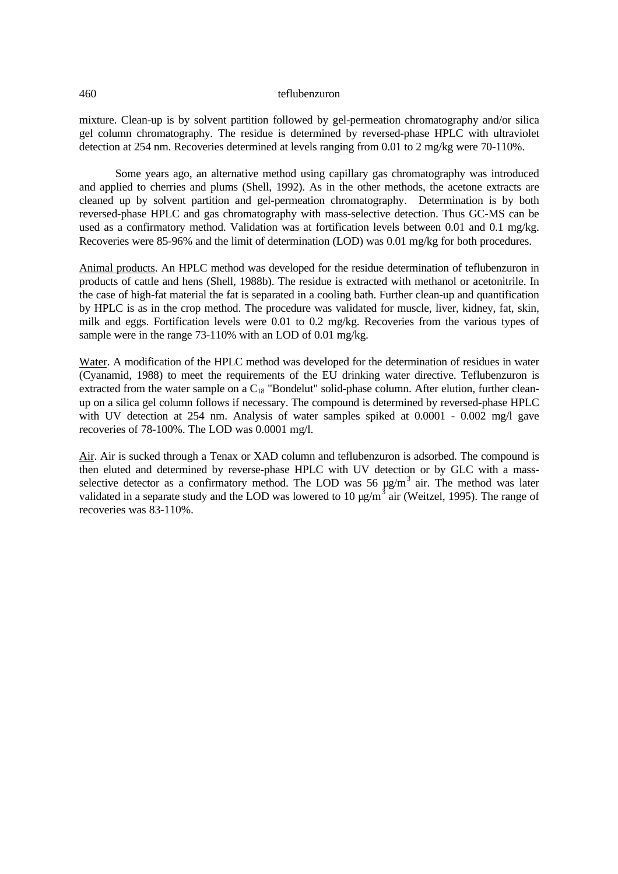mixture. Clean-up is by solvent partition followed by gel-permeation chromatography and/or silica gel column chromatography. The residue is determined by reversed-phase HPLC with ultraviolet detection at 254 nm. Recoveries determined at levels ranging from 0.01 to 2 mg/kg were 70-110%.

Some years ago, an alternative method using capillary gas chromatography was introduced and applied to cherries and plums (Shell, 1992). As in the other methods, the acetone extracts are cleaned up by solvent partition and gel-permeation chromatography. Determination is by both reversed-phase HPLC and gas chromatography with mass-selective detection. Thus GC-MS can be used as a confirmatory method. Validation was at fortification levels between 0.01 and 0.1 mg/kg. Recoveries were 85-96% and the limit of determination (LOD) was 0.01 mg/kg for both procedures.

Animal products. An HPLC method was developed for the residue determination of teflubenzuron in products of cattle and hens (Shell, 1988b). The residue is extracted with methanol or acetonitrile. In the case of high-fat material the fat is separated in a cooling bath. Further clean-up and quantification by HPLC is as in the crop method. The procedure was validated for muscle, liver, kidney, fat, skin, milk and eggs. Fortification levels were 0.01 to 0.2 mg/kg. Recoveries from the various types of sample were in the range 73-110% with an LOD of 0.01 mg/kg.

Water. A modification of the HPLC method was developed for the determination of residues in water (Cyanamid, 1988) to meet the requirements of the EU drinking water directive. Teflubenzuron is extracted from the water sample on a C18 "Bondelut" solid-phase column. After elution, further cleanup on a silica gel column follows if necessary. The compound is determined by reversed-phase HPLC with UV detection at 254 nm. Analysis of water samples spiked at 0.0001 - 0.002 mg/l gave recoveries of 78-100%. The LOD was 0.0001 mg/l.

Air. Air is sucked through a Tenax or XAD column and teflubenzuron is adsorbed. The compound is then eluted and determined by reverse-phase HPLC with UV detection or by GLC with a massselective detector as a confirmatory method. The LOD was 56  $\mu$ g/m<sup>3</sup> air. The method was later validated in a separate study and the LOD was lowered to 10  $\mu$ g/m<sup>3</sup> air (Weitzel, 1995). The range of recoveries was 83-110%.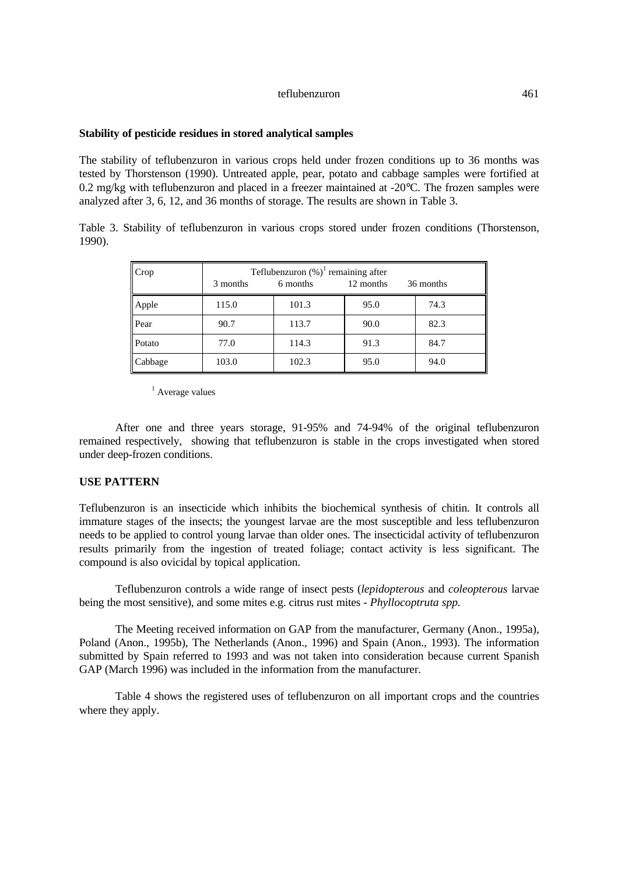#### **Stability of pesticide residues in stored analytical samples**

The stability of teflubenzuron in various crops held under frozen conditions up to 36 months was tested by Thorstenson (1990). Untreated apple, pear, potato and cabbage samples were fortified at 0.2 mg/kg with teflubenzuron and placed in a freezer maintained at -20°C. The frozen samples were analyzed after 3, 6, 12, and 36 months of storage. The results are shown in Table 3.

Table 3. Stability of teflubenzuron in various crops stored under frozen conditions (Thorstenson, 1990).

| Crop    | 3 months | Teflubenzuron $(\%)$ <sup>1</sup> remaining after<br>6 months<br>12 months<br>36 months |      |      |
|---------|----------|-----------------------------------------------------------------------------------------|------|------|
| Apple   | 115.0    | 101.3                                                                                   | 95.0 | 74.3 |
| Pear    | 90.7     | 113.7                                                                                   | 90.0 | 82.3 |
| Potato  | 77.0     | 114.3                                                                                   | 91.3 | 84.7 |
| Cabbage | 103.0    | 102.3                                                                                   | 95.0 | 94.0 |

<sup>1</sup> Average values

After one and three years storage, 91-95% and 74-94% of the original teflubenzuron remained respectively, showing that teflubenzuron is stable in the crops investigated when stored under deep-frozen conditions.

# **USE PATTERN**

Teflubenzuron is an insecticide which inhibits the biochemical synthesis of chitin. It controls all immature stages of the insects; the youngest larvae are the most susceptible and less teflubenzuron needs to be applied to control young larvae than older ones. The insecticidal activity of teflubenzuron results primarily from the ingestion of treated foliage; contact activity is less significant. The compound is also ovicidal by topical application.

Teflubenzuron controls a wide range of insect pests (*lepidopterous* and *coleopterous* larvae being the most sensitive), and some mites e.g. citrus rust mites - *Phyllocoptruta spp.*

The Meeting received information on GAP from the manufacturer, Germany (Anon., 1995a), Poland (Anon., 1995b), The Netherlands (Anon., 1996) and Spain (Anon., 1993). The information submitted by Spain referred to 1993 and was not taken into consideration because current Spanish GAP (March 1996) was included in the information from the manufacturer.

Table 4 shows the registered uses of teflubenzuron on all important crops and the countries where they apply.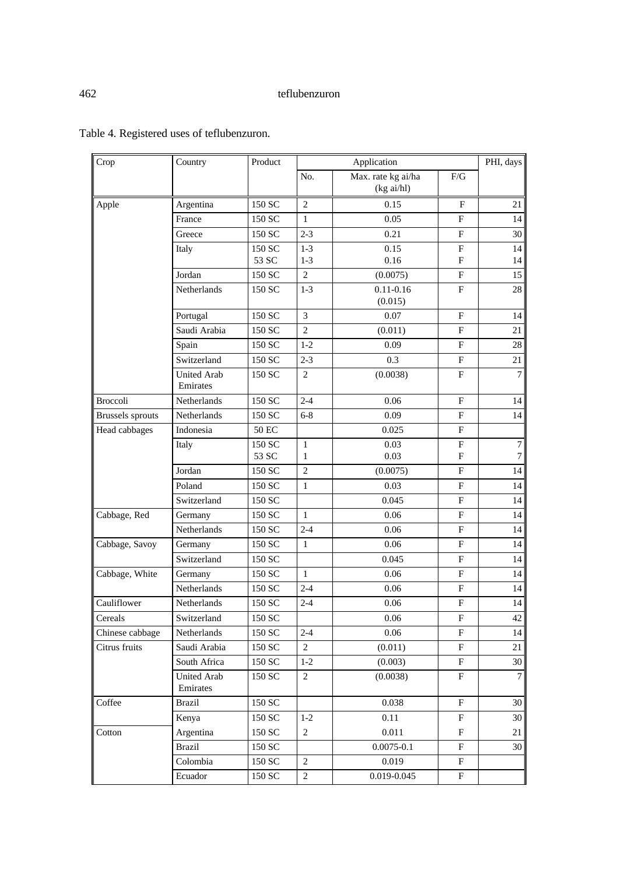| Max. rate kg ai/ha<br>No.<br>F/G<br>(kg ai/hl)<br>150 SC<br>$\overline{2}$<br>Argentina<br>0.15<br>$\mathbf{F}$<br>21<br>Apple<br>150 SC<br>0.05<br>$_{\rm F}$<br>14<br>France<br>1<br>$2 - 3$<br>Greece<br>150 SC<br>0.21<br>$_{\rm F}$<br>30<br>$1-3$<br>0.15<br>${\bf F}$<br>150 SC<br>14<br>Italy<br>53 SC<br>$1-3$<br>0.16<br>$\mathbf F$<br>14<br>Jordan<br>150 SC<br>$\sqrt{2}$<br>$_{\rm F}$<br>15<br>(0.0075)<br>28<br>Netherlands<br>$1-3$<br>$0.11 - 0.16$<br>$\mathbf{F}$<br>150 SC<br>(0.015)<br>3<br>0.07<br>$\mathbf F$<br>150 SC<br>Portugal<br>14<br>$\overline{c}$<br>Saudi Arabia<br>$_{\rm F}$<br>21<br>150 SC<br>(0.011)<br>150 SC<br>$1-2$<br>0.09<br>$\boldsymbol{\mathrm{F}}$<br>$28\,$<br>Spain<br>$2 - 3$<br>0.3<br>${\bf F}$<br>21<br>Switzerland<br>150 SC<br>$\overline{7}$<br><b>United Arab</b><br>150 SC<br>$\mathbf{2}$<br>(0.0038)<br>$_{\rm F}$<br>Emirates<br><b>Broccoli</b><br>Netherlands<br>150 SC<br>$2 - 4$<br>$_{\rm F}$<br>0.06<br>14<br>0.09<br>150 SC<br>$6 - 8$<br>$\mathbf{F}$<br>14<br><b>Brussels</b> sprouts<br>Netherlands<br>Indonesia<br>$\boldsymbol{\mathrm{F}}$<br>Head cabbages<br>50 EC<br>0.025 |
|-------------------------------------------------------------------------------------------------------------------------------------------------------------------------------------------------------------------------------------------------------------------------------------------------------------------------------------------------------------------------------------------------------------------------------------------------------------------------------------------------------------------------------------------------------------------------------------------------------------------------------------------------------------------------------------------------------------------------------------------------------------------------------------------------------------------------------------------------------------------------------------------------------------------------------------------------------------------------------------------------------------------------------------------------------------------------------------------------------------------------------------------------------------|
|                                                                                                                                                                                                                                                                                                                                                                                                                                                                                                                                                                                                                                                                                                                                                                                                                                                                                                                                                                                                                                                                                                                                                             |
|                                                                                                                                                                                                                                                                                                                                                                                                                                                                                                                                                                                                                                                                                                                                                                                                                                                                                                                                                                                                                                                                                                                                                             |
|                                                                                                                                                                                                                                                                                                                                                                                                                                                                                                                                                                                                                                                                                                                                                                                                                                                                                                                                                                                                                                                                                                                                                             |
|                                                                                                                                                                                                                                                                                                                                                                                                                                                                                                                                                                                                                                                                                                                                                                                                                                                                                                                                                                                                                                                                                                                                                             |
|                                                                                                                                                                                                                                                                                                                                                                                                                                                                                                                                                                                                                                                                                                                                                                                                                                                                                                                                                                                                                                                                                                                                                             |
|                                                                                                                                                                                                                                                                                                                                                                                                                                                                                                                                                                                                                                                                                                                                                                                                                                                                                                                                                                                                                                                                                                                                                             |
|                                                                                                                                                                                                                                                                                                                                                                                                                                                                                                                                                                                                                                                                                                                                                                                                                                                                                                                                                                                                                                                                                                                                                             |
|                                                                                                                                                                                                                                                                                                                                                                                                                                                                                                                                                                                                                                                                                                                                                                                                                                                                                                                                                                                                                                                                                                                                                             |
|                                                                                                                                                                                                                                                                                                                                                                                                                                                                                                                                                                                                                                                                                                                                                                                                                                                                                                                                                                                                                                                                                                                                                             |
|                                                                                                                                                                                                                                                                                                                                                                                                                                                                                                                                                                                                                                                                                                                                                                                                                                                                                                                                                                                                                                                                                                                                                             |
|                                                                                                                                                                                                                                                                                                                                                                                                                                                                                                                                                                                                                                                                                                                                                                                                                                                                                                                                                                                                                                                                                                                                                             |
|                                                                                                                                                                                                                                                                                                                                                                                                                                                                                                                                                                                                                                                                                                                                                                                                                                                                                                                                                                                                                                                                                                                                                             |
|                                                                                                                                                                                                                                                                                                                                                                                                                                                                                                                                                                                                                                                                                                                                                                                                                                                                                                                                                                                                                                                                                                                                                             |
|                                                                                                                                                                                                                                                                                                                                                                                                                                                                                                                                                                                                                                                                                                                                                                                                                                                                                                                                                                                                                                                                                                                                                             |
|                                                                                                                                                                                                                                                                                                                                                                                                                                                                                                                                                                                                                                                                                                                                                                                                                                                                                                                                                                                                                                                                                                                                                             |
|                                                                                                                                                                                                                                                                                                                                                                                                                                                                                                                                                                                                                                                                                                                                                                                                                                                                                                                                                                                                                                                                                                                                                             |
| $\boldsymbol{7}$<br>Italy<br>150 SC<br>0.03<br>$\boldsymbol{\mathrm{F}}$<br>$\mathbf{1}$                                                                                                                                                                                                                                                                                                                                                                                                                                                                                                                                                                                                                                                                                                                                                                                                                                                                                                                                                                                                                                                                    |
| 53 SC<br>0.03<br>$_{\rm F}$<br>$\boldsymbol{7}$<br>1                                                                                                                                                                                                                                                                                                                                                                                                                                                                                                                                                                                                                                                                                                                                                                                                                                                                                                                                                                                                                                                                                                        |
| 150 SC<br>$\mathbf{2}$<br>(0.0075)<br>$_{\rm F}$<br>14<br>Jordan                                                                                                                                                                                                                                                                                                                                                                                                                                                                                                                                                                                                                                                                                                                                                                                                                                                                                                                                                                                                                                                                                            |
| $\mathbf{1}$<br>14<br>$_{\rm F}$<br>Poland<br>150 SC<br>0.03                                                                                                                                                                                                                                                                                                                                                                                                                                                                                                                                                                                                                                                                                                                                                                                                                                                                                                                                                                                                                                                                                                |
| Switzerland<br>150 SC<br>0.045<br>$_{\rm F}$<br>14                                                                                                                                                                                                                                                                                                                                                                                                                                                                                                                                                                                                                                                                                                                                                                                                                                                                                                                                                                                                                                                                                                          |
| 0.06<br>$\boldsymbol{\mathrm{F}}$<br>14<br>Cabbage, Red<br>150 SC<br>$\mathbf{1}$<br>Germany                                                                                                                                                                                                                                                                                                                                                                                                                                                                                                                                                                                                                                                                                                                                                                                                                                                                                                                                                                                                                                                                |
| Netherlands<br>$2 - 4$<br>$_{\rm F}$<br>14<br>150 SC<br>0.06                                                                                                                                                                                                                                                                                                                                                                                                                                                                                                                                                                                                                                                                                                                                                                                                                                                                                                                                                                                                                                                                                                |
| 150 SC<br>0.06<br>$\boldsymbol{\mathrm{F}}$<br>14<br>Cabbage, Savoy<br>$\mathbf{1}$<br>Germany                                                                                                                                                                                                                                                                                                                                                                                                                                                                                                                                                                                                                                                                                                                                                                                                                                                                                                                                                                                                                                                              |
| 14<br>Switzerland<br>150 SC<br>0.045<br>$\mathbf F$                                                                                                                                                                                                                                                                                                                                                                                                                                                                                                                                                                                                                                                                                                                                                                                                                                                                                                                                                                                                                                                                                                         |
| Cabbage, White<br>150 SC<br>$_{\rm F}$<br>$\mathbf{1}$<br>0.06<br>14<br>Germany                                                                                                                                                                                                                                                                                                                                                                                                                                                                                                                                                                                                                                                                                                                                                                                                                                                                                                                                                                                                                                                                             |
| $2 - 4$<br><b>Netherlands</b><br>150 SC<br>0.06<br>F<br>14                                                                                                                                                                                                                                                                                                                                                                                                                                                                                                                                                                                                                                                                                                                                                                                                                                                                                                                                                                                                                                                                                                  |
| 14<br>Cauliflower<br>Netherlands<br>150 SC<br>$2 - 4$<br>0.06<br>$\boldsymbol{\mathrm{F}}$                                                                                                                                                                                                                                                                                                                                                                                                                                                                                                                                                                                                                                                                                                                                                                                                                                                                                                                                                                                                                                                                  |
| 42<br>$\mathbf{F}$<br>150 SC<br>Switzerland<br>0.06<br>Cereals                                                                                                                                                                                                                                                                                                                                                                                                                                                                                                                                                                                                                                                                                                                                                                                                                                                                                                                                                                                                                                                                                              |
| Chinese cabbage<br>150 SC<br>$2 - 4$<br>$0.06\,$<br>$\boldsymbol{\mathrm{F}}$<br>14<br>Netherlands                                                                                                                                                                                                                                                                                                                                                                                                                                                                                                                                                                                                                                                                                                                                                                                                                                                                                                                                                                                                                                                          |
| Citrus fruits<br>Saudi Arabia<br>150 SC<br>$\overline{c}$<br>(0.011)<br>$\boldsymbol{\mathrm{F}}$<br>$21\,$                                                                                                                                                                                                                                                                                                                                                                                                                                                                                                                                                                                                                                                                                                                                                                                                                                                                                                                                                                                                                                                 |
| South Africa<br>150 SC<br>${\bf F}$<br>30<br>$1-2$<br>(0.003)                                                                                                                                                                                                                                                                                                                                                                                                                                                                                                                                                                                                                                                                                                                                                                                                                                                                                                                                                                                                                                                                                               |
| $\overline{7}$<br><b>United Arab</b><br>$\overline{2}$<br>(0.0038)<br>150 SC<br>$_{\rm F}$<br>Emirates                                                                                                                                                                                                                                                                                                                                                                                                                                                                                                                                                                                                                                                                                                                                                                                                                                                                                                                                                                                                                                                      |
| <b>Brazil</b><br>150 SC<br>Coffee<br>0.038<br>F<br>$30\,$                                                                                                                                                                                                                                                                                                                                                                                                                                                                                                                                                                                                                                                                                                                                                                                                                                                                                                                                                                                                                                                                                                   |
| 150 SC<br>0.11<br>$\boldsymbol{\mathrm{F}}$<br>Kenya<br>$1-2$<br>30                                                                                                                                                                                                                                                                                                                                                                                                                                                                                                                                                                                                                                                                                                                                                                                                                                                                                                                                                                                                                                                                                         |
| $\overline{c}$<br>$0.011\,$<br>Argentina<br>150 SC<br>F<br>Cotton<br>21                                                                                                                                                                                                                                                                                                                                                                                                                                                                                                                                                                                                                                                                                                                                                                                                                                                                                                                                                                                                                                                                                     |
| <b>Brazil</b><br>150 SC<br>$0.0075 - 0.1$<br>F<br>$30\,$                                                                                                                                                                                                                                                                                                                                                                                                                                                                                                                                                                                                                                                                                                                                                                                                                                                                                                                                                                                                                                                                                                    |
| Colombia<br>150 SC<br>$\overline{c}$<br>0.019<br>$\boldsymbol{\mathrm{F}}$                                                                                                                                                                                                                                                                                                                                                                                                                                                                                                                                                                                                                                                                                                                                                                                                                                                                                                                                                                                                                                                                                  |
| $\overline{2}$<br>Ecuador<br>150 SC<br>0.019-0.045<br>$\mathbf F$                                                                                                                                                                                                                                                                                                                                                                                                                                                                                                                                                                                                                                                                                                                                                                                                                                                                                                                                                                                                                                                                                           |

# Table 4. Registered uses of teflubenzuron.

 $\mathbf{r}$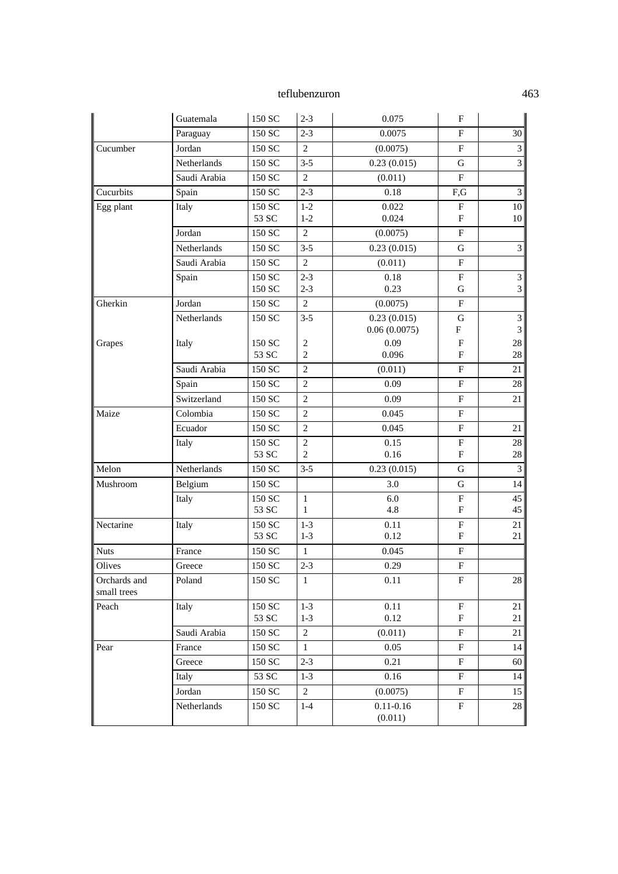|                             | Guatemala    | 150 SC          | $2 - 3$        | 0.075                       | F                                      |                                  |
|-----------------------------|--------------|-----------------|----------------|-----------------------------|----------------------------------------|----------------------------------|
|                             | Paraguay     | 150 SC          | $2 - 3$        | 0.0075                      | F                                      | 30                               |
| Cucumber                    | Jordan       | 150 SC          | 2              | (0.0075)                    | ${\bf F}$                              | $\mathfrak{Z}$                   |
|                             | Netherlands  | 150 SC          | $3 - 5$        | 0.23(0.015)                 | $\mathbf G$                            | 3                                |
|                             | Saudi Arabia | 150 SC          | $\mathfrak{2}$ | (0.011)                     | ${\bf F}$                              |                                  |
| Cucurbits                   | Spain        | 150 SC          | $2 - 3$        | 0.18                        | F,G                                    | $\ensuremath{\mathfrak{Z}}$      |
| Egg plant                   | Italy        | 150 SC          | $1-2$          | 0.022                       | ${\bf F}$                              | 10                               |
|                             |              | 53 SC           | $1-2$          | 0.024                       | ${\bf F}$                              | 10                               |
|                             | Jordan       | 150 SC          | 2              | (0.0075)                    | ${\bf F}$                              |                                  |
|                             | Netherlands  | 150 SC          | $3 - 5$        | 0.23(0.015)                 | ${\bf G}$                              | $\mathfrak{Z}$                   |
|                             | Saudi Arabia | 150 SC          | $\overline{2}$ | (0.011)                     | $\mathbf F$                            |                                  |
|                             | Spain        | 150 SC          | $2 - 3$        | 0.18                        | ${\bf F}$                              | 3                                |
|                             |              | 150 SC          | $2 - 3$        | 0.23                        | $\mathbf G$                            | 3                                |
| Gherkin                     | Jordan       | 150 SC          | 2              | (0.0075)                    | $\mathbf{F}$                           |                                  |
|                             | Netherlands  | 150 SC          | $3 - 5$        | 0.23(0.015)<br>0.06(0.0075) | G<br>$\boldsymbol{\mathrm{F}}$         | $\overline{3}$<br>$\mathfrak{Z}$ |
| Grapes                      | Italy        | 150 SC          | $\mathfrak{2}$ | 0.09                        | ${\bf F}$                              | $28\,$                           |
|                             |              | 53 SC           | $\overline{c}$ | 0.096                       | F                                      | $28\,$                           |
|                             | Saudi Arabia | 150 SC          | $\overline{2}$ | (0.011)                     | $\boldsymbol{\mathrm{F}}$              | 21                               |
|                             | Spain        | 150 SC          | $\mathfrak{2}$ | 0.09                        | $\mathbf{F}$                           | 28                               |
|                             | Switzerland  | 150 SC          | $\overline{2}$ | 0.09                        | ${\bf F}$                              | 21                               |
| Maize                       | Colombia     | 150 SC          | $\mathbf{2}$   | 0.045                       | ${\bf F}$                              |                                  |
|                             | Ecuador      | 150 SC          | $\mathfrak{2}$ | 0.045                       | ${\bf F}$                              | 21                               |
|                             | Italy        | 150 SC          | $\mathfrak{2}$ | 0.15                        | ${\bf F}$                              | $28\,$                           |
|                             |              | 53 SC           | $\overline{2}$ | 0.16                        | $\mathbf F$                            | $28\,$                           |
| Melon                       | Netherlands  | 150 SC          | $3 - 5$        | 0.23(0.015)                 | $\mathbf G$                            | $\overline{3}$                   |
| Mushroom                    | Belgium      | 150 SC          |                | 3.0                         | G                                      | 14                               |
|                             | Italy        | 150 SC          | $\mathbf{1}$   | 6.0                         | ${\bf F}$                              | 45                               |
|                             |              | 53 SC           | $\mathbf{1}$   | 4.8                         | ${\bf F}$                              | 45                               |
| Nectarine                   | Italy        | 150 SC          | $1-3$          | 0.11                        | $\mathbf F$                            | 21                               |
|                             |              | 53 SC           | $1-3$          | 0.12                        | ${\bf F}$                              | 21                               |
| <b>Nuts</b>                 | France       | 150 SC          | $\mathbf{1}$   | 0.045                       | ${\bf F}$                              |                                  |
| Olives                      | Greece       | 150 SC          | $2 - 3$        | 0.29                        | ${\bf F}$                              |                                  |
| Orchards and<br>small trees | Poland       | 150 SC          | $\mathbf{1}$   | 0.11                        | F                                      | $28\,$                           |
| Peach                       | Italy        | 150 SC<br>53 SC | $1-3$<br>$1-3$ | 0.11<br>0.12                | ${\bf F}$<br>$\boldsymbol{\mathrm{F}}$ | 21<br>21                         |
|                             | Saudi Arabia | 150 SC          | $\sqrt{2}$     | (0.011)                     | ${\bf F}$                              | 21                               |
| Pear                        | France       | 150 SC          | 1              | 0.05                        | $_{\rm F}$                             | 14                               |
|                             | Greece       | 150 SC          | $2 - 3$        | 0.21                        | $\boldsymbol{\mathrm{F}}$              | 60                               |
|                             | Italy        | 53 SC           | $1-3$          | 0.16                        | $_{\rm F}$                             | 14                               |
|                             | Jordan       | 150 SC          | $\overline{2}$ | (0.0075)                    | $\boldsymbol{\mathrm{F}}$              | 15                               |
|                             | Netherlands  | 150 SC          | $1-4$          | $0.11 - 0.16$               | $\mathbf F$                            | $28\,$                           |
|                             |              |                 |                | (0.011)                     |                                        |                                  |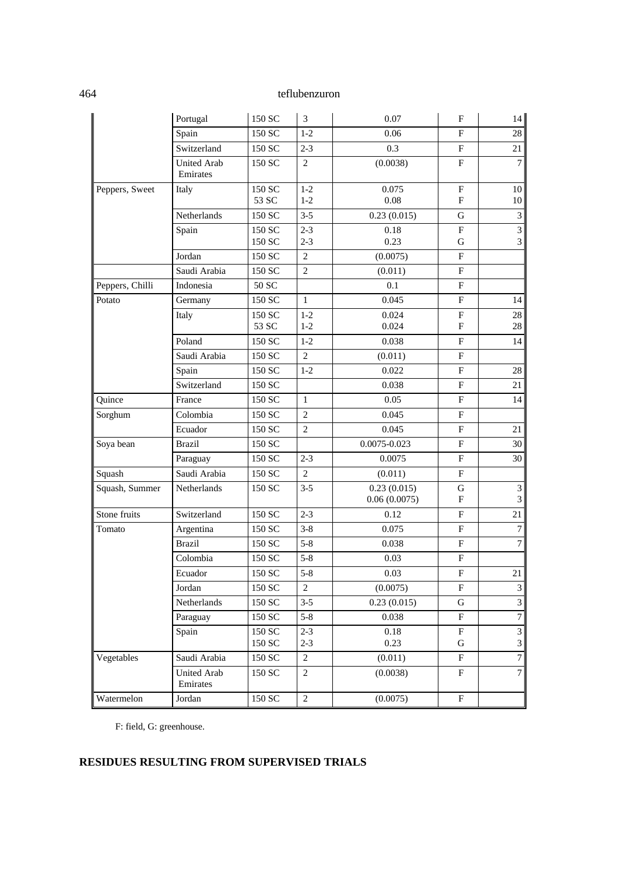|                 | Portugal                       | 150 SC          | $\mathfrak{Z}$ | 0.07                        | $\mathbf{F}$                             | 14                      |
|-----------------|--------------------------------|-----------------|----------------|-----------------------------|------------------------------------------|-------------------------|
|                 | Spain                          | 150 SC          | $1-2$          | 0.06                        | ${\bf F}$                                | $28\,$                  |
|                 | Switzerland                    | 150 SC          | $2 - 3$        | 0.3                         | $_{\rm F}$                               | 21                      |
|                 | <b>United Arab</b><br>Emirates | 150 SC          | $\overline{2}$ | (0.0038)                    | ${\bf F}$                                | $\overline{7}$          |
| Peppers, Sweet  | Italy                          | 150 SC<br>53 SC | $1-2$<br>$1-2$ | 0.075<br>$0.08\,$           | $\boldsymbol{\mathrm{F}}$<br>$\mathbf F$ | 10<br>10                |
|                 | Netherlands                    | 150 SC          | $3 - 5$        | 0.23(0.015)                 | G                                        | $\mathfrak{Z}$          |
|                 | Spain                          | 150 SC          | $2 - 3$        | 0.18                        | $\mathbf F$                              | 3                       |
|                 |                                | 150 SC          | $2 - 3$        | 0.23                        | G                                        | $\mathfrak{Z}$          |
|                 | Jordan                         | 150 SC          | $\mathbf{2}$   | (0.0075)                    | $\boldsymbol{\mathrm{F}}$                |                         |
|                 | Saudi Arabia                   | 150 SC          | $\sqrt{2}$     | (0.011)                     | $\boldsymbol{\mathrm{F}}$                |                         |
| Peppers, Chilli | Indonesia                      | 50 SC           |                | 0.1                         | $\rm F$                                  |                         |
| Potato          | Germany                        | 150 SC          | $\mathbf{1}$   | 0.045                       | $\rm F$                                  | 14                      |
|                 | Italy                          | 150 SC<br>53 SC | $1-2$<br>$1-2$ | 0.024<br>0.024              | $\mathbf F$<br>$\mathbf F$               | $28\,$<br>28            |
|                 | Poland                         | 150 SC          | $1-2$          | 0.038                       | $\mathbf{F}$                             | 14                      |
|                 | Saudi Arabia                   | 150 SC          | $\overline{c}$ | (0.011)                     | $\rm F$                                  |                         |
|                 | Spain                          | 150 SC          | $1-2$          | 0.022                       | $\boldsymbol{\mathrm{F}}$                | $28\,$                  |
|                 | Switzerland                    | 150 SC          |                | 0.038                       | ${\bf F}$                                | 21                      |
| Quince          | France                         | 150 SC          | $\mathbf{1}$   | 0.05                        | $\rm F$                                  | 14                      |
| Sorghum         | Colombia                       | 150 SC          | $\mathfrak{2}$ | 0.045                       | ${\bf F}$                                |                         |
|                 | Ecuador                        | 150 SC          | $\overline{2}$ | 0.045                       | ${\bf F}$                                | 21                      |
| Soya bean       | <b>Brazil</b>                  | 150 SC          |                | 0.0075-0.023                | ${\bf F}$                                | 30                      |
|                 | Paraguay                       | 150 SC          | $2 - 3$        | 0.0075                      | $\boldsymbol{\mathrm{F}}$                | 30                      |
| Squash          | Saudi Arabia                   | 150 SC          | $\overline{2}$ | (0.011)                     | $\rm F$                                  |                         |
| Squash, Summer  | Netherlands                    | 150 SC          | $3 - 5$        | 0.23(0.015)<br>0.06(0.0075) | G<br>${\bf F}$                           | 3<br>$\mathfrak{Z}$     |
| Stone fruits    | Switzerland                    | 150 SC          | $2 - 3$        | 0.12                        | $\mathbf F$                              | 21                      |
| Tomato          | Argentina                      | 150 SC          | $3 - 8$        | 0.075                       | $\boldsymbol{\mathrm{F}}$                | $\boldsymbol{7}$        |
|                 | <b>Brazil</b>                  | 150 SC          | $5 - 8$        | 0.038                       | $\boldsymbol{\mathrm{F}}$                | $\boldsymbol{7}$        |
|                 | Colombia                       | 150 SC          | $5 - 8$        | 0.03                        | ${\bf F}$                                |                         |
|                 | Ecuador                        | $150\ {\rm SC}$ | $5 - 8$        | $0.03\,$                    | $\boldsymbol{\mathrm{F}}$                | 21                      |
|                 | Jordan                         | 150 SC          | 2              | (0.0075)                    | F                                        | $\overline{\mathbf{3}}$ |
|                 | Netherlands                    | 150 SC          | $3 - 5$        | 0.23(0.015)                 | ${\bf G}$                                | $\mathfrak{Z}$          |
|                 | Paraguay                       | 150 SC          | $5 - 8$        | 0.038                       | ${\bf F}$                                | $\overline{7}$          |
|                 | Spain                          | 150 SC          | $2 - 3$        | 0.18                        | ${\bf F}$                                | 3                       |
|                 |                                | 150 SC          | $2 - 3$        | 0.23                        | G                                        | $\mathfrak{Z}$          |
| Vegetables      | Saudi Arabia                   | 150 SC          | $\overline{2}$ | (0.011)                     | $\boldsymbol{\mathrm{F}}$                | $\overline{7}$          |
|                 | <b>United Arab</b><br>Emirates | 150 SC          | $\overline{2}$ | (0.0038)                    | $\mathbf F$                              | $\overline{7}$          |
| Watermelon      | Jordan                         | 150 SC          | $\sqrt{2}$     | (0.0075)                    | $\boldsymbol{\mathrm{F}}$                |                         |

F: field, G: greenhouse.

# **RESIDUES RESULTING FROM SUPERVISED TRIALS**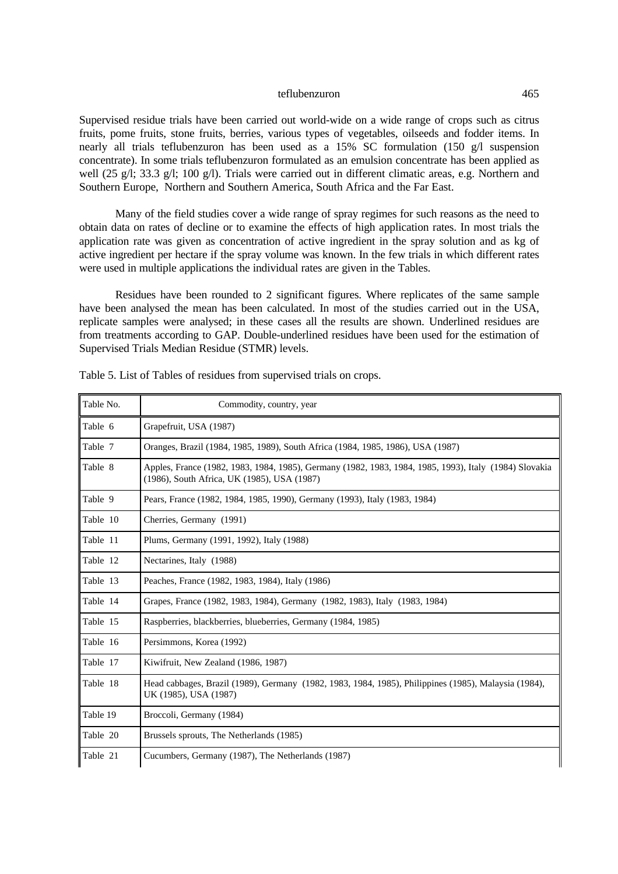Supervised residue trials have been carried out world-wide on a wide range of crops such as citrus fruits, pome fruits, stone fruits, berries, various types of vegetables, oilseeds and fodder items. In nearly all trials teflubenzuron has been used as a 15% SC formulation (150 g/l suspension concentrate). In some trials teflubenzuron formulated as an emulsion concentrate has been applied as well (25 g/l; 33.3 g/l; 100 g/l). Trials were carried out in different climatic areas, e.g. Northern and Southern Europe, Northern and Southern America, South Africa and the Far East.

Many of the field studies cover a wide range of spray regimes for such reasons as the need to obtain data on rates of decline or to examine the effects of high application rates. In most trials the application rate was given as concentration of active ingredient in the spray solution and as kg of active ingredient per hectare if the spray volume was known. In the few trials in which different rates were used in multiple applications the individual rates are given in the Tables.

Residues have been rounded to 2 significant figures. Where replicates of the same sample have been analysed the mean has been calculated. In most of the studies carried out in the USA, replicate samples were analysed; in these cases all the results are shown. Underlined residues are from treatments according to GAP. Double-underlined residues have been used for the estimation of Supervised Trials Median Residue (STMR) levels.

| Table No. | Commodity, country, year                                                                                                                              |
|-----------|-------------------------------------------------------------------------------------------------------------------------------------------------------|
| Table 6   | Grapefruit, USA (1987)                                                                                                                                |
| Table 7   | Oranges, Brazil (1984, 1985, 1989), South Africa (1984, 1985, 1986), USA (1987)                                                                       |
| Table 8   | Apples, France (1982, 1983, 1984, 1985), Germany (1982, 1983, 1984, 1985, 1993), Italy (1984) Slovakia<br>(1986), South Africa, UK (1985), USA (1987) |
| Table 9   | Pears, France (1982, 1984, 1985, 1990), Germany (1993), Italy (1983, 1984)                                                                            |
| Table 10  | Cherries, Germany (1991)                                                                                                                              |
| Table 11  | Plums, Germany (1991, 1992), Italy (1988)                                                                                                             |
| Table 12  | Nectarines, Italy (1988)                                                                                                                              |
| Table 13  | Peaches, France (1982, 1983, 1984), Italy (1986)                                                                                                      |
| Table 14  | Grapes, France (1982, 1983, 1984), Germany (1982, 1983), Italy (1983, 1984)                                                                           |
| Table 15  | Raspberries, blackberries, blueberries, Germany (1984, 1985)                                                                                          |
| Table 16  | Persimmons, Korea (1992)                                                                                                                              |
| Table 17  | Kiwifruit, New Zealand (1986, 1987)                                                                                                                   |
| Table 18  | Head cabbages, Brazil (1989), Germany (1982, 1983, 1984, 1985), Philippines (1985), Malaysia (1984),<br>UK (1985), USA (1987)                         |
| Table 19  | Broccoli, Germany (1984)                                                                                                                              |
| Table 20  | Brussels sprouts, The Netherlands (1985)                                                                                                              |
| Table 21  | Cucumbers, Germany (1987), The Netherlands (1987)                                                                                                     |

| Table 5. List of Tables of residues from supervised trials on crops. |  |  |  |
|----------------------------------------------------------------------|--|--|--|
|----------------------------------------------------------------------|--|--|--|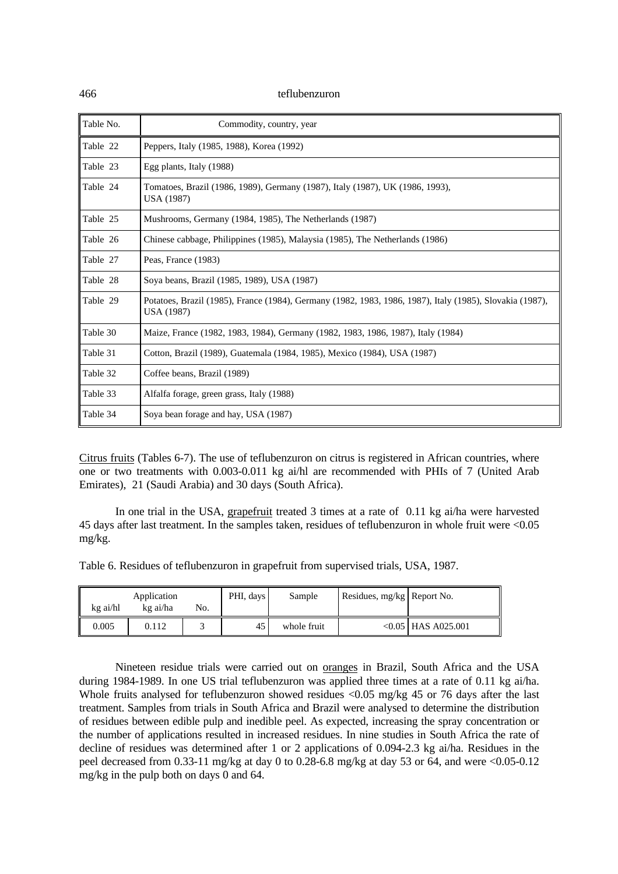| Table No. | Commodity, country, year                                                                                               |
|-----------|------------------------------------------------------------------------------------------------------------------------|
| Table 22  | Peppers, Italy (1985, 1988), Korea (1992)                                                                              |
| Table 23  | Egg plants, Italy (1988)                                                                                               |
| Table 24  | Tomatoes, Brazil (1986, 1989), Germany (1987), Italy (1987), UK (1986, 1993),<br>USA (1987)                            |
| Table 25  | Mushrooms, Germany (1984, 1985), The Netherlands (1987)                                                                |
| Table 26  | Chinese cabbage, Philippines (1985), Malaysia (1985), The Netherlands (1986)                                           |
| Table 27  | Peas, France (1983)                                                                                                    |
| Table 28  | Soya beans, Brazil (1985, 1989), USA (1987)                                                                            |
| Table 29  | Potatoes, Brazil (1985), France (1984), Germany (1982, 1983, 1986, 1987), Italy (1985), Slovakia (1987),<br>USA (1987) |
| Table 30  | Maize, France (1982, 1983, 1984), Germany (1982, 1983, 1986, 1987), Italy (1984)                                       |
| Table 31  | Cotton, Brazil (1989), Guatemala (1984, 1985), Mexico (1984), USA (1987)                                               |
| Table 32  | Coffee beans, Brazil (1989)                                                                                            |
| Table 33  | Alfalfa forage, green grass, Italy (1988)                                                                              |
| Table 34  | Soya bean forage and hay, USA (1987)                                                                                   |

Citrus fruits (Tables 6-7). The use of teflubenzuron on citrus is registered in African countries, where one or two treatments with 0.003-0.011 kg ai/hl are recommended with PHIs of 7 (United Arab Emirates), 21 (Saudi Arabia) and 30 days (South Africa).

In one trial in the USA, grapefruit treated 3 times at a rate of 0.11 kg ai/ha were harvested 45 days after last treatment. In the samples taken, residues of teflubenzuron in whole fruit were <0.05 mg/kg.

Table 6. Residues of teflubenzuron in grapefruit from supervised trials, USA, 1987.

| kg ai/hl | Application<br>kg ai/ha | No. | PHI, days | Sample      | Residues, mg/kg   Report No. |                       |
|----------|-------------------------|-----|-----------|-------------|------------------------------|-----------------------|
| 0.005    | 0.112                   |     | 45        | whole fruit |                              | $< 0.05$ HAS A025.001 |

Nineteen residue trials were carried out on oranges in Brazil, South Africa and the USA during 1984-1989. In one US trial teflubenzuron was applied three times at a rate of 0.11 kg ai/ha. Whole fruits analysed for teflubenzuron showed residues <0.05 mg/kg 45 or 76 days after the last treatment. Samples from trials in South Africa and Brazil were analysed to determine the distribution of residues between edible pulp and inedible peel. As expected, increasing the spray concentration or the number of applications resulted in increased residues. In nine studies in South Africa the rate of decline of residues was determined after 1 or 2 applications of 0.094-2.3 kg ai/ha. Residues in the peel decreased from 0.33-11 mg/kg at day 0 to 0.28-6.8 mg/kg at day 53 or 64, and were <0.05-0.12 mg/kg in the pulp both on days 0 and 64.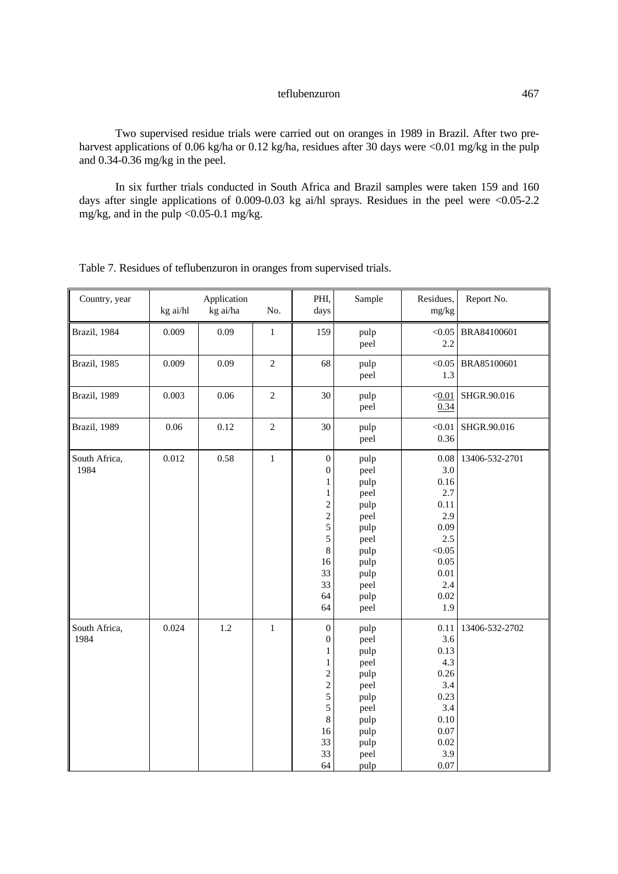Two supervised residue trials were carried out on oranges in 1989 in Brazil. After two preharvest applications of 0.06 kg/ha or 0.12 kg/ha, residues after 30 days were <0.01 mg/kg in the pulp and 0.34-0.36 mg/kg in the peel.

In six further trials conducted in South Africa and Brazil samples were taken 159 and 160 days after single applications of 0.009-0.03 kg ai/hl sprays. Residues in the peel were <0.05-2.2 mg/kg, and in the pulp <0.05-0.1 mg/kg.

| Country, year         | kg ai/hl | Application<br>kg ai/ha | No.            | PHI,<br>days                                                                                                                                    | Sample                                                                                                       | Residues,<br>mg/kg                                                                                           | Report No.     |
|-----------------------|----------|-------------------------|----------------|-------------------------------------------------------------------------------------------------------------------------------------------------|--------------------------------------------------------------------------------------------------------------|--------------------------------------------------------------------------------------------------------------|----------------|
| Brazil, 1984          | 0.009    | 0.09                    | $\mathbf{1}$   | 159                                                                                                                                             | pulp<br>peel                                                                                                 | < 0.05<br>2.2                                                                                                | BRA84100601    |
| Brazil, 1985          | 0.009    | 0.09                    | $\overline{c}$ | 68                                                                                                                                              | pulp<br>peel                                                                                                 | < 0.05<br>1.3                                                                                                | BRA85100601    |
| Brazil, 1989          | 0.003    | 0.06                    | $\overline{c}$ | 30                                                                                                                                              | pulp<br>peel                                                                                                 | < 0.01<br>0.34                                                                                               | SHGR.90.016    |
| Brazil, 1989          | 0.06     | 0.12                    | $\mathfrak{2}$ | 30                                                                                                                                              | pulp<br>peel                                                                                                 | < 0.01<br>0.36                                                                                               | SHGR.90.016    |
| South Africa,<br>1984 | 0.012    | 0.58                    | $\,1$          | $\boldsymbol{0}$<br>$\boldsymbol{0}$<br>$\mathbf{1}$<br>$\,1$<br>$\overline{c}$<br>$\frac{2}{5}$<br>5<br>$\,8\,$<br>16<br>33<br>33<br>64<br>64  | pulp<br>peel<br>pulp<br>peel<br>pulp<br>peel<br>pulp<br>peel<br>pulp<br>pulp<br>pulp<br>peel<br>pulp<br>peel | 0.08<br>3.0<br>0.16<br>2.7<br>0.11<br>2.9<br>0.09<br>2.5<br>< 0.05<br>0.05<br>0.01<br>2.4<br>$0.02\,$<br>1.9 | 13406-532-2701 |
| South Africa,<br>1984 | 0.024    | 1.2                     | $\,1\,$        | $\boldsymbol{0}$<br>$\boldsymbol{0}$<br>$\mathbf{1}$<br>$\mathbf{1}$<br>$\overline{c}$<br>$\frac{2}{5}$<br>5<br>$\,8\,$<br>16<br>33<br>33<br>64 | pulp<br>peel<br>pulp<br>peel<br>pulp<br>peel<br>pulp<br>peel<br>pulp<br>pulp<br>pulp<br>peel<br>pulp         | 0.11<br>3.6<br>0.13<br>4.3<br>0.26<br>3.4<br>0.23<br>3.4<br>0.10<br>0.07<br>0.02<br>3.9<br>0.07              | 13406-532-2702 |

Table 7. Residues of teflubenzuron in oranges from supervised trials.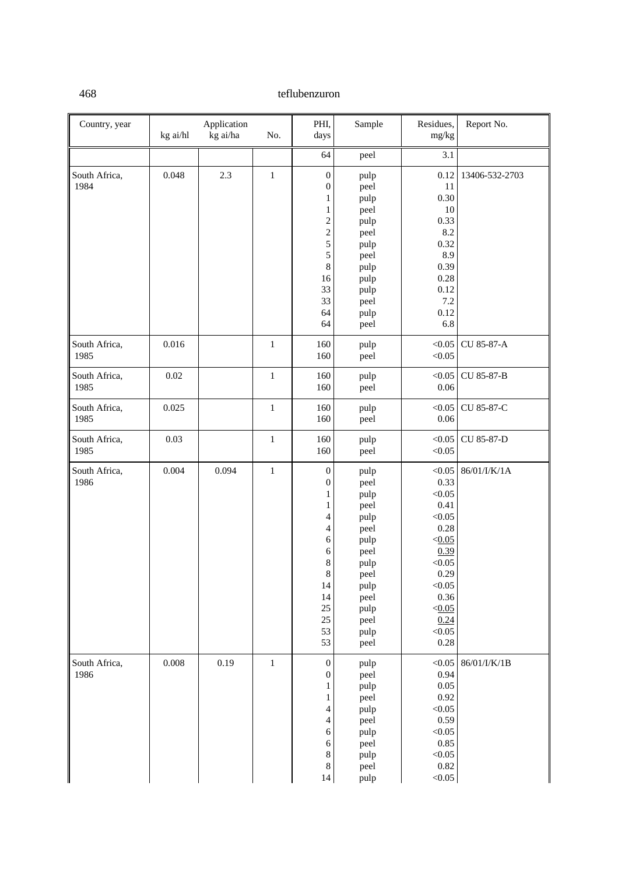| Country, year         | kg ai/hl | Application<br>kg ai/ha | No.          | PHI,<br>days                                                                                                                                                                             | Sample                                                                                                                       | Residues,<br>mg/kg                                                                                                                           | Report No.     |
|-----------------------|----------|-------------------------|--------------|------------------------------------------------------------------------------------------------------------------------------------------------------------------------------------------|------------------------------------------------------------------------------------------------------------------------------|----------------------------------------------------------------------------------------------------------------------------------------------|----------------|
|                       |          |                         |              | 64                                                                                                                                                                                       | peel                                                                                                                         | 3.1                                                                                                                                          |                |
| South Africa,<br>1984 | 0.048    | 2.3                     | $\,1$        | $\boldsymbol{0}$<br>$\boldsymbol{0}$<br>1<br>$\mathbf{1}$<br>$\sqrt{2}$<br>$rac{2}{5}$<br>5<br>$\,8$<br>16<br>33<br>33<br>64                                                             | pulp<br>peel<br>pulp<br>peel<br>pulp<br>peel<br>pulp<br>peel<br>pulp<br>pulp<br>pulp<br>peel<br>pulp                         | 0.12<br>11<br>0.30<br>10<br>0.33<br>8.2<br>0.32<br>8.9<br>0.39<br>0.28<br>0.12<br>7.2<br>0.12                                                | 13406-532-2703 |
|                       |          |                         |              | 64                                                                                                                                                                                       | peel                                                                                                                         | 6.8                                                                                                                                          |                |
| South Africa,<br>1985 | 0.016    |                         | $\mathbf 1$  | 160<br>160                                                                                                                                                                               | pulp<br>peel                                                                                                                 | < 0.05<br>< 0.05                                                                                                                             | CU 85-87-A     |
| South Africa,<br>1985 | $0.02\,$ |                         | $\,1$        | 160<br>160                                                                                                                                                                               | pulp<br>peel                                                                                                                 | < 0.05<br>0.06                                                                                                                               | CU 85-87-B     |
| South Africa,<br>1985 | 0.025    |                         | $\mathbf{1}$ | 160<br>160                                                                                                                                                                               | pulp<br>peel                                                                                                                 | < 0.05<br>0.06                                                                                                                               | CU 85-87-C     |
| South Africa,<br>1985 | 0.03     |                         | $\mathbf{1}$ | 160<br>160                                                                                                                                                                               | pulp<br>peel                                                                                                                 | < 0.05<br>< 0.05                                                                                                                             | CU 85-87-D     |
| South Africa,<br>1986 | 0.004    | 0.094                   | $\,1$        | $\boldsymbol{0}$<br>$\boldsymbol{0}$<br>$\mathbf{1}$<br>1<br>$\overline{\mathcal{A}}$<br>4<br>$\sqrt{6}$<br>$\sqrt{6}$<br>$\,8\,$<br>$\bf 8$<br>14<br>14<br>$25\,$<br>$25\,$<br>53<br>53 | pulp<br>peel<br>pulp<br>peel<br>pulp<br>peel<br>pulp<br>peel<br>pulp<br>peel<br>pulp<br>peel<br>pulp<br>peel<br>pulp<br>peel | < 0.05<br>0.33<br>< 0.05<br>0.41<br>< 0.05<br>0.28<br>< 0.05<br>0.39<br>< 0.05<br>0.29<br>< 0.05<br>0.36<br>< 0.05<br>0.24<br>< 0.05<br>0.28 | 86/01/I/K/1A   |
| South Africa,<br>1986 | 0.008    | 0.19                    | $\,1$        | $\boldsymbol{0}$<br>$\boldsymbol{0}$<br>$\mathbf{1}$<br>1<br>$\overline{4}$<br>$\overline{4}$<br>6<br>6<br>8<br>$8\,$<br>$14\,$                                                          | pulp<br>peel<br>pulp<br>peel<br>pulp<br>peel<br>pulp<br>peel<br>pulp<br>peel<br>pulp                                         | < 0.05<br>0.94<br>0.05<br>0.92<br>< 0.05<br>0.59<br>< 0.05<br>0.85<br>< 0.05<br>0.82<br>< 0.05                                               | 86/01/I/K/1B   |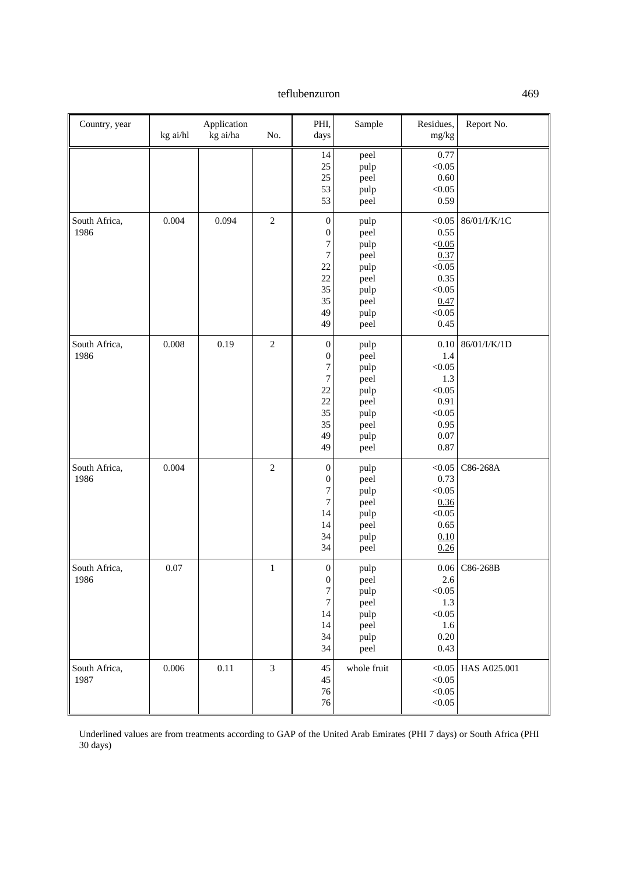| Country, year         | kg ai/hl | Application<br>kg ai/ha | No.            | PHI,<br>days                                                                                                   | Sample                                                                       | Residues,<br>mg/kg                                                                     | Report No.   |
|-----------------------|----------|-------------------------|----------------|----------------------------------------------------------------------------------------------------------------|------------------------------------------------------------------------------|----------------------------------------------------------------------------------------|--------------|
|                       |          |                         |                | 14<br>25<br>25<br>53<br>53                                                                                     | peel<br>pulp<br>peel<br>pulp<br>peel                                         | 0.77<br>< 0.05<br>0.60<br>< 0.05<br>0.59                                               |              |
| South Africa,<br>1986 | 0.004    | 0.094                   | $\sqrt{2}$     | $\boldsymbol{0}$<br>$\boldsymbol{0}$<br>$\overline{7}$<br>$\boldsymbol{7}$<br>22<br>22<br>35<br>35<br>49<br>49 | pulp<br>peel<br>pulp<br>peel<br>pulp<br>peel<br>pulp<br>peel<br>pulp<br>peel | < 0.05<br>0.55<br>< 0.05<br>0.37<br>< 0.05<br>0.35<br>< 0.05<br>0.47<br>< 0.05<br>0.45 | 86/01/I/K/1C |
| South Africa,<br>1986 | 0.008    | 0.19                    | $\overline{2}$ | $\boldsymbol{0}$<br>$\boldsymbol{0}$<br>$\overline{7}$<br>7<br>22<br>22<br>35<br>35<br>49<br>49                | pulp<br>peel<br>pulp<br>peel<br>pulp<br>peel<br>pulp<br>peel<br>pulp<br>peel | 0.10<br>1.4<br>< 0.05<br>1.3<br>< 0.05<br>0.91<br>< 0.05<br>0.95<br>0.07<br>0.87       | 86/01/I/K/1D |
| South Africa,<br>1986 | 0.004    |                         | $\sqrt{2}$     | $\boldsymbol{0}$<br>$\boldsymbol{0}$<br>$\overline{7}$<br>$\sqrt{ }$<br>14<br>14<br>34<br>34                   | pulp<br>peel<br>pulp<br>peel<br>pulp<br>peel<br>pulp<br>peel                 | < 0.05<br>0.73<br>< 0.05<br>0.36<br>< 0.05<br>0.65<br>0.10<br>0.26                     | C86-268A     |
| South Africa,<br>1986 | 0.07     |                         | $\,1\,$        | $\boldsymbol{0}$<br>$\boldsymbol{0}$<br>$\tau$<br>7<br>14<br>14<br>34<br>34                                    | pulp<br>peel<br>pulp<br>peel<br>pulp<br>peel<br>pulp<br>peel                 | $0.06\,$<br>2.6<br>< 0.05<br>1.3<br>< 0.05<br>1.6<br>0.20<br>0.43                      | C86-268B     |
| South Africa,<br>1987 | 0.006    | 0.11                    | $\mathfrak{Z}$ | 45<br>45<br>76<br>76                                                                                           | whole fruit                                                                  | < 0.05<br>< 0.05<br>< 0.05<br>< 0.05                                                   | HAS A025.001 |

Underlined values are from treatments according to GAP of the United Arab Emirates (PHI 7 days) or South Africa (PHI 30 days)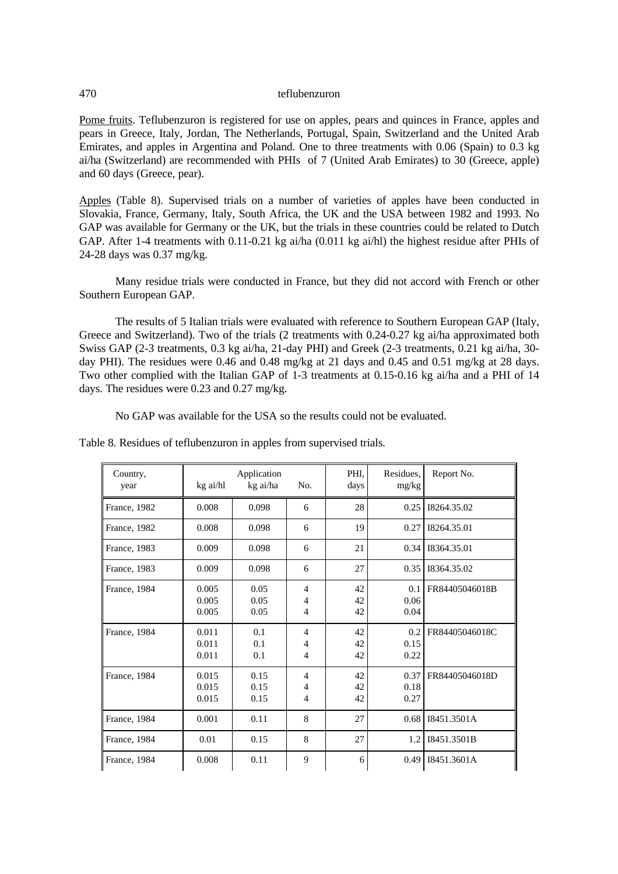Pome fruits. Teflubenzuron is registered for use on apples, pears and quinces in France, apples and pears in Greece, Italy, Jordan, The Netherlands, Portugal, Spain, Switzerland and the United Arab Emirates, and apples in Argentina and Poland. One to three treatments with 0.06 (Spain) to 0.3 kg ai/ha (Switzerland) are recommended with PHIs of 7 (United Arab Emirates) to 30 (Greece, apple) and 60 days (Greece, pear).

Apples (Table 8). Supervised trials on a number of varieties of apples have been conducted in Slovakia, France, Germany, Italy, South Africa, the UK and the USA between 1982 and 1993. No GAP was available for Germany or the UK, but the trials in these countries could be related to Dutch GAP. After 1-4 treatments with 0.11-0.21 kg ai/ha (0.011 kg ai/hl) the highest residue after PHIs of 24-28 days was 0.37 mg/kg.

Many residue trials were conducted in France, but they did not accord with French or other Southern European GAP.

The results of 5 Italian trials were evaluated with reference to Southern European GAP (Italy, Greece and Switzerland). Two of the trials (2 treatments with 0.24-0.27 kg ai/ha approximated both Swiss GAP (2-3 treatments, 0.3 kg ai/ha, 21-day PHI) and Greek (2-3 treatments, 0.21 kg ai/ha, 30 day PHI). The residues were 0.46 and 0.48 mg/kg at 21 days and 0.45 and 0.51 mg/kg at 28 days. Two other complied with the Italian GAP of 1-3 treatments at 0.15-0.16 kg ai/ha and a PHI of 14 days. The residues were 0.23 and 0.27 mg/kg.

No GAP was available for the USA so the results could not be evaluated.

| Country,<br>year | kg ai/hl                | Application<br>kg ai/ha | No.                                                | PHI.<br>days   | Residues,<br>mg/kg   | Report No.     |
|------------------|-------------------------|-------------------------|----------------------------------------------------|----------------|----------------------|----------------|
| France, 1982     | 0.008                   | 0.098                   | 6                                                  | 28             | 0.25                 | 18264.35.02    |
| France, 1982     | 0.008                   | 0.098                   | 6                                                  | 19             | 0.27                 | 18264.35.01    |
| France, 1983     | 0.009                   | 0.098                   | 6                                                  | 21             | 0.34                 | 18364.35.01    |
| France, 1983     | 0.009                   | 0.098                   | 6                                                  | 27             | 0.35                 | 18364.35.02    |
| France, 1984     | 0.005<br>0.005<br>0.005 | 0.05<br>0.05<br>0.05    | $\overline{4}$<br>$\overline{4}$<br>$\overline{4}$ | 42<br>42<br>42 | 0.1<br>0.06<br>0.04  | FR84405046018B |
| France, 1984     | 0.011<br>0.011<br>0.011 | 0.1<br>0.1<br>0.1       | $\overline{4}$<br>$\overline{4}$<br>$\overline{4}$ | 42<br>42<br>42 | 0.2<br>0.15<br>0.22  | FR84405046018C |
| France, 1984     | 0.015<br>0.015<br>0.015 | 0.15<br>0.15<br>0.15    | $\overline{4}$<br>4<br>$\overline{4}$              | 42<br>42<br>42 | 0.37<br>0.18<br>0.27 | FR84405046018D |
| France, 1984     | 0.001                   | 0.11                    | 8                                                  | 27             | 0.68                 | I8451.3501A    |
| France, 1984     | 0.01                    | 0.15                    | 8                                                  | 27             | 1.2                  | I8451.3501B    |
| France, 1984     | 0.008                   | 0.11                    | 9                                                  | 6              | 0.49                 | I8451.3601A    |

Table 8. Residues of teflubenzuron in apples from supervised trials.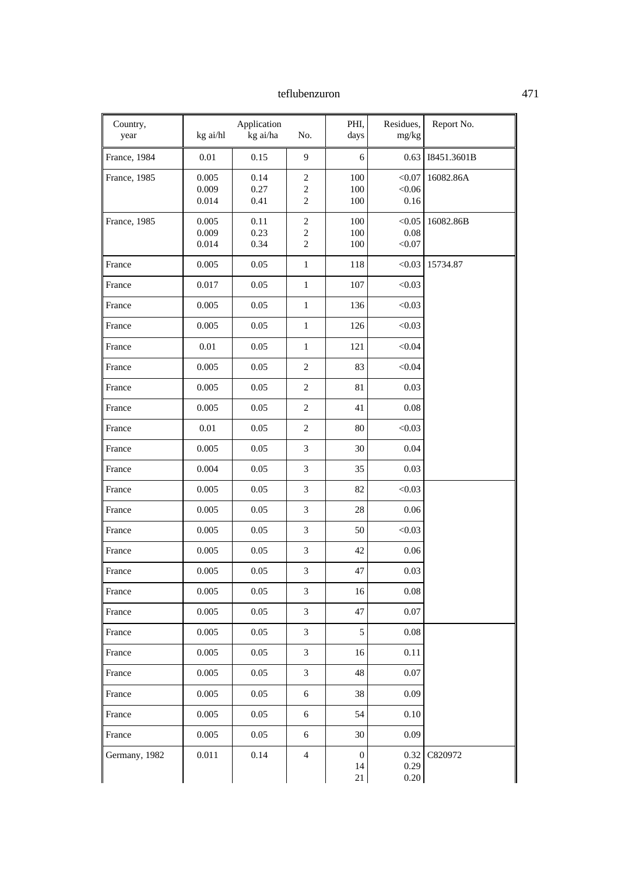| Country,<br>year | kg ai/hl                | Application<br>kg ai/ha | No.                                        | PHI,<br>days                     | Residues,<br>mg/kg       | Report No.  |
|------------------|-------------------------|-------------------------|--------------------------------------------|----------------------------------|--------------------------|-------------|
| France, 1984     | 0.01                    | 0.15                    | 9                                          | 6                                | 0.63                     | I8451.3601B |
| France, 1985     | 0.005<br>0.009<br>0.014 | 0.14<br>0.27<br>0.41    | $\sqrt{2}$<br>$\sqrt{2}$<br>$\overline{c}$ | 100<br>100<br>100                | < 0.07<br>< 0.06<br>0.16 | 16082.86A   |
| France, 1985     | 0.005<br>0.009<br>0.014 | 0.11<br>0.23<br>0.34    | $\mathfrak{2}$<br>$\sqrt{2}$<br>$\sqrt{2}$ | 100<br>100<br>100                | < 0.05<br>0.08<br>< 0.07 | 16082.86B   |
| France           | 0.005                   | 0.05                    | $\mathbf{1}$                               | 118                              | < 0.03                   | 15734.87    |
| France           | 0.017                   | 0.05                    | $\mathbf{1}$                               | 107                              | < 0.03                   |             |
| France           | 0.005                   | 0.05                    | $\mathbf{1}$                               | 136                              | < 0.03                   |             |
| France           | 0.005                   | 0.05                    | $\mathbf{1}$                               | 126                              | < 0.03                   |             |
| France           | 0.01                    | 0.05                    | $\mathbf{1}$                               | 121                              | < 0.04                   |             |
| France           | 0.005                   | 0.05                    | $\mathfrak{2}$                             | 83                               | < 0.04                   |             |
| France           | 0.005                   | 0.05                    | $\overline{c}$                             | 81                               | 0.03                     |             |
| France           | 0.005                   | 0.05                    | $\boldsymbol{2}$                           | 41                               | $0.08\,$                 |             |
| France           | 0.01                    | 0.05                    | $\overline{c}$                             | $80\,$                           | < 0.03                   |             |
| France           | 0.005                   | 0.05                    | 3                                          | 30                               | 0.04                     |             |
| France           | 0.004                   | 0.05                    | 3                                          | 35                               | 0.03                     |             |
| France           | 0.005                   | 0.05                    | 3                                          | 82                               | < 0.03                   |             |
| France           | 0.005                   | 0.05                    | 3                                          | 28                               | 0.06                     |             |
| France           | 0.005                   | 0.05                    | 3                                          | 50                               | < 0.03                   |             |
| France           | 0.005                   | 0.05                    | $\mathfrak{Z}$                             | 42                               | 0.06                     |             |
| France           | 0.005                   | 0.05                    | 3                                          | 47                               | 0.03                     |             |
| France           | 0.005                   | 0.05                    | 3                                          | 16                               | $0.08\,$                 |             |
| France           | 0.005                   | $0.05\,$                | 3                                          | 47                               | 0.07                     |             |
| France           | 0.005                   | 0.05                    | 3                                          | 5                                | $0.08\,$                 |             |
| France           | 0.005                   | 0.05                    | 3                                          | 16                               | 0.11                     |             |
| France           | 0.005                   | $0.05\,$                | 3                                          | 48                               | $0.07\,$                 |             |
| France           | 0.005                   | 0.05                    | $\sqrt{6}$                                 | 38                               | 0.09                     |             |
| France           | 0.005                   | 0.05                    | 6                                          | 54                               | 0.10                     |             |
| France           | 0.005                   | 0.05                    | 6                                          | 30                               | 0.09                     |             |
| Germany, 1982    | 0.011                   | 0.14                    | $\overline{4}$                             | $\boldsymbol{0}$<br>$14\,$<br>21 | 0.32<br>0.29<br>0.20     | C820972     |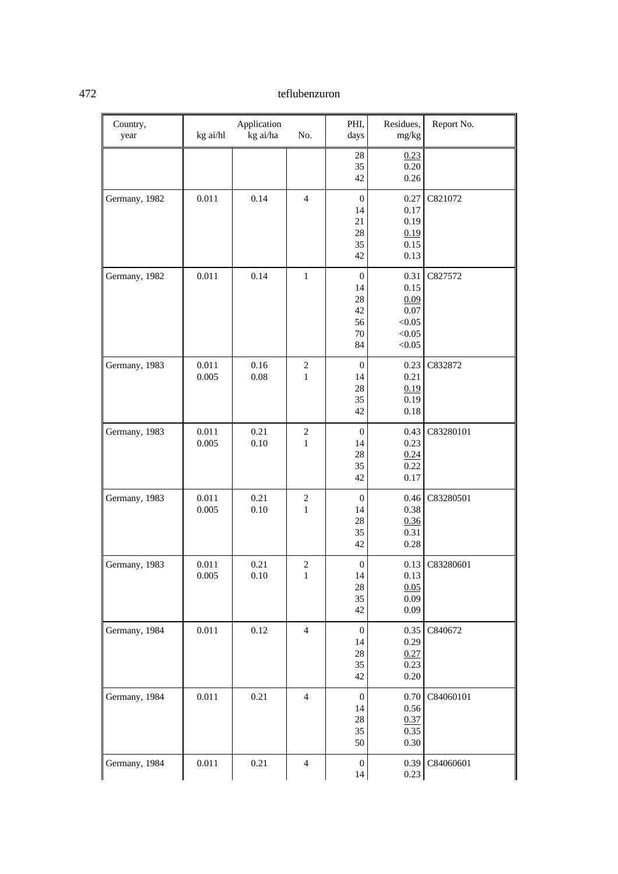| Country,<br>year | kg ai/hl       | Application<br>kg ai/ha | No.                            | PHI,<br>days                                         | Residues,<br>$mg/kg$                                       | Report No.     |
|------------------|----------------|-------------------------|--------------------------------|------------------------------------------------------|------------------------------------------------------------|----------------|
|                  |                |                         |                                | $28\,$<br>35<br>42                                   | 0.23<br>0.20<br>0.26                                       |                |
| Germany, 1982    | 0.011          | 0.14                    | $\overline{4}$                 | $\boldsymbol{0}$<br>14<br>21<br>$28\,$<br>35<br>42   | 0.27<br>0.17<br>0.19<br>0.19<br>0.15<br>0.13               | C821072        |
| Germany, 1982    | 0.011          | 0.14                    | $\mathbf{1}$                   | $\boldsymbol{0}$<br>14<br>28<br>42<br>56<br>70<br>84 | 0.31<br>0.15<br>0.09<br>0.07<br>< 0.05<br>< 0.05<br>< 0.05 | C827572        |
| Germany, 1983    | 0.011<br>0.005 | 0.16<br>0.08            | $\sqrt{2}$<br>$\mathbf{1}$     | $\boldsymbol{0}$<br>14<br>$28\,$<br>35<br>42         | 0.23<br>0.21<br>0.19<br>0.19<br>0.18                       | C832872        |
| Germany, 1983    | 0.011<br>0.005 | 0.21<br>0.10            | $\overline{c}$<br>$\mathbf{1}$ | $\mathbf{0}$<br>14<br>28<br>35<br>42                 | 0.43<br>0.23<br>0.24<br>0.22<br>0.17                       | C83280101      |
| Germany, 1983    | 0.011<br>0.005 | 0.21<br>0.10            | $\sqrt{2}$<br>$\mathbf{1}$     | $\boldsymbol{0}$<br>14<br>$28\,$<br>35<br>42         | 0.46<br>0.38<br>0.36<br>0.31<br>0.28                       | C83280501      |
| Germany, 1983    | 0.011<br>0.005 | 0.21<br>0.10            | $\overline{c}$<br>1            | $\boldsymbol{0}$<br>14<br>$28\,$<br>35<br>42         | 0.13<br>0.13<br>0.05<br>0.09<br>0.09                       | C83280601      |
| Germany, 1984    | 0.011          | 0.12                    | $\overline{4}$                 | $\mathbf{0}$<br>14<br>$28\,$<br>35<br>42             | 0.35<br>0.29<br>0.27<br>0.23<br>$0.20\,$                   | C840672        |
| Germany, 1984    | 0.011          | 0.21                    | $\overline{4}$                 | $\boldsymbol{0}$<br>14<br>$28\,$<br>35<br>50         | 0.70<br>0.56<br>0.37<br>0.35<br>$0.30\,$                   | C84060101      |
| Germany, 1984    | 0.011          | 0.21                    | $\overline{4}$                 | $\boldsymbol{0}$<br>14                               | 0.23                                                       | 0.39 C84060601 |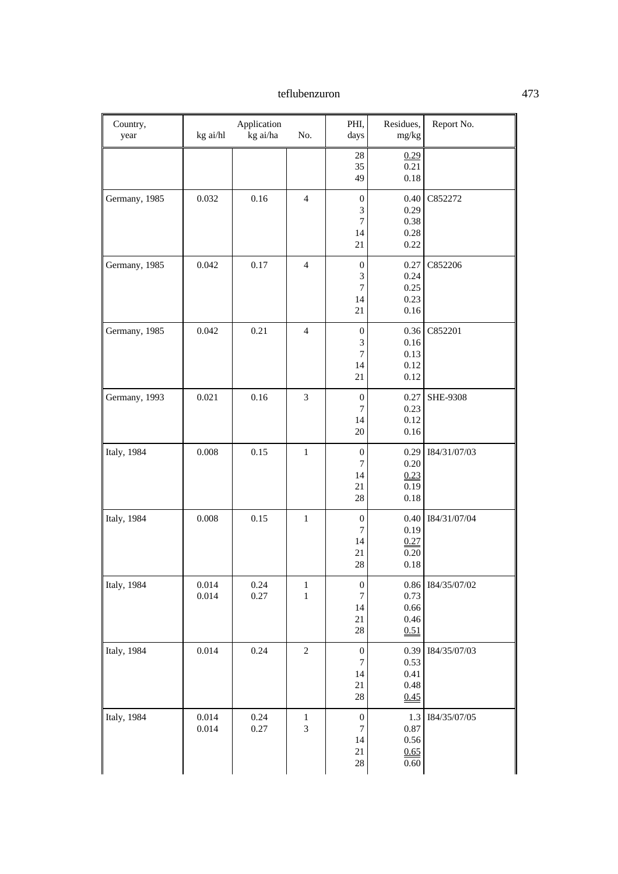| Country,<br>year    | kg ai/hl       | Application<br>kg ai/ha | No.                   | PHI,<br>days                                           | Residues,<br>mg/kg                       | Report No.      |
|---------------------|----------------|-------------------------|-----------------------|--------------------------------------------------------|------------------------------------------|-----------------|
|                     |                |                         |                       | $28\,$<br>35<br>49                                     | 0.29<br>0.21<br>0.18                     |                 |
| Germany, 1985       | 0.032          | 0.16                    | $\overline{4}$        | $\boldsymbol{0}$<br>3<br>$\boldsymbol{7}$<br>14<br>21  | 0.40<br>0.29<br>0.38<br>0.28<br>0.22     | C852272         |
| Germany, 1985       | 0.042          | 0.17                    | $\overline{4}$        | $\boldsymbol{0}$<br>3<br>7<br>14<br>21                 | 0.27<br>0.24<br>0.25<br>0.23<br>0.16     | C852206         |
| Germany, 1985       | 0.042          | 0.21                    | $\overline{4}$        | $\boldsymbol{0}$<br>3<br>$\boldsymbol{7}$<br>14<br>21  | 0.36<br>0.16<br>0.13<br>0.12<br>0.12     | C852201         |
| Germany, 1993       | 0.021          | 0.16                    | 3                     | $\boldsymbol{0}$<br>$\boldsymbol{7}$<br>14<br>20       | 0.27<br>0.23<br>0.12<br>0.16             | <b>SHE-9308</b> |
| <b>Italy</b> , 1984 | 0.008          | 0.15                    | $\mathbf{1}$          | $\boldsymbol{0}$<br>$\tau$<br>14<br>21<br>28           | 0.29<br>0.20<br>0.23<br>0.19<br>0.18     | 184/31/07/03    |
| Italy, 1984         | 0.008          | 0.15                    | $\mathbf{1}$          | $\boldsymbol{0}$<br>$\boldsymbol{7}$<br>14<br>21<br>28 | 0.40<br>0.19<br>0.27<br>0.20<br>$0.18\,$ | 184/31/07/04    |
| Italy, 1984         | 0.014<br>0.014 | 0.24<br>$0.27\,$        | $\mathbf{1}$<br>$\,1$ | $\boldsymbol{0}$<br>$\boldsymbol{7}$<br>14<br>21<br>28 | 0.86<br>0.73<br>0.66<br>0.46<br>0.51     | 184/35/07/02    |
| Italy, 1984         | 0.014          | 0.24                    | $\sqrt{2}$            | $\boldsymbol{0}$<br>$\tau$<br>14<br>21<br>28           | 0.39<br>0.53<br>0.41<br>0.48<br>0.45     | I84/35/07/03    |
| Italy, 1984         | 0.014<br>0.014 | 0.24<br>$0.27\,$        | $\mathbf{1}$<br>3     | $\boldsymbol{0}$<br>7<br>14<br>21<br>$28\,$            | 1.3<br>$0.87\,$<br>0.56<br>0.65<br>0.60  | I84/35/07/05    |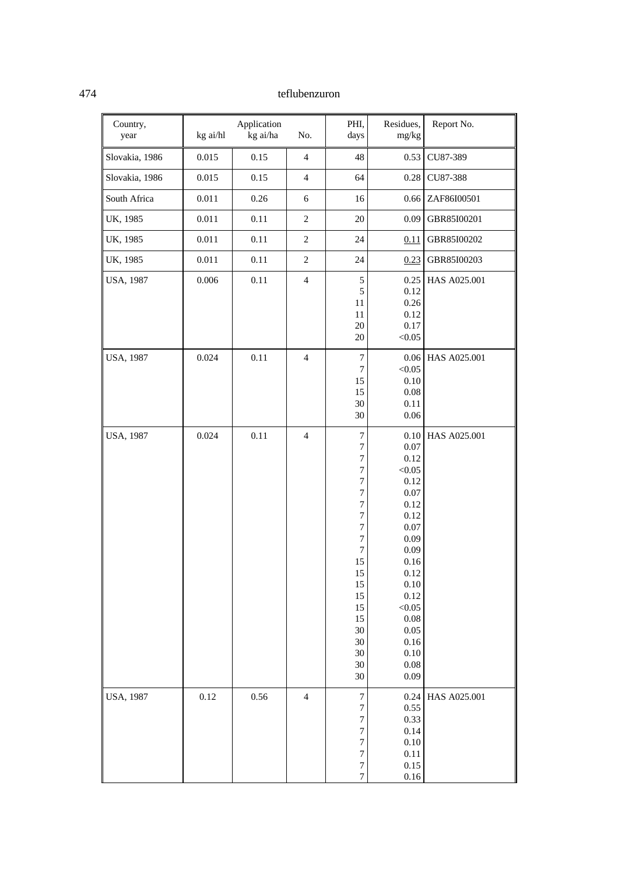| Country,<br>year | kg ai/hl  | Application<br>kg ai/ha | No.                     | PHI,<br>days                                                                                                                                                                                                                                                | Residues,<br>mg/kg                                                                                                                                                                           | Report No.   |
|------------------|-----------|-------------------------|-------------------------|-------------------------------------------------------------------------------------------------------------------------------------------------------------------------------------------------------------------------------------------------------------|----------------------------------------------------------------------------------------------------------------------------------------------------------------------------------------------|--------------|
| Slovakia, 1986   | 0.015     | 0.15                    | $\overline{4}$          | 48                                                                                                                                                                                                                                                          | 0.53                                                                                                                                                                                         | CU87-389     |
| Slovakia, 1986   | 0.015     | 0.15                    | $\overline{4}$          | 64                                                                                                                                                                                                                                                          | 0.28                                                                                                                                                                                         | CU87-388     |
| South Africa     | $0.011\,$ | 0.26                    | $\epsilon$              | 16                                                                                                                                                                                                                                                          | 0.66                                                                                                                                                                                         | ZAF86I00501  |
| UK, 1985         | 0.011     | 0.11                    | $\sqrt{2}$              | $20\,$                                                                                                                                                                                                                                                      | 0.09                                                                                                                                                                                         | GBR85I00201  |
| UK, 1985         | 0.011     | 0.11                    | $\mathfrak{2}$          | 24                                                                                                                                                                                                                                                          | 0.11                                                                                                                                                                                         | GBR85I00202  |
| UK, 1985         | 0.011     | 0.11                    | $\boldsymbol{2}$        | 24                                                                                                                                                                                                                                                          | 0.23                                                                                                                                                                                         | GBR85I00203  |
| USA, 1987        | 0.006     | 0.11                    | $\overline{4}$          | 5<br>5<br>11<br>$11\,$<br>20<br>$20\,$                                                                                                                                                                                                                      | 0.25<br>0.12<br>0.26<br>0.12<br>0.17<br>< 0.05                                                                                                                                               | HAS A025.001 |
| <b>USA, 1987</b> | 0.024     | 0.11                    | $\overline{4}$          | $\boldsymbol{7}$<br>$\boldsymbol{7}$<br>15<br>15<br>30<br>30                                                                                                                                                                                                | $0.06\,$<br>< 0.05<br>0.10<br>$0.08\,$<br>0.11<br>$0.06\,$                                                                                                                                   | HAS A025.001 |
| <b>USA, 1987</b> | 0.024     | 0.11                    | $\overline{\mathbf{4}}$ | $\overline{7}$<br>$\overline{7}$<br>$\overline{7}$<br>$\overline{7}$<br>$\overline{7}$<br>$\overline{7}$<br>$\overline{7}$<br>$\overline{7}$<br>7<br>$\boldsymbol{7}$<br>$\boldsymbol{7}$<br>15<br>15<br>15<br>15<br>15<br>15<br>30<br>30<br>30<br>30<br>30 | 0.10<br>0.07<br>0.12<br>< 0.05<br>0.12<br>0.07<br>0.12<br>0.12<br>0.07<br>0.09<br>0.09<br>$0.16\,$<br>$0.12\,$<br>0.10<br>0.12<br>< 0.05<br>0.08<br>0.05<br>0.16<br>0.10<br>$0.08\,$<br>0.09 | HAS A025.001 |
| USA, 1987        | 0.12      | 0.56                    | $\overline{4}$          | $\boldsymbol{7}$<br>$\overline{7}$<br>$\sqrt{ }$<br>$\overline{7}$<br>$\overline{7}$<br>$\overline{7}$<br>$\boldsymbol{7}$<br>$\sqrt{ }$                                                                                                                    | 0.24<br>0.55<br>0.33<br>0.14<br>0.10<br>0.11<br>0.15<br>$0.16\,$                                                                                                                             | HAS A025.001 |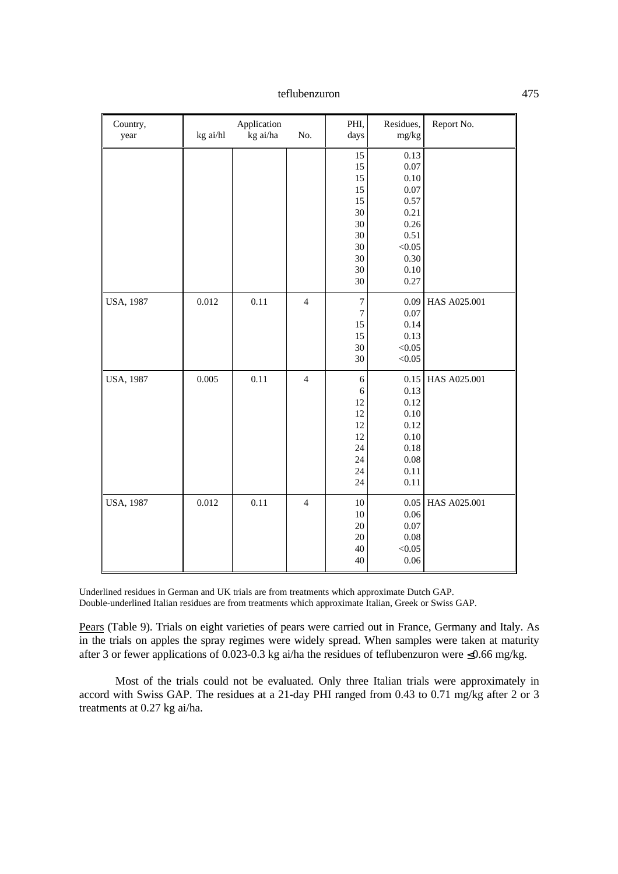| Country,<br>year | kg ai/hl | Application<br>kg ai/ha | No.            | PHI,<br>days                                                   | Residues,<br>mg/kg                                                                     | Report No.   |
|------------------|----------|-------------------------|----------------|----------------------------------------------------------------|----------------------------------------------------------------------------------------|--------------|
|                  |          |                         |                | 15<br>15<br>15<br>15<br>15<br>30<br>30<br>30<br>30<br>30<br>30 | 0.13<br>0.07<br>0.10<br>0.07<br>0.57<br>0.21<br>0.26<br>0.51<br>< 0.05<br>0.30<br>0.10 |              |
| USA, 1987        | 0.012    | 0.11                    | $\overline{4}$ | 30<br>$\sqrt{ }$<br>$\boldsymbol{7}$<br>15                     | 0.27<br>0.09<br>0.07<br>0.14                                                           | HAS A025.001 |
|                  |          |                         |                | 15<br>30<br>30                                                 | 0.13<br>< 0.05<br>< 0.05                                                               |              |
| <b>USA, 1987</b> | 0.005    | 0.11                    | $\overline{4}$ | 6<br>6<br>12<br>12<br>12<br>12<br>24<br>24<br>24<br>24         | 0.15<br>0.13<br>0.12<br>0.10<br>0.12<br>0.10<br>0.18<br>0.08<br>0.11<br>0.11           | HAS A025.001 |
| <b>USA, 1987</b> | 0.012    | 0.11                    | $\overline{4}$ | 10<br>10<br>$20\,$<br>$20\,$<br>40<br>40                       | 0.05<br>0.06<br>0.07<br>0.08<br>< 0.05<br>0.06                                         | HAS A025.001 |

Underlined residues in German and UK trials are from treatments which approximate Dutch GAP. Double-underlined Italian residues are from treatments which approximate Italian, Greek or Swiss GAP.

Pears (Table 9). Trials on eight varieties of pears were carried out in France, Germany and Italy. As in the trials on apples the spray regimes were widely spread. When samples were taken at maturity after 3 or fewer applications of 0.023-0.3 kg ai/ha the residues of teflubenzuron were  $\leq 0.66$  mg/kg.

Most of the trials could not be evaluated. Only three Italian trials were approximately in accord with Swiss GAP. The residues at a 21-day PHI ranged from 0.43 to 0.71 mg/kg after 2 or 3 treatments at 0.27 kg ai/ha.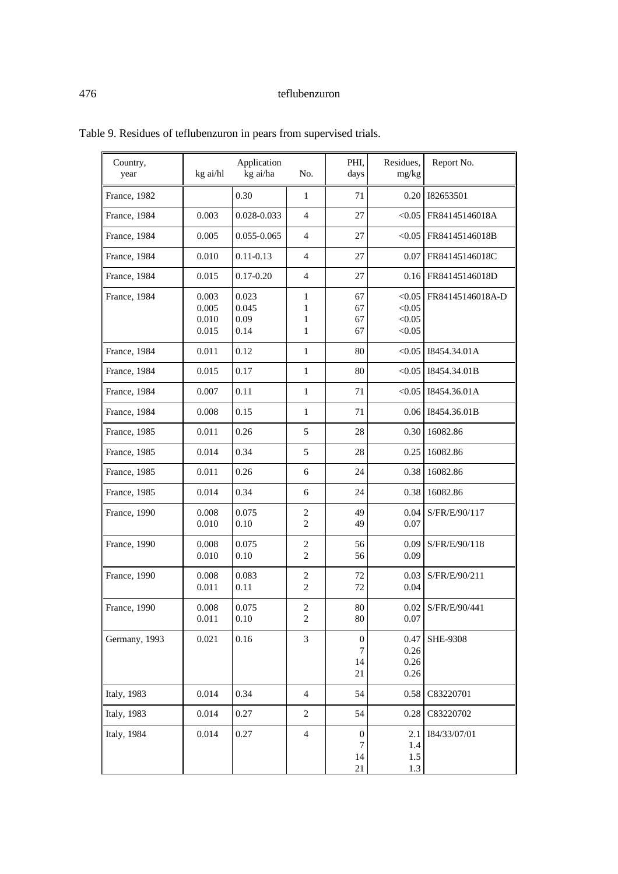| Country,<br>year     | kg ai/hl                         | Application<br>kg ai/ha        | No.                              | PHI.<br>days                      | Residues,<br>mg/kg                   | Report No.       |
|----------------------|----------------------------------|--------------------------------|----------------------------------|-----------------------------------|--------------------------------------|------------------|
| France, 1982         |                                  | 0.30                           | 1                                | 71                                | 0.20                                 | 182653501        |
| France, 1984         | 0.003                            | 0.028-0.033                    | $\overline{4}$                   | 27                                | < 0.05                               | FR84145146018A   |
| France, 1984         | 0.005                            | 0.055-0.065                    | $\overline{4}$                   | 27                                | < 0.05                               | FR84145146018B   |
| France, 1984         | 0.010                            | $0.11 - 0.13$                  | $\overline{4}$                   | 27                                | 0.07                                 | FR84145146018C   |
| France, 1984         | 0.015                            | $0.17 - 0.20$                  | $\overline{4}$                   | 27                                | 0.16                                 | FR84145146018D   |
| France, 1984         | 0.003<br>0.005<br>0.010<br>0.015 | 0.023<br>0.045<br>0.09<br>0.14 | 1<br>1<br>1<br>1                 | 67<br>67<br>67<br>67              | < 0.05<br>< 0.05<br>< 0.05<br>< 0.05 | FR84145146018A-D |
| France, 1984         | 0.011                            | 0.12                           | $\mathbf{1}$                     | 80                                | < 0.05                               | I8454.34.01A     |
| France, 1984         | 0.015                            | 0.17                           | 1                                | 80                                | < 0.05                               | I8454.34.01B     |
| France, 1984         | 0.007                            | 0.11                           | 1                                | 71                                | < 0.05                               | I8454.36.01A     |
| France, 1984         | 0.008                            | 0.15                           | $\mathbf{1}$                     | 71                                | 0.06                                 | I8454.36.01B     |
| France, 1985         | 0.011                            | 0.26                           | 5                                | 28                                | 0.30                                 | 16082.86         |
| France, 1985         | 0.014                            | 0.34                           | 5                                | 28                                | 0.25                                 | 16082.86         |
| France, 1985         | 0.011                            | 0.26                           | 6                                | 24                                | 0.38                                 | 16082.86         |
| France, 1985         | 0.014                            | 0.34                           | 6                                | 24                                | 0.38                                 | 16082.86         |
| France, 1990         | 0.008<br>0.010                   | 0.075<br>0.10                  | $\overline{c}$<br>$\overline{c}$ | 49<br>49                          | 0.04<br>0.07                         | S/FR/E/90/117    |
| France, 1990         | 0.008<br>0.010                   | 0.075<br>0.10                  | $\overline{c}$<br>$\overline{c}$ | 56<br>56                          | 0.09<br>0.09                         | S/FR/E/90/118    |
| <b>France</b> , 1990 | 0.008<br>0.011                   | 0.083<br>0.11                  | $\sqrt{2}$<br>$\overline{c}$     | 72<br>72                          | 0.03<br>0.04                         | S/FR/E/90/211    |
| France, 1990         | 0.008<br>0.011                   | 0.075<br>0.10                  | $\mathfrak{2}$<br>$\overline{c}$ | 80<br>$80\,$                      | 0.02<br>0.07                         | S/FR/E/90/441    |
| Germany, 1993        | 0.021                            | 0.16                           | 3                                | 0<br>7<br>14<br>21                | 0.47<br>0.26<br>0.26<br>0.26         | <b>SHE-9308</b>  |
| <b>Italy</b> , 1983  | 0.014                            | 0.34                           | $\overline{4}$                   | 54                                | 0.58                                 | C83220701        |
| <b>Italy</b> , 1983  | 0.014                            | 0.27                           | 2                                | 54                                | 0.28                                 | C83220702        |
| <b>Italy</b> , 1984  | 0.014                            | 0.27                           | $\overline{4}$                   | $\boldsymbol{0}$<br>7<br>14<br>21 | 2.1<br>1.4<br>1.5<br>1.3             | I84/33/07/01     |

Table 9. Residues of teflubenzuron in pears from supervised trials.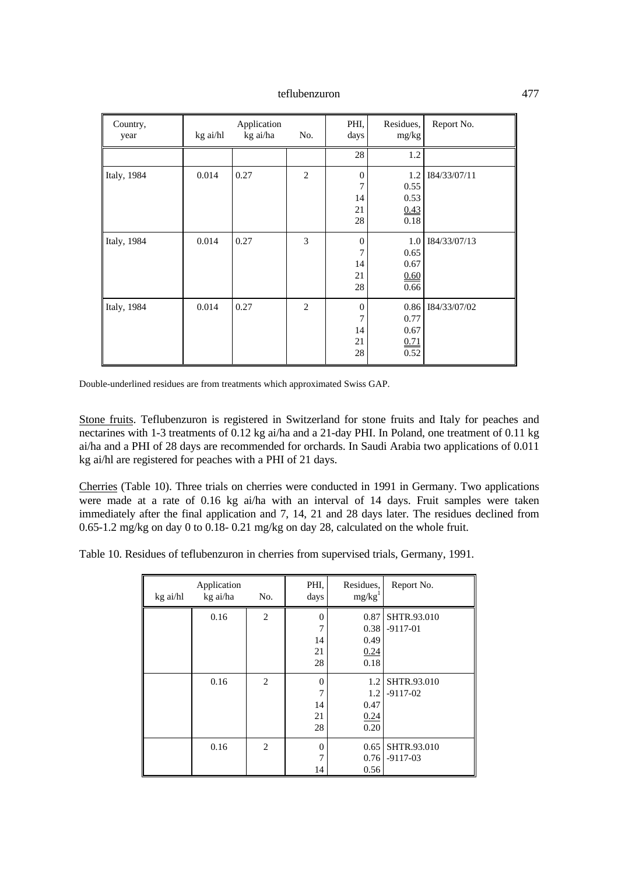| Country,<br>year    | kg ai/hl | Application<br>kg ai/ha | No.            | PHI,<br>days                            | Residues,<br>mg/kg                   | Report No.   |
|---------------------|----------|-------------------------|----------------|-----------------------------------------|--------------------------------------|--------------|
|                     |          |                         |                | 28                                      | 1.2                                  |              |
| Italy, 1984         | 0.014    | 0.27                    | $\overline{2}$ | $\boldsymbol{0}$<br>7<br>14<br>21<br>28 | 1.2<br>0.55<br>0.53<br>0.43<br>0.18  | I84/33/07/11 |
| <b>Italy</b> , 1984 | 0.014    | 0.27                    | 3              | $\theta$<br>7<br>14<br>21<br>28         | 1.0<br>0.65<br>0.67<br>0.60<br>0.66  | I84/33/07/13 |
| <b>Italy</b> , 1984 | 0.014    | 0.27                    | $\overline{2}$ | $\theta$<br>7<br>14<br>21<br>28         | 0.86<br>0.77<br>0.67<br>0.71<br>0.52 | I84/33/07/02 |

Double-underlined residues are from treatments which approximated Swiss GAP.

Stone fruits. Teflubenzuron is registered in Switzerland for stone fruits and Italy for peaches and nectarines with 1-3 treatments of 0.12 kg ai/ha and a 21-day PHI. In Poland, one treatment of 0.11 kg ai/ha and a PHI of 28 days are recommended for orchards. In Saudi Arabia two applications of 0.011 kg ai/hl are registered for peaches with a PHI of 21 days.

Cherries (Table 10). Three trials on cherries were conducted in 1991 in Germany. Two applications were made at a rate of 0.16 kg ai/ha with an interval of 14 days. Fruit samples were taken immediately after the final application and 7, 14, 21 and 28 days later. The residues declined from 0.65-1.2 mg/kg on day 0 to 0.18- 0.21 mg/kg on day 28, calculated on the whole fruit.

Table 10. Residues of teflubenzuron in cherries from supervised trials, Germany, 1991.

| kg ai/hl | Application<br>kg ai/ha | No.            | PHI,<br>days                     | Residues,<br>mg/kg <sup>1</sup>      | Report No.                |
|----------|-------------------------|----------------|----------------------------------|--------------------------------------|---------------------------|
|          | 0.16                    | $\mathfrak{2}$ | 0<br>7<br>14<br>21<br>28         | 0.87<br>0.38<br>0.49<br>0.24<br>0.18 | SHTR.93.010<br>$-9117-01$ |
|          | 0.16                    | $\overline{2}$ | $\theta$<br>7<br>14<br>21<br>28  | 1.2<br>1.2<br>0.47<br>0.24<br>0.20   | SHTR.93.010<br>$-9117-02$ |
|          | 0.16                    | $\overline{2}$ | $\Omega$<br>$\overline{7}$<br>14 | 0.65<br>0.76<br>0.56                 | SHTR.93.010<br>$-9117-03$ |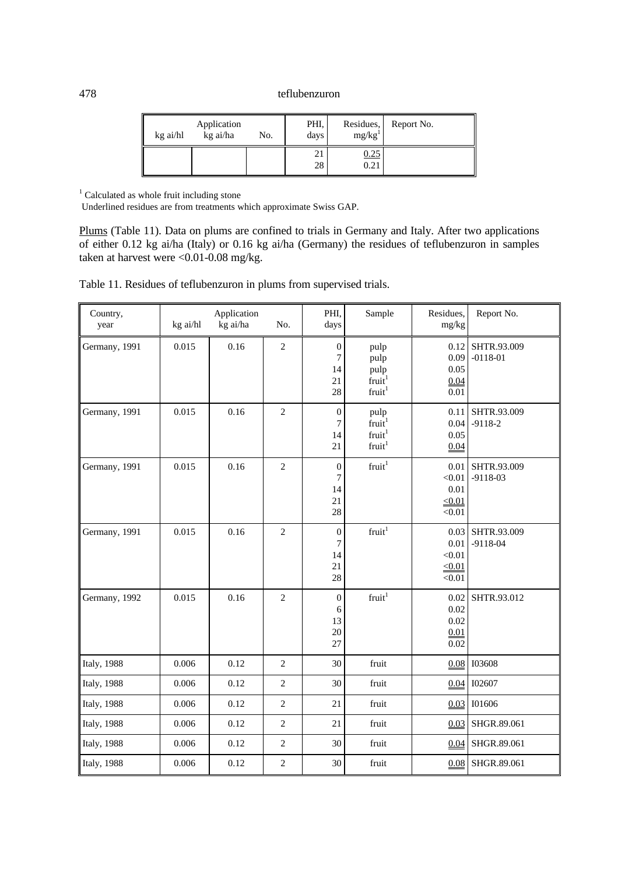| kg ai/hl | Application<br>kg ai/ha | No. | PHI,<br>days | Residues,<br>mg/kg <sup>1</sup> | Report No. |
|----------|-------------------------|-----|--------------|---------------------------------|------------|
|          |                         |     | 21<br>28     | 0.25<br>0.21                    |            |

<sup>1</sup> Calculated as whole fruit including stone

Underlined residues are from treatments which approximate Swiss GAP.

Plums (Table 11). Data on plums are confined to trials in Germany and Italy. After two applications of either 0.12 kg ai/ha (Italy) or 0.16 kg ai/ha (Germany) the residues of teflubenzuron in samples taken at harvest were  $\langle 0.01 - 0.08 \text{ mg/kg}.$ 

Table 11. Residues of teflubenzuron in plums from supervised trials.

| Country,<br>year    | kg ai/hl | Application<br>kg ai/ha | No.            | PHI,<br>days                            | Sample                                                                 | Residues,<br>mg/kg                         | Report No.                |
|---------------------|----------|-------------------------|----------------|-----------------------------------------|------------------------------------------------------------------------|--------------------------------------------|---------------------------|
| Germany, 1991       | 0.015    | 0.16                    | $\mathfrak{2}$ | $\boldsymbol{0}$<br>7<br>14<br>21<br>28 | pulp<br>pulp<br>pulp<br>fruit <sup>1</sup><br>fruit <sup>1</sup>       | 0.12<br>0.09<br>0.05<br>0.04<br>0.01       | SHTR.93.009<br>$-0118-01$ |
| Germany, 1991       | 0.015    | 0.16                    | $\overline{c}$ | $\boldsymbol{0}$<br>7<br>14<br>21       | pulp<br>fruit <sup>1</sup><br>fruit <sup>1</sup><br>fruit <sup>1</sup> | 0.11<br>0.04<br>0.05<br>0.04               | SHTR.93.009<br>$-9118-2$  |
| Germany, 1991       | 0.015    | 0.16                    | $\overline{c}$ | $\boldsymbol{0}$<br>7<br>14<br>21<br>28 | $\mbox{fruit}^1$                                                       | 0.01<br>< 0.01<br>0.01<br>< 0.01<br>< 0.01 | SHTR.93.009<br>$-9118-03$ |
| Germany, 1991       | 0.015    | 0.16                    | $\overline{c}$ | $\boldsymbol{0}$<br>7<br>14<br>21<br>28 | fruit <sup>1</sup>                                                     | 0.03<br>0.01<br>< 0.01<br>< 0.01<br>< 0.01 | SHTR.93.009<br>$-9118-04$ |
| Germany, 1992       | 0.015    | 0.16                    | $\overline{2}$ | $\boldsymbol{0}$<br>6<br>13<br>20<br>27 | $\mbox{fruit}^1$                                                       | 0.02<br>0.02<br>0.02<br>0.01<br>0.02       | SHTR.93.012               |
| <b>Italy</b> , 1988 | 0.006    | 0.12                    | $\overline{c}$ | 30                                      | fruit                                                                  | 0.08                                       | <b>I03608</b>             |
| <b>Italy</b> , 1988 | 0.006    | 0.12                    | $\mathfrak{2}$ | 30                                      | fruit                                                                  | 0.04                                       | I02607                    |
| <b>Italy</b> , 1988 | 0.006    | 0.12                    | $\sqrt{2}$     | 21                                      | fruit                                                                  | 0.03                                       | I01606                    |
| <b>Italy</b> , 1988 | 0.006    | 0.12                    | $\overline{c}$ | 21                                      | fruit                                                                  | 0.03                                       | SHGR.89.061               |
| <b>Italy</b> , 1988 | 0.006    | 0.12                    | $\overline{c}$ | 30                                      | fruit                                                                  | 0.04                                       | SHGR.89.061               |
| <b>Italy</b> , 1988 | 0.006    | 0.12                    | $\mathfrak{2}$ | 30                                      | fruit                                                                  | 0.08                                       | SHGR.89.061               |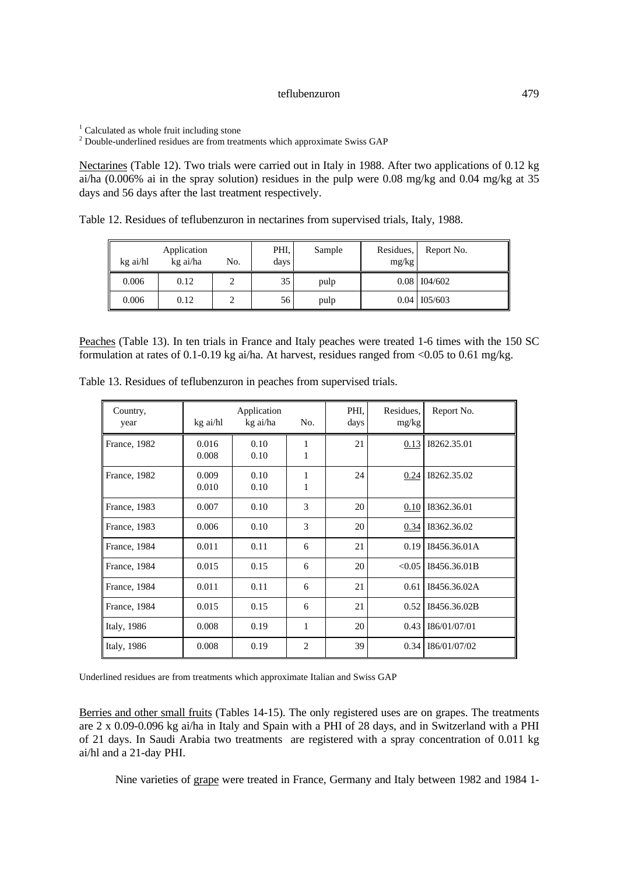<sup>1</sup> Calculated as whole fruit including stone

 $2^{2}$  Double-underlined residues are from treatments which approximate Swiss GAP

Nectarines (Table 12). Two trials were carried out in Italy in 1988. After two applications of 0.12 kg ai/ha (0.006% ai in the spray solution) residues in the pulp were 0.08 mg/kg and 0.04 mg/kg at 35 days and 56 days after the last treatment respectively.

Table 12. Residues of teflubenzuron in nectarines from supervised trials, Italy, 1988.

| kg ai/hl | Application<br>kg ai/ha | No. | PHI,<br>days | Sample | Residues,<br>mg/kg | Report No.     |
|----------|-------------------------|-----|--------------|--------|--------------------|----------------|
| 0.006    | 0.12                    | ∸   | 35           | pulp   |                    | $0.08$ 104/602 |
| 0.006    | 0.12                    |     | 56           | pulp   |                    | $0.04$ 105/603 |

Peaches (Table 13). In ten trials in France and Italy peaches were treated 1-6 times with the 150 SC formulation at rates of 0.1-0.19 kg ai/ha. At harvest, residues ranged from <0.05 to 0.61 mg/kg.

| Country,<br>year | kg ai/hl       | Application<br>kg ai/ha | No.            | PHI.<br>days | Residues,<br>mg/kg | Report No.   |
|------------------|----------------|-------------------------|----------------|--------------|--------------------|--------------|
| France, 1982     | 0.016<br>0.008 | 0.10<br>0.10            | 1              | 21           | 0.13               | 18262.35.01  |
| France, 1982     | 0.009<br>0.010 | 0.10<br>0.10            | 1              | 24           | 0.24               | 18262.35.02  |
| France, 1983     | 0.007          | 0.10                    | $\mathcal{E}$  | 20           | 0.10               | 18362.36.01  |
| France, 1983     | 0.006          | 0.10                    | $\mathcal{F}$  | 20           | 0.34               | 18362.36.02  |
| France, 1984     | 0.011          | 0.11                    | 6              | 21           | 0.19               | I8456.36.01A |
| France, 1984     | 0.015          | 0.15                    | 6              | 20           | < 0.05             | I8456.36.01B |
| France, 1984     | 0.011          | 0.11                    | 6              | 21           | 0.61               | I8456.36.02A |
| France, 1984     | 0.015          | 0.15                    | 6              | 21           | 0.52               | I8456.36.02B |
| Italy, 1986      | 0.008          | 0.19                    | 1              | 20           | 0.43               | I86/01/07/01 |
| Italy, 1986      | 0.008          | 0.19                    | $\overline{c}$ | 39           | 0.34               | I86/01/07/02 |

Table 13. Residues of teflubenzuron in peaches from supervised trials.

Underlined residues are from treatments which approximate Italian and Swiss GAP

Berries and other small fruits (Tables 14-15). The only registered uses are on grapes. The treatments are 2 x 0.09-0.096 kg ai/ha in Italy and Spain with a PHI of 28 days, and in Switzerland with a PHI of 21 days. In Saudi Arabia two treatments are registered with a spray concentration of 0.011 kg ai/hl and a 21-day PHI.

Nine varieties of grape were treated in France, Germany and Italy between 1982 and 1984 1-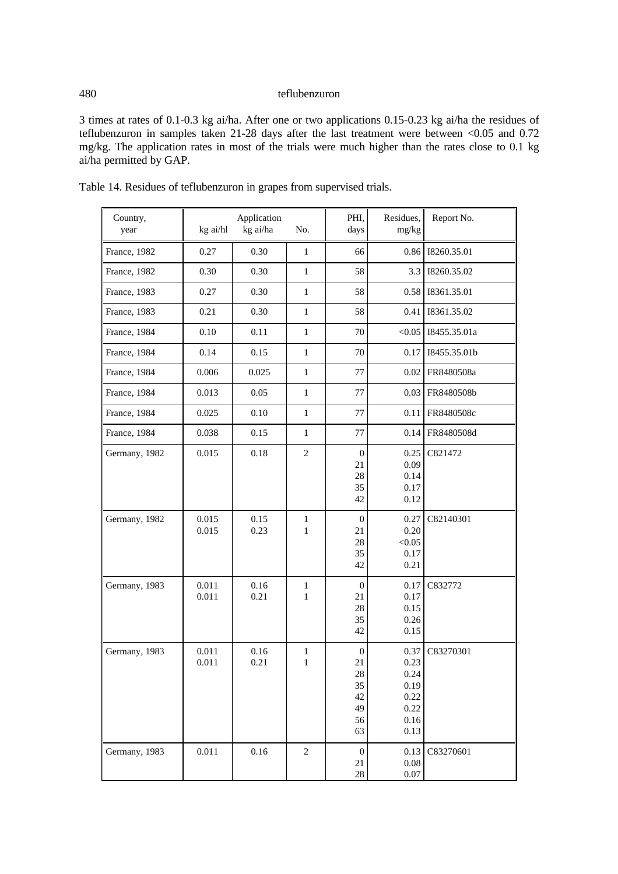3 times at rates of 0.1-0.3 kg ai/ha. After one or two applications 0.15-0.23 kg ai/ha the residues of teflubenzuron in samples taken 21-28 days after the last treatment were between <0.05 and 0.72 mg/kg. The application rates in most of the trials were much higher than the rates close to 0.1 kg ai/ha permitted by GAP.

| Country,<br>year | kg ai/hl       | Application<br>kg ai/ha | No.                          | PHI,<br>days                                       | Residues,<br>mg/kg                                           | Report No.   |
|------------------|----------------|-------------------------|------------------------------|----------------------------------------------------|--------------------------------------------------------------|--------------|
| France, 1982     | 0.27           | 0.30                    | $\mathbf 1$                  | 66                                                 | 0.86                                                         | 18260.35.01  |
| France, 1982     | 0.30           | 0.30                    | $\mathbf{1}$                 | 58                                                 | 3.3                                                          | 18260.35.02  |
| France, 1983     | 0.27           | 0.30                    | $\mathbf{1}$                 | 58                                                 | 0.58                                                         | 18361.35.01  |
| France, 1983     | 0.21           | 0.30                    | $\mathbf{1}$                 | 58                                                 | 0.41                                                         | 18361.35.02  |
| France, 1984     | 0.10           | 0.11                    | $\mathbf{1}$                 | 70                                                 | < 0.05                                                       | I8455.35.01a |
| France, 1984     | 0.14           | 0.15                    | $\mathbf{1}$                 | 70                                                 | 0.17                                                         | I8455.35.01b |
| France, 1984     | 0.006          | 0.025                   | $\mathbf{1}$                 | 77                                                 | 0.02                                                         | FR8480508a   |
| France, 1984     | 0.013          | 0.05                    | $\mathbf{1}$                 | 77                                                 | 0.03                                                         | FR8480508b   |
| France, 1984     | 0.025          | 0.10                    | $\mathbf{1}$                 | 77                                                 | 0.11                                                         | FR8480508c   |
| France, 1984     | 0.038          | 0.15                    | $\mathbf{1}$                 | 77                                                 | 0.14                                                         | FR8480508d   |
| Germany, 1982    | 0.015          | 0.18                    | $\overline{2}$               | $\boldsymbol{0}$<br>21<br>28<br>35<br>42           | 0.25<br>0.09<br>0.14<br>0.17<br>0.12                         | C821472      |
| Germany, 1982    | 0.015<br>0.015 | 0.15<br>0.23            | $\mathbf{1}$<br>$\mathbf{1}$ | $\boldsymbol{0}$<br>21<br>28<br>35<br>42           | 0.27<br>0.20<br>< 0.05<br>0.17<br>0.21                       | C82140301    |
| Germany, 1983    | 0.011<br>0.011 | 0.16<br>0.21            | $\mathbf 1$<br>1             | $\boldsymbol{0}$<br>21<br>28<br>35<br>42           | 0.17<br>0.17<br>0.15<br>0.26<br>0.15                         | C832772      |
| Germany, 1983    | 0.011<br>0.011 | 0.16<br>0.21            | 1<br>1                       | $\theta$<br>21<br>28<br>35<br>42<br>49<br>56<br>63 | 0.37<br>0.23<br>0.24<br>0.19<br>0.22<br>0.22<br>0.16<br>0.13 | C83270301    |
| Germany, 1983    | 0.011          | 0.16                    | $\mathbf{2}$                 | $\boldsymbol{0}$<br>21<br>$28\,$                   | 0.13<br>$0.08\,$<br>$0.07\,$                                 | C83270601    |

Table 14. Residues of teflubenzuron in grapes from supervised trials.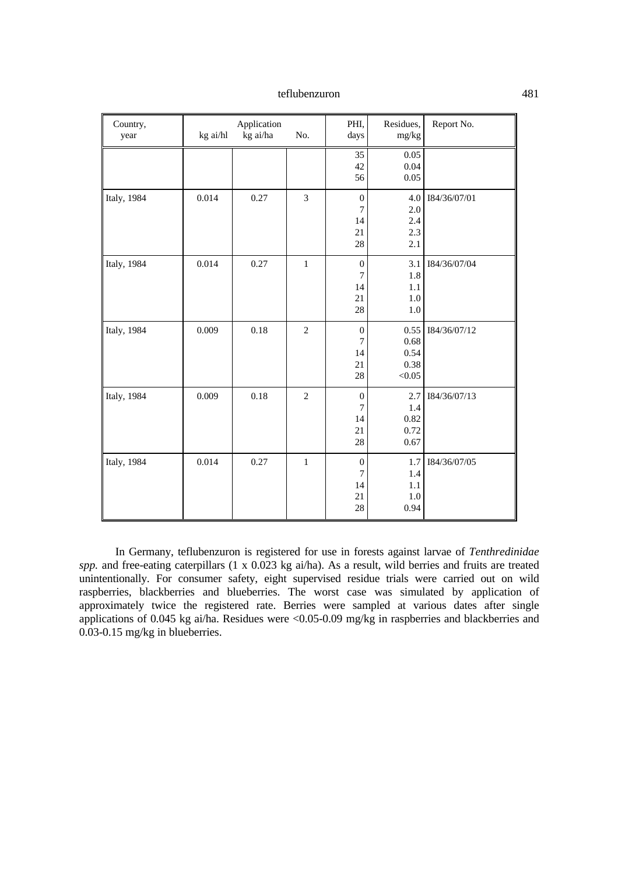| Country,<br>year | kg ai/hl | Application<br>kg ai/ha | No.            | PHI,<br>days                                 | Residues,<br>mg/kg                     | Report No.   |
|------------------|----------|-------------------------|----------------|----------------------------------------------|----------------------------------------|--------------|
|                  |          |                         |                | 35<br>42<br>56                               | 0.05<br>0.04<br>0.05                   |              |
| Italy, 1984      | 0.014    | 0.27                    | 3              | $\boldsymbol{0}$<br>7<br>14<br>21<br>28      | 4.0<br>2.0<br>2.4<br>2.3<br>2.1        | 184/36/07/01 |
| Italy, 1984      | 0.014    | 0.27                    | $\mathbf{1}$   | $\boldsymbol{0}$<br>7<br>14<br>21<br>28      | 3.1<br>1.8<br>1.1<br>1.0<br>1.0        | I84/36/07/04 |
| Italy, 1984      | 0.009    | 0.18                    | $\overline{c}$ | $\boldsymbol{0}$<br>7<br>14<br>21<br>28      | 0.55<br>0.68<br>0.54<br>0.38<br>< 0.05 | 184/36/07/12 |
| Italy, 1984      | 0.009    | 0.18                    | $\overline{c}$ | $\boldsymbol{0}$<br>$\tau$<br>14<br>21<br>28 | 2.7<br>1.4<br>0.82<br>0.72<br>0.67     | I84/36/07/13 |
| Italy, 1984      | 0.014    | 0.27                    | $\mathbf{1}$   | $\boldsymbol{0}$<br>7<br>14<br>21<br>28      | 1.7<br>1.4<br>1.1<br>1.0<br>0.94       | I84/36/07/05 |

In Germany, teflubenzuron is registered for use in forests against larvae of *Tenthredinidae spp.* and free-eating caterpillars (1 x 0.023 kg ai/ha). As a result, wild berries and fruits are treated unintentionally. For consumer safety, eight supervised residue trials were carried out on wild raspberries, blackberries and blueberries. The worst case was simulated by application of approximately twice the registered rate. Berries were sampled at various dates after single applications of 0.045 kg ai/ha. Residues were <0.05-0.09 mg/kg in raspberries and blackberries and 0.03-0.15 mg/kg in blueberries.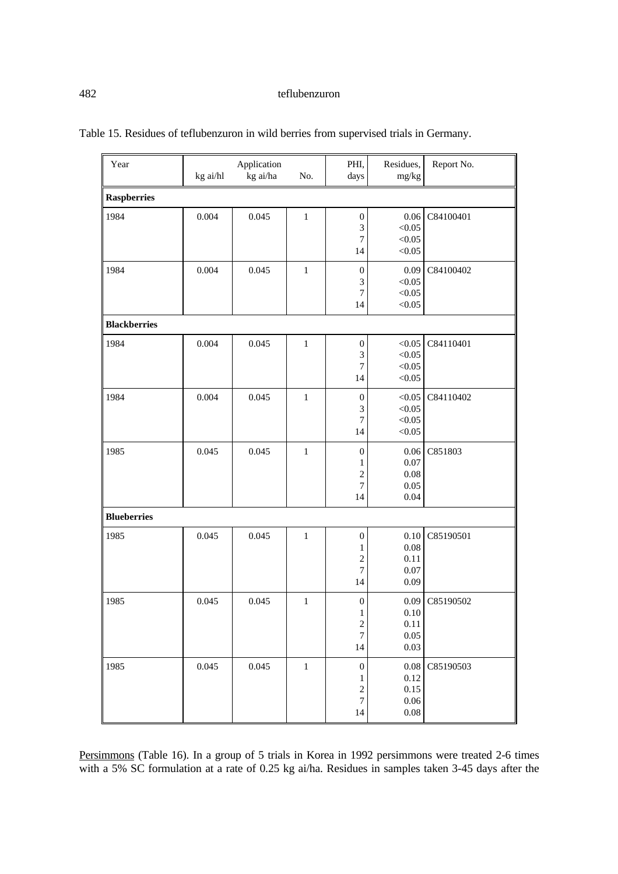| Year                | kg ai/hl | Application<br>kg ai/ha | No.          | PHI,<br>days                                                                        | Residues,<br>mg/kg                               | Report No. |
|---------------------|----------|-------------------------|--------------|-------------------------------------------------------------------------------------|--------------------------------------------------|------------|
| <b>Raspberries</b>  |          |                         |              |                                                                                     |                                                  |            |
| 1984                | 0.004    | 0.045                   | $\,1\,$      | $\boldsymbol{0}$<br>3<br>7<br>14                                                    | 0.06<br>< 0.05<br>< 0.05<br>< 0.05               | C84100401  |
| 1984                | 0.004    | 0.045                   | $\mathbf{1}$ | $\boldsymbol{0}$<br>3<br>$\boldsymbol{7}$<br>14                                     | 0.09<br>< 0.05<br>< 0.05<br>< 0.05               | C84100402  |
| <b>Blackberries</b> |          |                         |              |                                                                                     |                                                  |            |
| 1984                | 0.004    | 0.045                   | $\,1\,$      | $\boldsymbol{0}$<br>3<br>7<br>14                                                    | < 0.05<br>< 0.05<br>< 0.05<br>< 0.05             | C84110401  |
| 1984                | 0.004    | 0.045                   | $\mathbf 1$  | $\boldsymbol{0}$<br>3<br>$\overline{7}$<br>14                                       | < 0.05<br>< 0.05<br>< 0.05<br>< 0.05             | C84110402  |
| 1985                | 0.045    | 0.045                   | $\mathbf{1}$ | $\boldsymbol{0}$<br>1<br>$\overline{c}$<br>$\overline{7}$<br>14                     | 0.06<br>0.07<br>0.08<br>0.05<br>0.04             | C851803    |
| <b>Blueberries</b>  |          |                         |              |                                                                                     |                                                  |            |
| 1985                | 0.045    | 0.045                   | $\mathbf{1}$ | $\boldsymbol{0}$<br>1<br>$\overline{c}$<br>$\boldsymbol{7}$<br>14                   | $0.10\,$<br>0.08<br>0.11<br>0.07<br>0.09         | C85190501  |
| 1985                | 0.045    | 0.045                   | $\mathbf{1}$ | $\boldsymbol{0}$<br>$\mathbf{1}$<br>$\overline{\mathbf{c}}$<br>$\overline{7}$<br>14 | 0.09<br>$0.10\,$<br>0.11<br>0.05<br>0.03         | C85190502  |
| 1985                | 0.045    | 0.045                   | $\,1$        | $\boldsymbol{0}$<br>1<br>$\overline{\mathbf{c}}$<br>$\sqrt{ }$<br>14                | $0.08\,$<br>0.12<br>0.15<br>$0.06\,$<br>$0.08\,$ | C85190503  |

Table 15. Residues of teflubenzuron in wild berries from supervised trials in Germany.

Persimmons (Table 16). In a group of 5 trials in Korea in 1992 persimmons were treated 2-6 times with a 5% SC formulation at a rate of 0.25 kg ai/ha. Residues in samples taken 3-45 days after the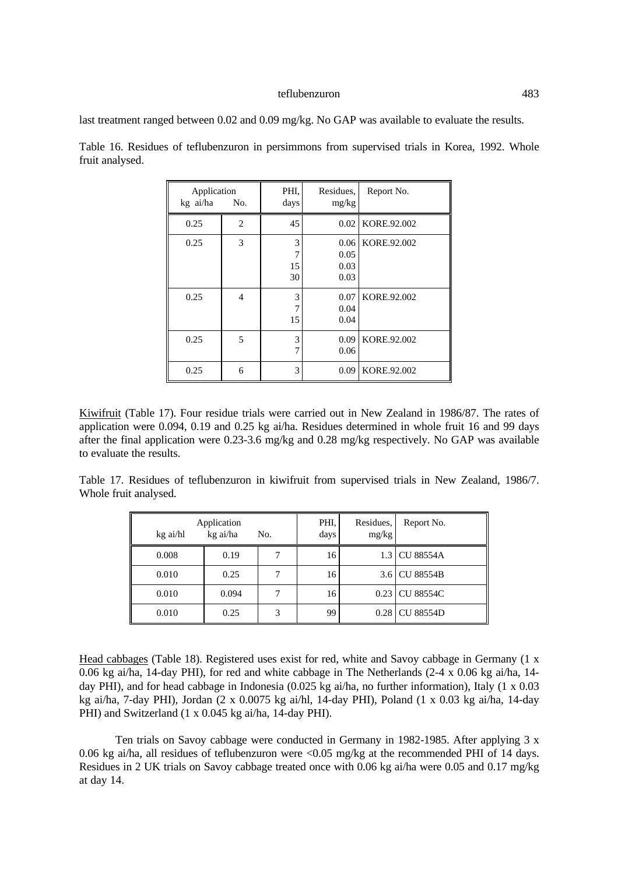last treatment ranged between 0.02 and 0.09 mg/kg. No GAP was available to evaluate the results.

| Application<br>kg ai/ha | No.            | PHI.<br>days       | Residues,<br>mg/kg           | Report No.  |
|-------------------------|----------------|--------------------|------------------------------|-------------|
| 0.25                    | 2              | 45                 | 0.02                         | KORE.92.002 |
| 0.25                    | 3              | 3<br>7<br>15<br>30 | 0.06<br>0.05<br>0.03<br>0.03 | KORE.92.002 |
| 0.25                    | $\overline{4}$ | 3<br>15            | 0.07<br>0.04<br>0.04         | KORE.92.002 |
| 0.25                    | 5              | 3<br>7             | 0.09<br>0.06                 | KORE.92.002 |
| 0.25                    | 6              | 3                  | 0.09                         | KORE.92.002 |

Table 16. Residues of teflubenzuron in persimmons from supervised trials in Korea, 1992. Whole fruit analysed.

Kiwifruit (Table 17). Four residue trials were carried out in New Zealand in 1986/87. The rates of application were 0.094, 0.19 and 0.25 kg ai/ha. Residues determined in whole fruit 16 and 99 days after the final application were 0.23-3.6 mg/kg and 0.28 mg/kg respectively. No GAP was available to evaluate the results.

Table 17. Residues of teflubenzuron in kiwifruit from supervised trials in New Zealand, 1986/7. Whole fruit analysed.

| kg ai/hl | Application<br>kg ai/ha | No. | PHI.<br>days | Residues,<br>mg/kg | Report No.       |
|----------|-------------------------|-----|--------------|--------------------|------------------|
| 0.008    | 0.19                    |     | 16           |                    | 1.3 CU 88554A    |
| 0.010    | 0.25                    |     | 16           |                    | 3.6 CU 88554B    |
| 0.010    | 0.094                   |     | 16           |                    | 0.23 CU 88554C   |
| 0.010    | 0.25                    | 3   | 99           | 0.28               | <b>CU 88554D</b> |

Head cabbages (Table 18). Registered uses exist for red, white and Savoy cabbage in Germany (1 x 0.06 kg ai/ha, 14-day PHI), for red and white cabbage in The Netherlands (2-4 x 0.06 kg ai/ha, 14 day PHI), and for head cabbage in Indonesia (0.025 kg ai/ha, no further information), Italy (1 x 0.03 kg ai/ha, 7-day PHI), Jordan (2 x 0.0075 kg ai/hl, 14-day PHI), Poland (1 x 0.03 kg ai/ha, 14-day PHI) and Switzerland (1 x 0.045 kg ai/ha, 14-day PHI).

Ten trials on Savoy cabbage were conducted in Germany in 1982-1985. After applying 3 x 0.06 kg ai/ha, all residues of teflubenzuron were <0.05 mg/kg at the recommended PHI of 14 days. Residues in 2 UK trials on Savoy cabbage treated once with 0.06 kg ai/ha were 0.05 and 0.17 mg/kg at day 14.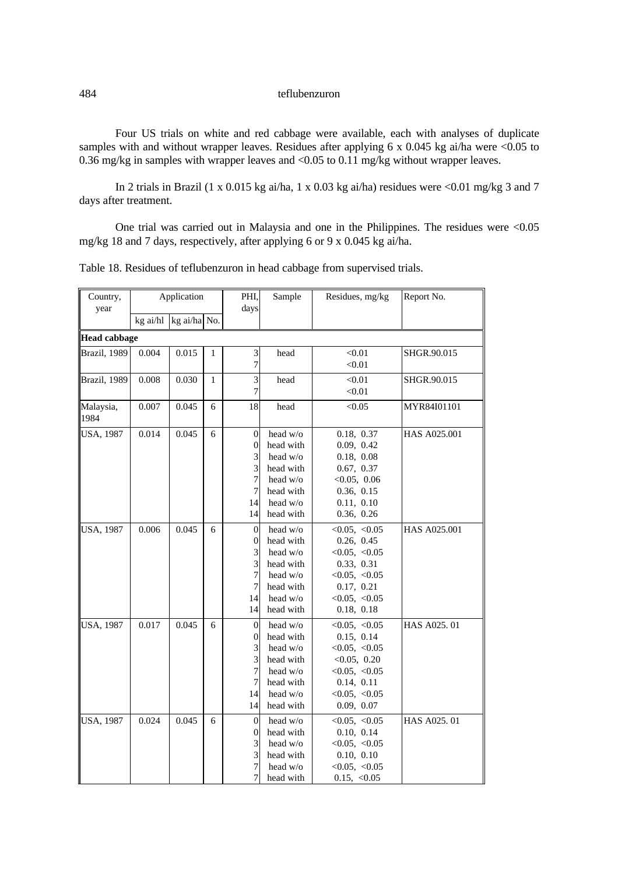Four US trials on white and red cabbage were available, each with analyses of duplicate samples with and without wrapper leaves. Residues after applying 6 x 0.045 kg ai/ha were <0.05 to 0.36 mg/kg in samples with wrapper leaves and <0.05 to 0.11 mg/kg without wrapper leaves.

In 2 trials in Brazil (1 x 0.015 kg ai/ha, 1 x 0.03 kg ai/ha) residues were  $\leq 0.01$  mg/kg 3 and 7 days after treatment.

One trial was carried out in Malaysia and one in the Philippines. The residues were <0.05 mg/kg 18 and 7 days, respectively, after applying 6 or 9 x 0.045 kg ai/ha.

|  |  | Table 18. Residues of teflubenzuron in head cabbage from supervised trials. |  |  |  |  |  |
|--|--|-----------------------------------------------------------------------------|--|--|--|--|--|
|--|--|-----------------------------------------------------------------------------|--|--|--|--|--|

| Country,<br>year    |          | Application  |              | PHI,<br>days                                                            | Sample                                                                                             | Residues, mg/kg                                                                                                                | Report No.   |
|---------------------|----------|--------------|--------------|-------------------------------------------------------------------------|----------------------------------------------------------------------------------------------------|--------------------------------------------------------------------------------------------------------------------------------|--------------|
|                     | kg ai/hl | kg ai/ha No. |              |                                                                         |                                                                                                    |                                                                                                                                |              |
| <b>Head cabbage</b> |          |              |              |                                                                         |                                                                                                    |                                                                                                                                |              |
| Brazil, 1989        | 0.004    | 0.015        | $\mathbf{1}$ | 3<br>7                                                                  | head                                                                                               | < 0.01<br>< 0.01                                                                                                               | SHGR.90.015  |
| Brazil, 1989        | 0.008    | 0.030        | $\mathbf{1}$ | $\overline{3}$<br>7                                                     | head                                                                                               | < 0.01<br>< 0.01                                                                                                               | SHGR.90.015  |
| Malaysia,<br>1984   | 0.007    | 0.045        | 6            | 18                                                                      | head                                                                                               | < 0.05                                                                                                                         | MYR84I01101  |
| <b>USA, 1987</b>    | 0.014    | 0.045        | 6            | $\boldsymbol{0}$<br>$\boldsymbol{0}$<br>3<br>3<br>7<br>7<br>14<br>14    | head w/o<br>head with<br>head w/o<br>head with<br>head $w/o$<br>head with<br>head w/o<br>head with | 0.18, 0.37<br>0.09, 0.42<br>0.18, 0.08<br>0.67, 0.37<br>< 0.05, 0.06<br>0.36, 0.15<br>0.11, 0.10<br>0.36, 0.26                 | HAS A025.001 |
| <b>USA, 1987</b>    | 0.006    | 0.045        | 6            | $\overline{0}$<br>$\boldsymbol{0}$<br>3<br>3<br>7<br>$\tau$<br>14<br>14 | head w/o<br>head with<br>head w/o<br>head with<br>head $w/o$<br>head with<br>head w/o<br>head with | < 0.05, < 0.05<br>0.26, 0.45<br>< 0.05, < 0.05<br>0.33, 0.31<br>< 0.05, < 0.05<br>0.17, 0.21<br>< 0.05, < 0.05<br>0.18, 0.18   | HAS A025.001 |
| <b>USA, 1987</b>    | 0.017    | 0.045        | 6            | $\boldsymbol{0}$<br>0<br>3<br>3<br>7<br>7<br>14<br>14                   | head w/o<br>head with<br>head w/o<br>head with<br>head $w/o$<br>head with<br>head w/o<br>head with | < 0.05, < 0.05<br>0.15, 0.14<br>< 0.05, < 0.05<br>< 0.05, 0.20<br>< 0.05, < 0.05<br>0.14, 0.11<br>< 0.05, < 0.05<br>0.09, 0.07 | HAS A025.01  |
| <b>USA, 1987</b>    | 0.024    | 0.045        | 6            | $\overline{0}$<br>0<br>3<br>3<br>$\sqrt{ }$<br>$\overline{7}$           | head w/o<br>head with<br>head w/o<br>head with<br>head w/o<br>head with                            | < 0.05, < 0.05<br>0.10, 0.14<br>< 0.05, < 0.05<br>0.10, 0.10<br>< 0.05, < 0.05<br>0.15, < 0.05                                 | HAS A025.01  |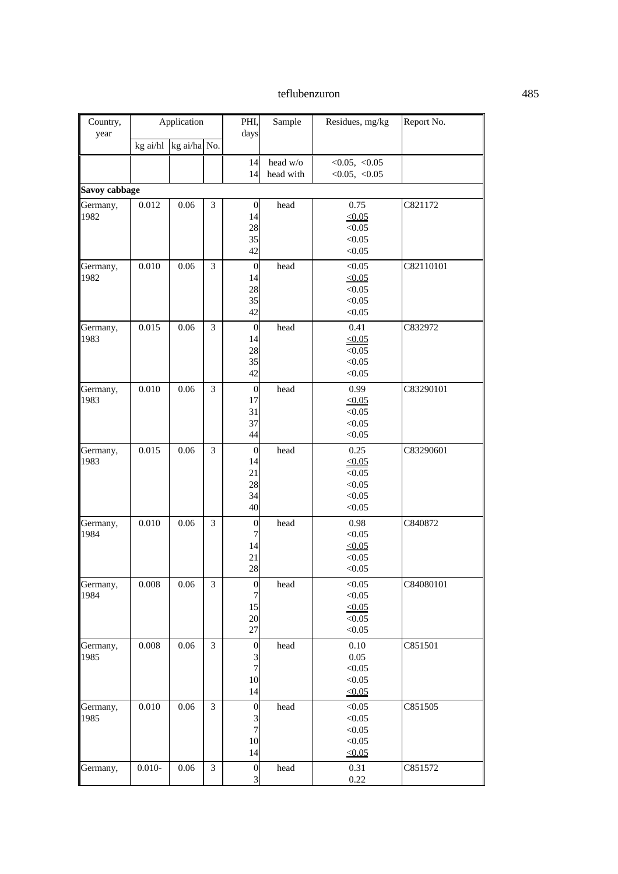| Country,      |           | Application  |   | PHI,             | Sample    | Residues, mg/kg       | Report No. |
|---------------|-----------|--------------|---|------------------|-----------|-----------------------|------------|
| year          |           |              |   | days             |           |                       |            |
|               | kg ai/hl  | kg ai/ha No. |   |                  |           |                       |            |
|               |           |              |   | 14               | head w/o  | < 0.05, < 0.05        |            |
|               |           |              |   | 14               | head with | < 0.05, < 0.05        |            |
| Savoy cabbage |           |              |   |                  |           |                       |            |
| Germany,      | 0.012     | 0.06         | 3 | $\mathbf{0}$     | head      | 0.75                  | C821172    |
| 1982          |           |              |   | 14               |           | < 0.05                |            |
|               |           |              |   | 28               |           | < 0.05                |            |
|               |           |              |   | 35               |           | < 0.05                |            |
|               |           |              |   | 42               |           | < 0.05                |            |
| Germany,      | 0.010     | 0.06         | 3 | $\mathbf{0}$     | head      | < 0.05                | C82110101  |
| 1982          |           |              |   | 14               |           | < 0.05                |            |
|               |           |              |   | 28               |           | < 0.05                |            |
|               |           |              |   | 35               |           | < 0.05                |            |
|               |           |              |   | 42               |           | < 0.05                |            |
| Germany,      | 0.015     | 0.06         | 3 | $\mathbf{0}$     | head      | 0.41                  | C832972    |
| 1983          |           |              |   | 14               |           | < 0.05                |            |
|               |           |              |   | 28               |           | < 0.05                |            |
|               |           |              |   | 35<br>42         |           | < 0.05<br>< 0.05      |            |
|               |           |              |   |                  |           |                       |            |
| Germany,      | 0.010     | 0.06         | 3 | $\mathbf{0}$     | head      | 0.99                  | C83290101  |
| 1983          |           |              |   | 17               |           | < 0.05                |            |
|               |           |              |   | 31<br>37         |           | < 0.05<br>< 0.05      |            |
|               |           |              |   | 44               |           | < 0.05                |            |
|               |           |              |   |                  |           |                       |            |
| Germany,      | 0.015     | 0.06         | 3 | $\mathbf{0}$     | head      | 0.25                  | C83290601  |
| 1983          |           |              |   | 14<br>21         |           | $\leq 0.05$<br>< 0.05 |            |
|               |           |              |   | 28               |           | < 0.05                |            |
|               |           |              |   | 34               |           | < 0.05                |            |
|               |           |              |   | 40               |           | < 0.05                |            |
| Germany,      | 0.010     | 0.06         | 3 | 0                | head      | 0.98                  | C840872    |
| 1984          |           |              |   | 7                |           | < 0.05                |            |
|               |           |              |   | 14               |           | $\leq 0.05$           |            |
|               |           |              |   | 21               |           | < 0.05                |            |
|               |           |              |   | 28               |           | < 0.05                |            |
| Germany,      | 0.008     | $0.06\,$     | 3 | $\boldsymbol{0}$ | head      | < 0.05                | C84080101  |
| 1984          |           |              |   | 7                |           | < 0.05                |            |
|               |           |              |   | 15               |           | $\leq 0.05$           |            |
|               |           |              |   | $20\,$           |           | < 0.05                |            |
|               |           |              |   | 27               |           | < 0.05                |            |
| Germany,      | 0.008     | 0.06         | 3 | $\boldsymbol{0}$ | head      | 0.10                  | C851501    |
| 1985          |           |              |   | 3                |           | 0.05                  |            |
|               |           |              |   | $\overline{7}$   |           | < 0.05                |            |
|               |           |              |   | 10               |           | < 0.05                |            |
|               |           |              |   | 14               |           | $\leq 0.05$           |            |
| Germany,      | 0.010     | 0.06         | 3 | $\boldsymbol{0}$ | head      | < 0.05                | C851505    |
| 1985          |           |              |   | 3                |           | < 0.05                |            |
|               |           |              |   | $\overline{7}$   |           | < 0.05                |            |
|               |           |              |   | 10               |           | < 0.05                |            |
|               |           |              |   | 14               |           | $\leq 0.05$           |            |
| Germany,      | $0.010 -$ | 0.06         | 3 | $\boldsymbol{0}$ | head      | 0.31                  | C851572    |
|               |           |              |   | 3                |           | 0.22                  |            |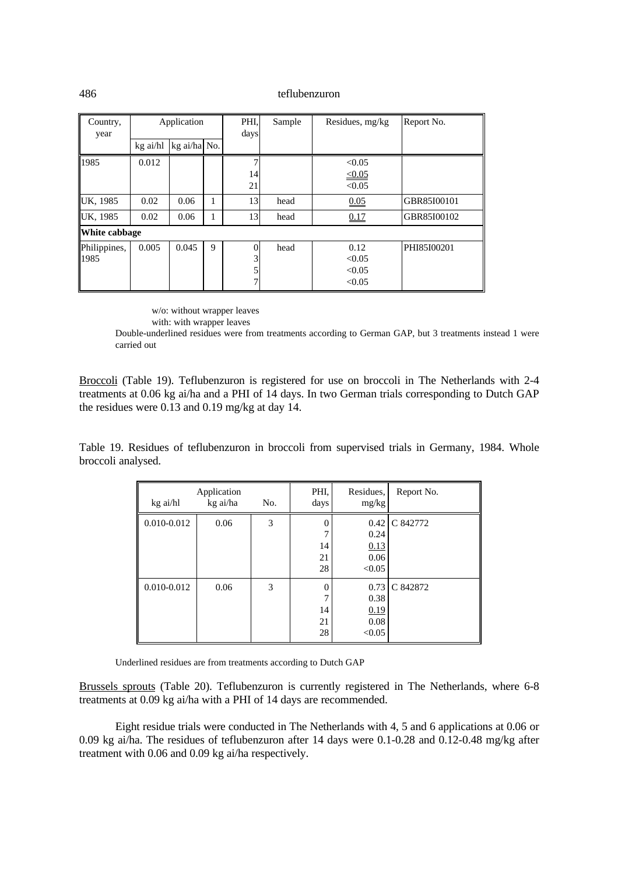| Country,             | Application |              |   | PHI,          | Sample | Residues, mg/kg                    | Report No.  |
|----------------------|-------------|--------------|---|---------------|--------|------------------------------------|-------------|
| year                 | kg ai/hl    | kg ai/ha No. |   | days          |        |                                    |             |
| 1985                 | 0.012       |              |   |               |        | < 0.05                             |             |
|                      |             |              |   | 14<br>21      |        | $\leq 0.05$<br>< 0.05              |             |
| UK, 1985             | 0.02        | 0.06         | 1 | 13            | head   | 0.05                               | GBR85I00101 |
| UK, 1985             | 0.02        | 0.06         |   | 13            | head   | 0.17                               | GBR85I00102 |
| White cabbage        |             |              |   |               |        |                                    |             |
| Philippines,<br>1985 | 0.005       | 0.045        | 9 | $\Omega$<br>3 | head   | 0.12<br>< 0.05<br>< 0.05<br>< 0.05 | PHI85I00201 |

w/o: without wrapper leaves

with: with wrapper leaves

Double-underlined residues were from treatments according to German GAP, but 3 treatments instead 1 were carried out

Broccoli (Table 19). Teflubenzuron is registered for use on broccoli in The Netherlands with 2-4 treatments at 0.06 kg ai/ha and a PHI of 14 days. In two German trials corresponding to Dutch GAP the residues were 0.13 and 0.19 mg/kg at day 14.

Table 19. Residues of teflubenzuron in broccoli from supervised trials in Germany, 1984. Whole broccoli analysed.

| kg ai/hl    | Application<br>kg ai/ha | No. | PHI,<br>days                    | Residues,<br>mg/kg                     | Report No. |
|-------------|-------------------------|-----|---------------------------------|----------------------------------------|------------|
| 0.010-0.012 | 0.06                    | 3   | 0<br>14<br>21<br>28             | 0.42<br>0.24<br>0.13<br>0.06<br>< 0.05 | C 842772   |
| 0.010-0.012 | 0.06                    | 3   | $\theta$<br>7<br>14<br>21<br>28 | 0.73<br>0.38<br>0.19<br>0.08<br>< 0.05 | C 842872   |

Underlined residues are from treatments according to Dutch GAP

Brussels sprouts (Table 20). Teflubenzuron is currently registered in The Netherlands, where 6-8 treatments at 0.09 kg ai/ha with a PHI of 14 days are recommended.

Eight residue trials were conducted in The Netherlands with 4, 5 and 6 applications at 0.06 or 0.09 kg ai/ha. The residues of teflubenzuron after 14 days were 0.1-0.28 and 0.12-0.48 mg/kg after treatment with 0.06 and 0.09 kg ai/ha respectively.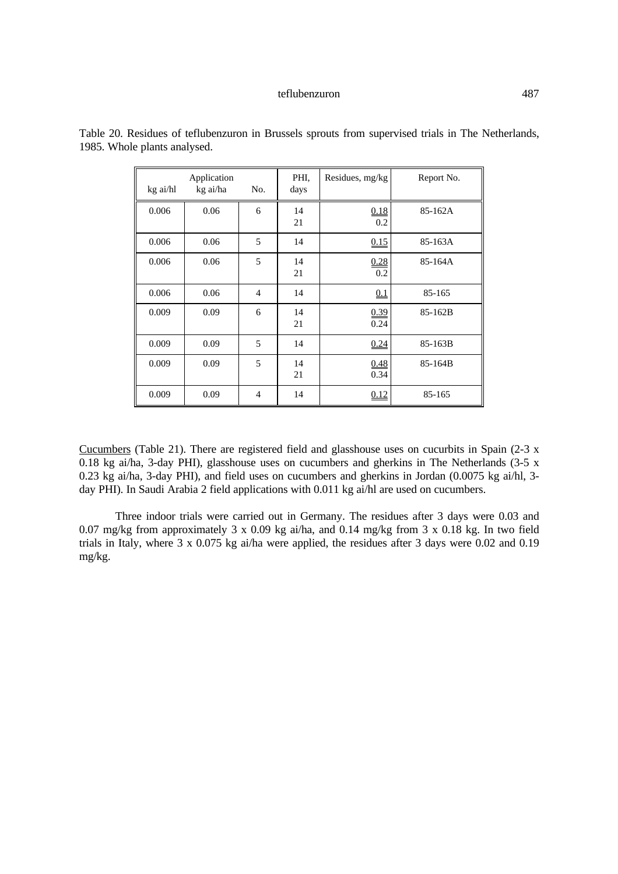| kg ai/hl | Application<br>kg ai/ha | No.            | PHI.<br>days | Residues, mg/kg | Report No. |
|----------|-------------------------|----------------|--------------|-----------------|------------|
| 0.006    | 0.06                    | 6              | 14<br>21     | 0.18<br>0.2     | 85-162A    |
| 0.006    | 0.06                    | 5              | 14           | 0.15            | 85-163A    |
| 0.006    | 0.06                    | 5              | 14<br>21     | 0.28<br>0.2     | 85-164A    |
| 0.006    | 0.06                    | $\overline{4}$ | 14           | 0.1             | 85-165     |
| 0.009    | 0.09                    | 6              | 14<br>21     | 0.39<br>0.24    | 85-162B    |
| 0.009    | 0.09                    | 5              | 14           | 0.24            | 85-163B    |
| 0.009    | 0.09                    | 5              | 14<br>21     | 0.48<br>0.34    | 85-164B    |
| 0.009    | 0.09                    | $\overline{4}$ | 14           | 0.12            | 85-165     |

Table 20. Residues of teflubenzuron in Brussels sprouts from supervised trials in The Netherlands, 1985. Whole plants analysed.

Cucumbers (Table 21). There are registered field and glasshouse uses on cucurbits in Spain (2-3 x 0.18 kg ai/ha, 3-day PHI), glasshouse uses on cucumbers and gherkins in The Netherlands (3-5 x 0.23 kg ai/ha, 3-day PHI), and field uses on cucumbers and gherkins in Jordan (0.0075 kg ai/hl, 3 day PHI). In Saudi Arabia 2 field applications with 0.011 kg ai/hl are used on cucumbers.

Three indoor trials were carried out in Germany. The residues after 3 days were 0.03 and 0.07 mg/kg from approximately 3 x 0.09 kg ai/ha, and 0.14 mg/kg from 3 x 0.18 kg. In two field trials in Italy, where 3 x 0.075 kg ai/ha were applied, the residues after 3 days were 0.02 and 0.19 mg/kg.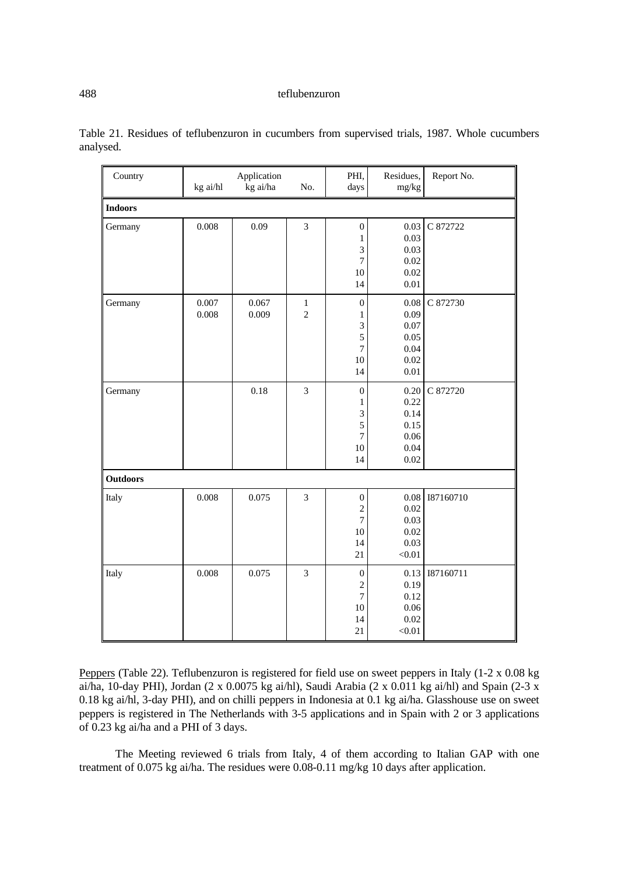| Country         | Application<br>kg ai/hl<br>kg ai/ha<br>No. |                |                               | PHI,<br>days                                                                  | Residues,<br>mg/kg                                   | Report No. |
|-----------------|--------------------------------------------|----------------|-------------------------------|-------------------------------------------------------------------------------|------------------------------------------------------|------------|
| <b>Indoors</b>  |                                            |                |                               |                                                                               |                                                      |            |
| Germany         | 0.008                                      | 0.09           | $\mathfrak{Z}$                | $\boldsymbol{0}$<br>$\mathbf 1$<br>3<br>$\boldsymbol{7}$<br>10                | 0.03<br>0.03<br>0.03<br>0.02<br>0.02                 | C 872722   |
| Germany         | 0.007<br>0.008                             | 0.067<br>0.009 | $\mathbf 1$<br>$\overline{c}$ | 14<br>$\boldsymbol{0}$<br>$\mathbf{1}$<br>3<br>5                              | 0.01<br>0.08<br>0.09<br>0.07<br>0.05                 | C 872730   |
|                 |                                            |                |                               | $\boldsymbol{7}$<br>10<br>14                                                  | 0.04<br>0.02<br>0.01                                 |            |
| Germany         |                                            | 0.18           | 3                             | $\boldsymbol{0}$<br>$\mathbf 1$<br>3<br>5<br>$\boldsymbol{7}$<br>$10\,$<br>14 | 0.20<br>0.22<br>0.14<br>0.15<br>0.06<br>0.04<br>0.02 | C 872720   |
| <b>Outdoors</b> |                                            |                |                               |                                                                               |                                                      |            |
| Italy           | 0.008                                      | 0.075          | 3                             | $\boldsymbol{0}$<br>$\sqrt{2}$<br>$\overline{7}$<br>10<br>14<br>21            | 0.08<br>0.02<br>0.03<br>0.02<br>0.03<br>$<0.01$      | 187160710  |
| Italy           | 0.008                                      | 0.075          | 3                             | $\boldsymbol{0}$<br>$\sqrt{2}$<br>$\overline{7}$<br>$10\,$<br>14<br>21        | 0.13<br>0.19<br>0.12<br>0.06<br>0.02<br>< 0.01       | 187160711  |

Table 21. Residues of teflubenzuron in cucumbers from supervised trials, 1987. Whole cucumbers analysed.

Peppers (Table 22). Teflubenzuron is registered for field use on sweet peppers in Italy (1-2 x 0.08 kg ai/ha, 10-day PHI), Jordan (2 x 0.0075 kg ai/hl), Saudi Arabia (2 x 0.011 kg ai/hl) and Spain (2-3 x 0.18 kg ai/hl, 3-day PHI), and on chilli peppers in Indonesia at 0.1 kg ai/ha. Glasshouse use on sweet peppers is registered in The Netherlands with 3-5 applications and in Spain with 2 or 3 applications of 0.23 kg ai/ha and a PHI of 3 days.

The Meeting reviewed 6 trials from Italy, 4 of them according to Italian GAP with one treatment of 0.075 kg ai/ha. The residues were 0.08-0.11 mg/kg 10 days after application.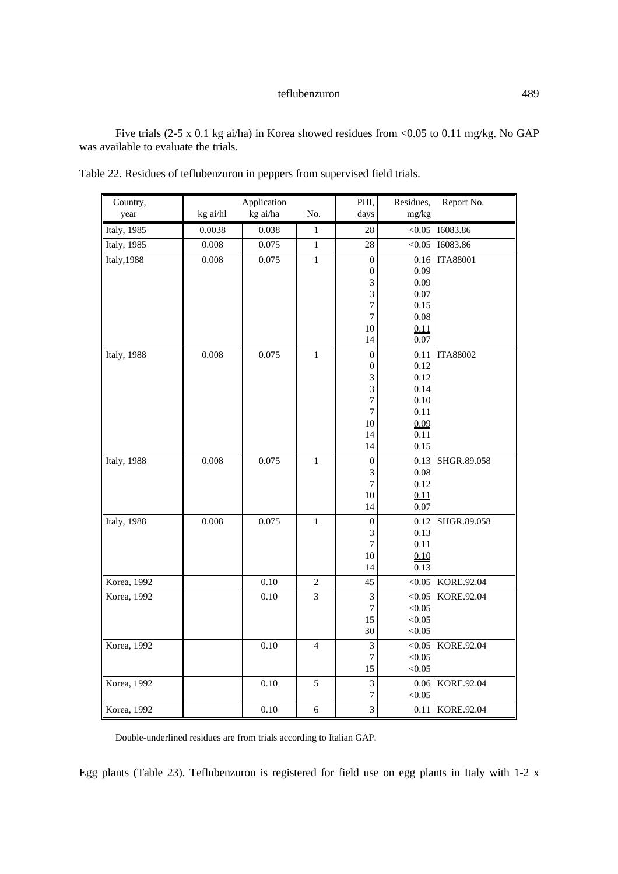Five trials (2-5 x 0.1 kg ai/ha) in Korea showed residues from <0.05 to 0.11 mg/kg. No GAP was available to evaluate the trials.

| kg ai/hl<br>kg ai/ha<br>No.<br>mg/kg<br>year<br>days<br>28<br>< 0.05<br>16083.86<br>Italy, 1985<br>0.0038<br>0.038<br>$\,1$<br>0.008<br>0.075<br>28<br>I6083.86<br>Italy, 1985<br>$\,1$<br>< 0.05<br>0.008<br>0.075<br><b>ITA88001</b><br><b>Italy, 1988</b><br>$\,1\,$<br>$\boldsymbol{0}$<br>0.16<br>0.09<br>$\boldsymbol{0}$<br>3<br>0.09<br>3<br>0.07<br>7<br>0.15 | Country, | Application | PHI,           | Residues, | Report No. |
|------------------------------------------------------------------------------------------------------------------------------------------------------------------------------------------------------------------------------------------------------------------------------------------------------------------------------------------------------------------------|----------|-------------|----------------|-----------|------------|
|                                                                                                                                                                                                                                                                                                                                                                        |          |             |                |           |            |
|                                                                                                                                                                                                                                                                                                                                                                        |          |             |                |           |            |
|                                                                                                                                                                                                                                                                                                                                                                        |          |             |                |           |            |
|                                                                                                                                                                                                                                                                                                                                                                        |          |             |                |           |            |
|                                                                                                                                                                                                                                                                                                                                                                        |          |             |                |           |            |
|                                                                                                                                                                                                                                                                                                                                                                        |          |             |                |           |            |
|                                                                                                                                                                                                                                                                                                                                                                        |          |             |                |           |            |
|                                                                                                                                                                                                                                                                                                                                                                        |          |             |                |           |            |
|                                                                                                                                                                                                                                                                                                                                                                        |          |             | $\overline{7}$ | 0.08      |            |
| 10<br>0.11                                                                                                                                                                                                                                                                                                                                                             |          |             |                |           |            |
| 0.07<br>14                                                                                                                                                                                                                                                                                                                                                             |          |             |                |           |            |
| Italy, 1988<br>0.008<br>0.075<br>$\mathbf{1}$<br>0.11<br><b>ITA88002</b><br>$\boldsymbol{0}$                                                                                                                                                                                                                                                                           |          |             |                |           |            |
| 0.12<br>$\boldsymbol{0}$                                                                                                                                                                                                                                                                                                                                               |          |             |                |           |            |
| 3<br>0.12                                                                                                                                                                                                                                                                                                                                                              |          |             |                |           |            |
| 3<br>0.14                                                                                                                                                                                                                                                                                                                                                              |          |             |                |           |            |
| 0.10<br>$\overline{7}$                                                                                                                                                                                                                                                                                                                                                 |          |             |                |           |            |
| 0.11<br>7                                                                                                                                                                                                                                                                                                                                                              |          |             |                |           |            |
| 10<br>0.09                                                                                                                                                                                                                                                                                                                                                             |          |             |                |           |            |
| 0.11<br>14                                                                                                                                                                                                                                                                                                                                                             |          |             |                |           |            |
| 0.15<br>14                                                                                                                                                                                                                                                                                                                                                             |          |             |                |           |            |
| 0.008<br>0.075<br><b>Italy</b> , 1988<br>$\,1$<br>0.13<br>SHGR.89.058<br>$\boldsymbol{0}$                                                                                                                                                                                                                                                                              |          |             |                |           |            |
| 0.08<br>$\mathfrak{Z}$                                                                                                                                                                                                                                                                                                                                                 |          |             |                |           |            |
| $\overline{7}$<br>0.12                                                                                                                                                                                                                                                                                                                                                 |          |             |                |           |            |
| 10<br>0.11                                                                                                                                                                                                                                                                                                                                                             |          |             |                |           |            |
| 14<br>0.07                                                                                                                                                                                                                                                                                                                                                             |          |             |                |           |            |
| <b>Italy</b> , 1988<br>0.008<br>0.075<br>$\mathbf{1}$<br>0.12<br>SHGR.89.058<br>$\boldsymbol{0}$                                                                                                                                                                                                                                                                       |          |             |                |           |            |
| 0.13<br>$\mathfrak{Z}$                                                                                                                                                                                                                                                                                                                                                 |          |             |                |           |            |
| 7<br>0.11                                                                                                                                                                                                                                                                                                                                                              |          |             |                |           |            |
| 10<br>0.10<br>0.13<br>14                                                                                                                                                                                                                                                                                                                                               |          |             |                |           |            |
| 0.10<br>Korea, 1992<br>$\sqrt{2}$<br>45<br>< 0.05<br>KORE.92.04                                                                                                                                                                                                                                                                                                        |          |             |                |           |            |
| 0.10<br>3<br>3<br>< 0.05<br>KORE.92.04<br>Korea, 1992                                                                                                                                                                                                                                                                                                                  |          |             |                |           |            |
| $\boldsymbol{7}$<br>< 0.05                                                                                                                                                                                                                                                                                                                                             |          |             |                |           |            |
| < 0.05<br>15                                                                                                                                                                                                                                                                                                                                                           |          |             |                |           |            |
| 30<br>< 0.05                                                                                                                                                                                                                                                                                                                                                           |          |             |                |           |            |
| Korea, 1992<br>0.10<br>$\overline{4}$<br>3<br>< 0.05<br>KORE.92.04                                                                                                                                                                                                                                                                                                     |          |             |                |           |            |
| $\boldsymbol{7}$<br>< 0.05                                                                                                                                                                                                                                                                                                                                             |          |             |                |           |            |
| < 0.05<br>15                                                                                                                                                                                                                                                                                                                                                           |          |             |                |           |            |
| 0.10<br>5<br>3<br>Korea, 1992<br>KORE.92.04<br>0.06                                                                                                                                                                                                                                                                                                                    |          |             |                |           |            |
| 7<br>< 0.05                                                                                                                                                                                                                                                                                                                                                            |          |             |                |           |            |
| 0.10<br>$\overline{3}$<br>Korea, 1992<br>$\sqrt{6}$<br>0.11<br>KORE.92.04                                                                                                                                                                                                                                                                                              |          |             |                |           |            |

|  | Table 22. Residues of teflubenzuron in peppers from supervised field trials. |  |  |
|--|------------------------------------------------------------------------------|--|--|
|  |                                                                              |  |  |

Double-underlined residues are from trials according to Italian GAP.

Egg plants (Table 23). Teflubenzuron is registered for field use on egg plants in Italy with 1-2 x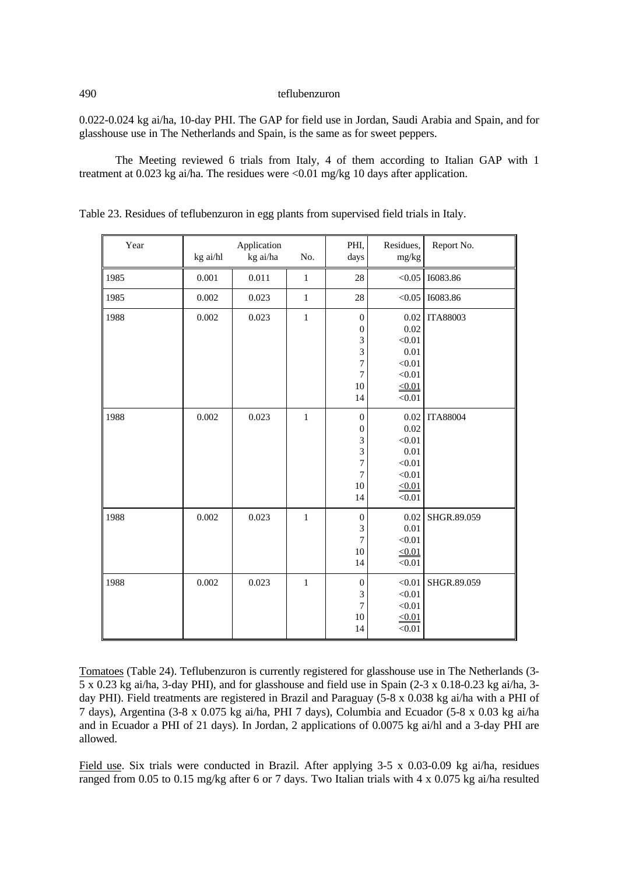0.022-0.024 kg ai/ha, 10-day PHI. The GAP for field use in Jordan, Saudi Arabia and Spain, and for glasshouse use in The Netherlands and Spain, is the same as for sweet peppers.

The Meeting reviewed 6 trials from Italy, 4 of them according to Italian GAP with 1 treatment at 0.023 kg ai/ha. The residues were <0.01 mg/kg 10 days after application.

| Year | Application<br>kg ai/ha<br>kg ai/hl<br>No. |       | PHI,<br>days | Residues,<br>mg/kg                                                                  | Report No.                                                                      |                 |
|------|--------------------------------------------|-------|--------------|-------------------------------------------------------------------------------------|---------------------------------------------------------------------------------|-----------------|
| 1985 | 0.001                                      | 0.011 | $\mathbf 1$  | 28                                                                                  | < 0.05                                                                          | 16083.86        |
| 1985 | 0.002                                      | 0.023 | $\mathbf 1$  | 28                                                                                  | < 0.05                                                                          | 16083.86        |
| 1988 | 0.002                                      | 0.023 | $\mathbf{1}$ | $\boldsymbol{0}$<br>$\boldsymbol{0}$<br>3<br>3<br>7<br>$\boldsymbol{7}$<br>10<br>14 | 0.02<br>0.02<br>< 0.01<br>0.01<br>< 0.01<br>< 0.01<br>< 0.01<br>< 0.01          | <b>ITA88003</b> |
| 1988 | 0.002                                      | 0.023 | $\mathbf{1}$ | $\boldsymbol{0}$<br>$\boldsymbol{0}$<br>3<br>3<br>$\overline{7}$<br>7<br>10<br>14   | $0.02\,$<br>0.02<br>< 0.01<br>0.01<br>< 0.01<br>< 0.01<br>$\leq 0.01$<br>< 0.01 | <b>ITA88004</b> |
| 1988 | 0.002                                      | 0.023 | $\mathbf{1}$ | $\boldsymbol{0}$<br>3<br>$\tau$<br>10<br>14                                         | 0.02<br>0.01<br>< 0.01<br>$\leq 0.01$<br>< 0.01                                 | SHGR.89.059     |
| 1988 | 0.002                                      | 0.023 | $\mathbf{1}$ | $\boldsymbol{0}$<br>3<br>$\tau$<br>10<br>14                                         | < 0.01<br>< 0.01<br>< 0.01<br>< 0.01<br>< 0.01                                  | SHGR.89.059     |

Table 23. Residues of teflubenzuron in egg plants from supervised field trials in Italy.

Tomatoes (Table 24). Teflubenzuron is currently registered for glasshouse use in The Netherlands (3- 5 x 0.23 kg ai/ha, 3-day PHI), and for glasshouse and field use in Spain (2-3 x 0.18-0.23 kg ai/ha, 3 day PHI). Field treatments are registered in Brazil and Paraguay (5-8 x 0.038 kg ai/ha with a PHI of 7 days), Argentina (3-8 x 0.075 kg ai/ha, PHI 7 days), Columbia and Ecuador (5-8 x 0.03 kg ai/ha and in Ecuador a PHI of 21 days). In Jordan, 2 applications of 0.0075 kg ai/hl and a 3-day PHI are allowed.

Field use. Six trials were conducted in Brazil. After applying 3-5 x 0.03-0.09 kg ai/ha, residues ranged from 0.05 to 0.15 mg/kg after 6 or 7 days. Two Italian trials with 4 x 0.075 kg ai/ha resulted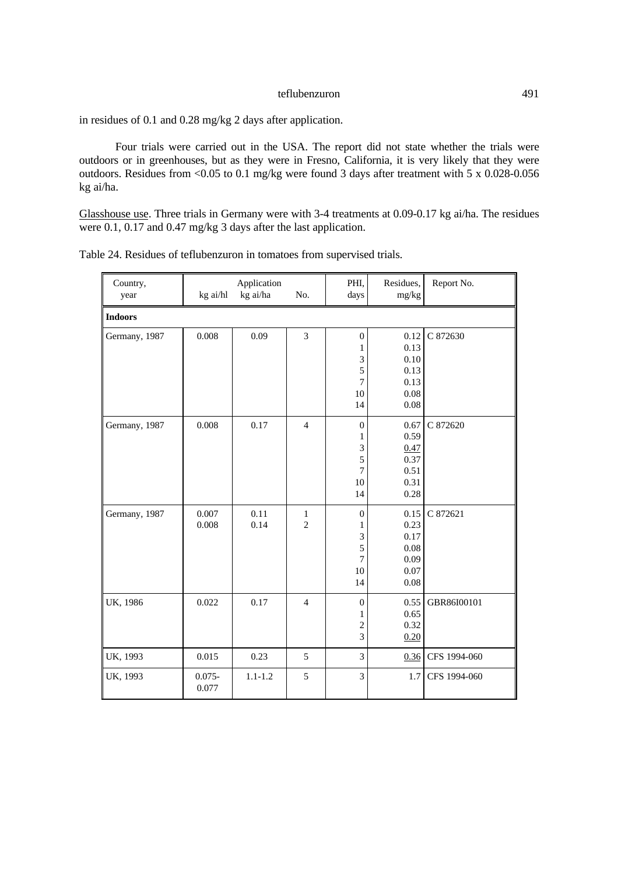in residues of 0.1 and 0.28 mg/kg 2 days after application.

Four trials were carried out in the USA. The report did not state whether the trials were outdoors or in greenhouses, but as they were in Fresno, California, it is very likely that they were outdoors. Residues from <0.05 to 0.1 mg/kg were found 3 days after treatment with 5 x 0.028-0.056 kg ai/ha.

Glasshouse use. Three trials in Germany were with 3-4 treatments at 0.09-0.17 kg ai/ha. The residues were 0.1, 0.17 and 0.47 mg/kg 3 days after the last application.

| Country,<br>year | kg ai/hl           | Application<br>kg ai/ha | No.                            | PHI,<br>days                                                               | Residues,<br>mg/kg                                   | Report No.   |
|------------------|--------------------|-------------------------|--------------------------------|----------------------------------------------------------------------------|------------------------------------------------------|--------------|
| <b>Indoors</b>   |                    |                         |                                |                                                                            |                                                      |              |
| Germany, 1987    | 0.008              | 0.09                    | 3                              | $\boldsymbol{0}$<br>1<br>$\mathfrak{Z}$<br>5<br>$\overline{7}$<br>10<br>14 | 0.12<br>0.13<br>0.10<br>0.13<br>0.13<br>0.08<br>0.08 | C 872630     |
| Germany, 1987    | 0.008              | 0.17                    | $\overline{4}$                 | $\boldsymbol{0}$<br>1<br>3<br>5<br>7<br>10<br>14                           | 0.67<br>0.59<br>0.47<br>0.37<br>0.51<br>0.31<br>0.28 | C 872620     |
| Germany, 1987    | 0.007<br>0.008     | 0.11<br>0.14            | $\mathbf{1}$<br>$\overline{2}$ | $\boldsymbol{0}$<br>1<br>3<br>5<br>$\overline{7}$<br>10<br>14              | 0.15<br>0.23<br>0.17<br>0.08<br>0.09<br>0.07<br>0.08 | C 872621     |
| UK, 1986         | 0.022              | 0.17                    | $\overline{4}$                 | $\boldsymbol{0}$<br>1<br>$\overline{\mathbf{c}}$<br>3                      | 0.55<br>0.65<br>0.32<br>0.20                         | GBR86I00101  |
| UK, 1993         | 0.015              | 0.23                    | 5                              | $\overline{3}$                                                             | 0.36                                                 | CFS 1994-060 |
| UK, 1993         | $0.075 -$<br>0.077 | $1.1 - 1.2$             | 5                              | 3                                                                          | 1.7                                                  | CFS 1994-060 |

Table 24. Residues of teflubenzuron in tomatoes from supervised trials.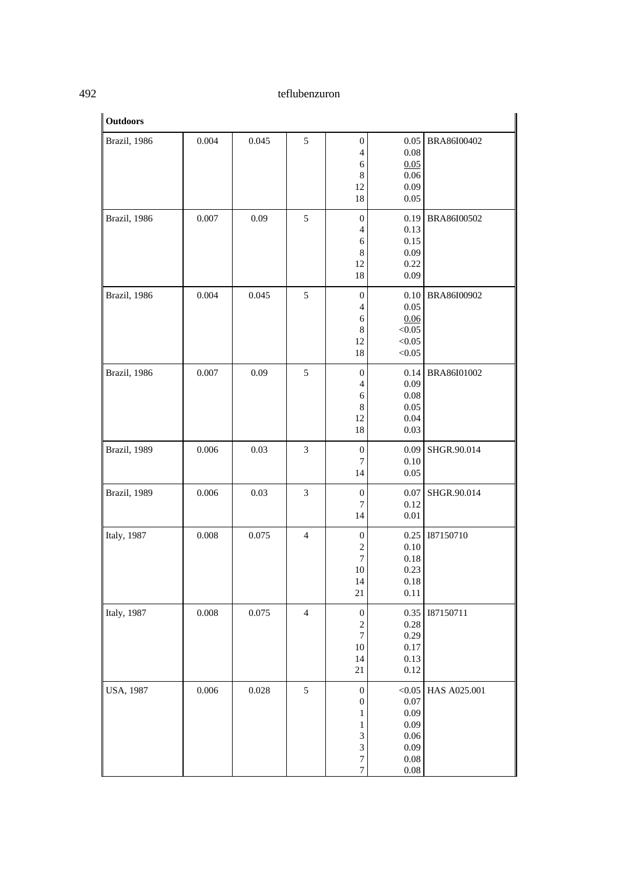| <b>Outdoors</b>  |       |       |                |                                                                                                |                                                                                 |              |
|------------------|-------|-------|----------------|------------------------------------------------------------------------------------------------|---------------------------------------------------------------------------------|--------------|
| Brazil, 1986     | 0.004 | 0.045 | 5              | $\boldsymbol{0}$<br>$\overline{\mathcal{L}}$<br>6<br>$\,$ 8 $\,$<br>12<br>18                   | 0.05<br>0.08<br>0.05<br>0.06<br>0.09<br>0.05                                    | BRA86I00402  |
| Brazil, 1986     | 0.007 | 0.09  | 5              | $\boldsymbol{0}$<br>4<br>6<br>$\,$ 8 $\,$<br>12<br>18                                          | 0.19<br>0.13<br>0.15<br>0.09<br>0.22<br>0.09                                    | BRA86I00502  |
| Brazil, 1986     | 0.004 | 0.045 | 5              | $\boldsymbol{0}$<br>4<br>6<br>8<br>12<br>18                                                    | 0.10<br>0.05<br>0.06<br>< 0.05<br>< 0.05<br>< 0.05                              | BRA86I00902  |
| Brazil, 1986     | 0.007 | 0.09  | 5              | $\boldsymbol{0}$<br>4<br>6<br>$\,$ 8 $\,$<br>12<br>18                                          | 0.14<br>0.09<br>0.08<br>0.05<br>0.04<br>0.03                                    | BRA86I01002  |
| Brazil, 1989     | 0.006 | 0.03  | 3              | $\boldsymbol{0}$<br>$\tau$<br>14                                                               | 0.09<br>0.10<br>0.05                                                            | SHGR.90.014  |
| Brazil, 1989     | 0.006 | 0.03  | 3              | $\boldsymbol{0}$<br>$\boldsymbol{7}$<br>14                                                     | 0.07<br>0.12<br>$0.01\,$                                                        | SHGR.90.014  |
| Italy, 1987      | 0.008 | 0.075 | $\overline{4}$ | $\boldsymbol{0}$<br>$\overline{c}$<br>$\overline{7}$<br>10<br>14<br>$21\,$                     | 0.25<br>0.10<br>0.18<br>0.23<br>0.18<br>0.11                                    | 187150710    |
| Italy, 1987      | 0.008 | 0.075 | $\overline{4}$ | $\boldsymbol{0}$<br>$\boldsymbol{2}$<br>$\overline{7}$<br>10<br>14<br>$21\,$                   | 0.35<br>0.28<br>0.29<br>$0.17\,$<br>0.13<br>$0.12\,$                            | 187150711    |
| <b>USA, 1987</b> | 0.006 | 0.028 | 5              | $\boldsymbol{0}$<br>$\boldsymbol{0}$<br>1<br>1<br>3<br>3<br>$\overline{7}$<br>$\boldsymbol{7}$ | $<0.05$<br>$0.07\,$<br>0.09<br>0.09<br>$0.06\,$<br>0.09<br>$0.08\,$<br>$0.08\,$ | HAS A025.001 |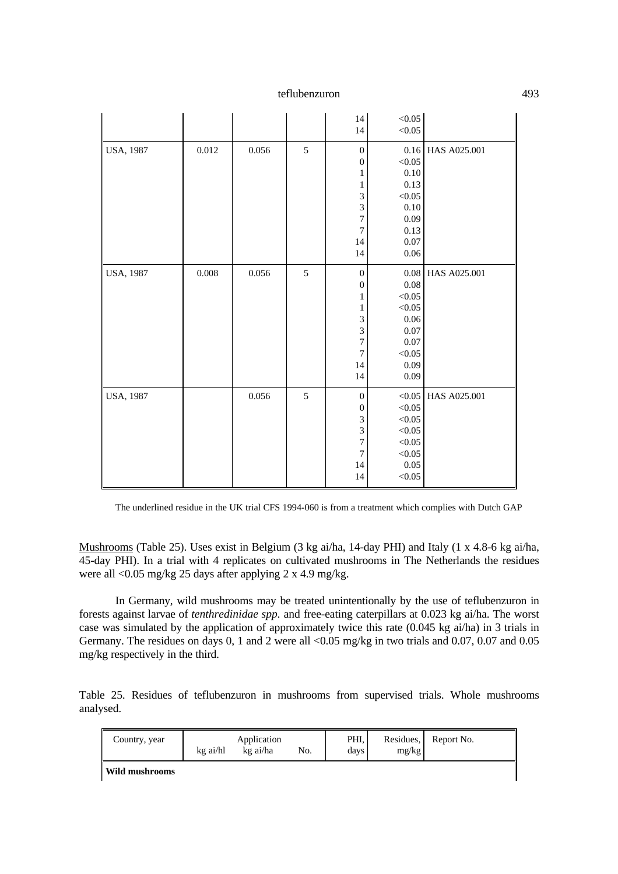|           |       |       |   | 14<br>14         | < 0.05<br>$<\!\!0.05$ |              |
|-----------|-------|-------|---|------------------|-----------------------|--------------|
| USA, 1987 | 0.012 | 0.056 | 5 | $\boldsymbol{0}$ | 0.16                  | HAS A025.001 |
|           |       |       |   | $\boldsymbol{0}$ | < 0.05                |              |
|           |       |       |   | 1                | 0.10                  |              |
|           |       |       |   | 1                | 0.13                  |              |
|           |       |       |   | 3                | < 0.05                |              |
|           |       |       |   | 3                | 0.10                  |              |
|           |       |       |   | $\overline{7}$   | 0.09                  |              |
|           |       |       |   | $\overline{7}$   | 0.13                  |              |
|           |       |       |   | 14               | 0.07                  |              |
|           |       |       |   | 14               | 0.06                  |              |
| USA, 1987 | 0.008 | 0.056 | 5 | $\boldsymbol{0}$ | 0.08                  | HAS A025.001 |
|           |       |       |   | $\mathbf{0}$     | $0.08\,$              |              |
|           |       |       |   | 1                | < 0.05                |              |
|           |       |       |   | 1                | $<\!\!0.05$           |              |
|           |       |       |   | 3                | 0.06                  |              |
|           |       |       |   | 3                | 0.07                  |              |
|           |       |       |   | 7                | 0.07                  |              |
|           |       |       |   | $\overline{7}$   | $<\!\!0.05$           |              |
|           |       |       |   | 14               | 0.09                  |              |
|           |       |       |   | 14               | 0.09                  |              |
| USA, 1987 |       | 0.056 | 5 | $\boldsymbol{0}$ | < 0.05                | HAS A025.001 |
|           |       |       |   | $\boldsymbol{0}$ | < 0.05                |              |
|           |       |       |   | 3                | $<\!\!0.05$           |              |
|           |       |       |   | 3                | < 0.05                |              |
|           |       |       |   | 7                | < 0.05                |              |
|           |       |       |   | $\boldsymbol{7}$ | < 0.05                |              |
|           |       |       |   | 14               | $0.05\,$              |              |
|           |       |       |   | 14               | $<\!\!0.05$           |              |

The underlined residue in the UK trial CFS 1994-060 is from a treatment which complies with Dutch GAP

Mushrooms (Table 25). Uses exist in Belgium (3 kg ai/ha, 14-day PHI) and Italy (1 x 4.8-6 kg ai/ha, 45-day PHI). In a trial with 4 replicates on cultivated mushrooms in The Netherlands the residues were all <0.05 mg/kg 25 days after applying 2 x 4.9 mg/kg.

In Germany, wild mushrooms may be treated unintentionally by the use of teflubenzuron in forests against larvae of *tenthredinidae spp.* and free-eating caterpillars at 0.023 kg ai/ha. The worst case was simulated by the application of approximately twice this rate (0.045 kg ai/ha) in 3 trials in Germany. The residues on days 0, 1 and 2 were all <0.05 mg/kg in two trials and 0.07, 0.07 and 0.05 mg/kg respectively in the third.

Table 25. Residues of teflubenzuron in mushrooms from supervised trials. Whole mushrooms analysed.

| Country, year         | Application<br>kg ai/hl<br>kg ai/ha<br>No. |  |  | PHI.<br>days | Residues.<br>mg/kg | Report No. |
|-----------------------|--------------------------------------------|--|--|--------------|--------------------|------------|
| <b>Wild mushrooms</b> |                                            |  |  |              |                    |            |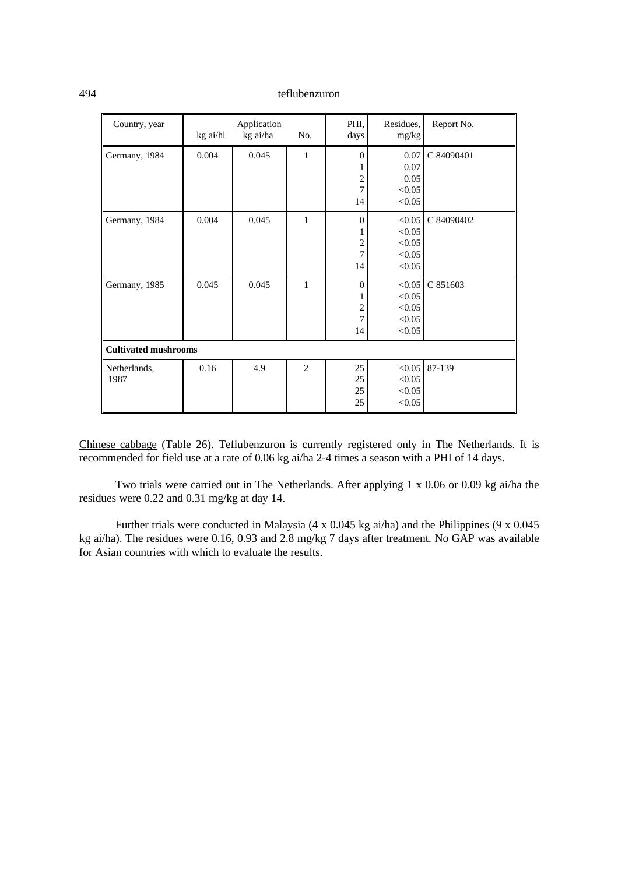| Country, year               | Application<br>kg ai/hl<br>kg ai/ha<br>No. |       |                | PHI.<br>days                   | Residues,<br>mg/kg                             | Report No. |
|-----------------------------|--------------------------------------------|-------|----------------|--------------------------------|------------------------------------------------|------------|
| Germany, 1984               | 0.004                                      | 0.045 | 1              | $\overline{0}$<br>2<br>7<br>14 | 0.07<br>0.07<br>0.05<br>< 0.05<br>< 0.05       | C 84090401 |
| Germany, 1984               | 0.004                                      | 0.045 | 1              | $\theta$<br>2<br>7<br>14       | < 0.05<br>< 0.05<br>< 0.05<br>< 0.05<br>< 0.05 | C 84090402 |
| Germany, 1985               | 0.045                                      | 0.045 | 1              | $\theta$<br>2<br>7<br>14       | < 0.05<br>< 0.05<br>< 0.05<br>< 0.05<br>< 0.05 | C 851603   |
| <b>Cultivated mushrooms</b> |                                            |       |                |                                |                                                |            |
| Netherlands,<br>1987        | 0.16                                       | 4.9   | $\overline{2}$ | 25<br>25<br>25<br>25           | < 0.05<br>< 0.05<br>< 0.05<br>< 0.05           | 87-139     |

Chinese cabbage (Table 26). Teflubenzuron is currently registered only in The Netherlands. It is recommended for field use at a rate of 0.06 kg ai/ha 2-4 times a season with a PHI of 14 days.

Two trials were carried out in The Netherlands. After applying 1 x 0.06 or 0.09 kg ai/ha the residues were 0.22 and 0.31 mg/kg at day 14.

Further trials were conducted in Malaysia (4 x 0.045 kg ai/ha) and the Philippines (9 x 0.045 kg ai/ha). The residues were 0.16, 0.93 and 2.8 mg/kg 7 days after treatment. No GAP was available for Asian countries with which to evaluate the results.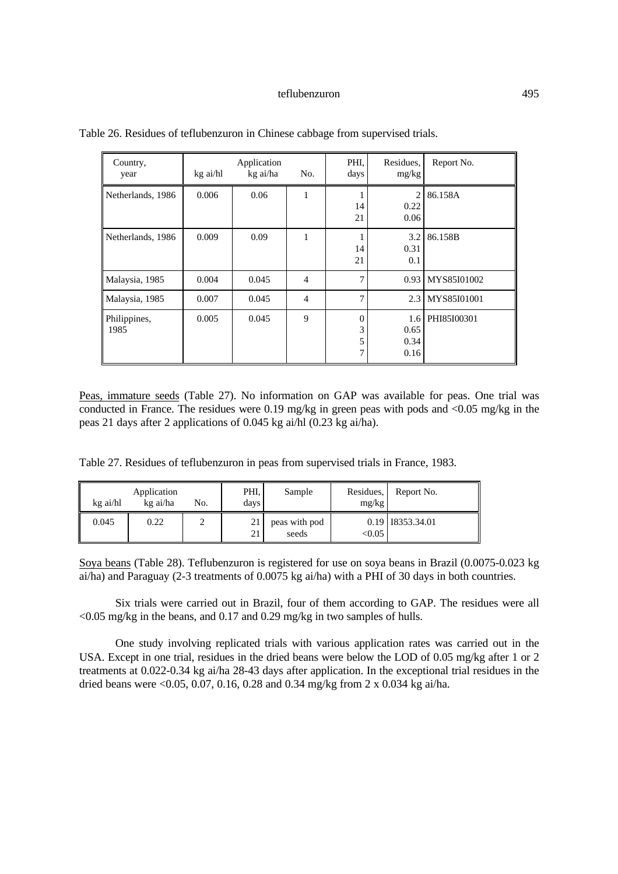| Country,<br>year     | kg ai/hl | Application<br>kg ai/ha | No.            | PHI.<br>days                 | Residues,<br>mg/kg          | Report No.  |
|----------------------|----------|-------------------------|----------------|------------------------------|-----------------------------|-------------|
| Netherlands, 1986    | 0.006    | 0.06                    | 1              | 14<br>21                     | 2<br>0.22<br>0.06           | 86.158A     |
| Netherlands, 1986    | 0.009    | 0.09                    | 1              | 14<br>21                     | 3.2<br>0.31<br>0.1          | 86.158B     |
| Malaysia, 1985       | 0.004    | 0.045                   | $\overline{4}$ | $\tau$                       | 0.93                        | MYS85I01002 |
| Malaysia, 1985       | 0.007    | 0.045                   | 4              | 7                            | 2.3                         | MYS85I01001 |
| Philippines,<br>1985 | 0.005    | 0.045                   | 9              | $\theta$<br>3<br>5<br>$\tau$ | 1.6<br>0.65<br>0.34<br>0.16 | PHI85I00301 |

Table 26. Residues of teflubenzuron in Chinese cabbage from supervised trials.

Peas, immature seeds (Table 27). No information on GAP was available for peas. One trial was conducted in France. The residues were 0.19 mg/kg in green peas with pods and  $\langle 0.05 \text{ mg/kg} \rangle$  in the peas 21 days after 2 applications of 0.045 kg ai/hl (0.23 kg ai/ha).

Table 27. Residues of teflubenzuron in peas from supervised trials in France, 1983.

| kg ai/hl | Application<br>kg ai/ha | No. | PHI,<br>days | Sample                 | Residues.<br>mg/kg | Report No.         |
|----------|-------------------------|-----|--------------|------------------------|--------------------|--------------------|
| 0.045    | 0.22                    | ∸   | 21<br>21     | peas with pod<br>seeds | < 0.05             | 0.19   18353.34.01 |

Soya beans (Table 28). Teflubenzuron is registered for use on soya beans in Brazil (0.0075-0.023 kg ai/ha) and Paraguay (2-3 treatments of 0.0075 kg ai/ha) with a PHI of 30 days in both countries.

Six trials were carried out in Brazil, four of them according to GAP. The residues were all  $\leq$  0.05 mg/kg in the beans, and 0.17 and 0.29 mg/kg in two samples of hulls.

One study involving replicated trials with various application rates was carried out in the USA. Except in one trial, residues in the dried beans were below the LOD of 0.05 mg/kg after 1 or 2 treatments at 0.022-0.34 kg ai/ha 28-43 days after application. In the exceptional trial residues in the dried beans were <0.05, 0.07, 0.16, 0.28 and 0.34 mg/kg from 2 x 0.034 kg ai/ha.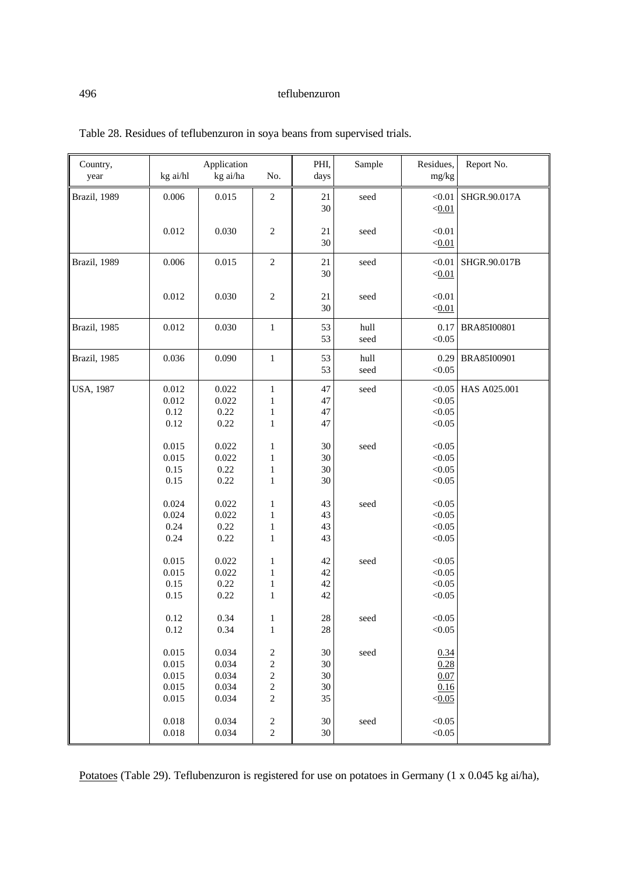| Country,<br>year | kg ai/hl                                  | Application<br>kg ai/ha                   | No.                                                                                                           | PHI,<br>days               | Sample       | Residues,<br>mg/kg                     | Report No.   |
|------------------|-------------------------------------------|-------------------------------------------|---------------------------------------------------------------------------------------------------------------|----------------------------|--------------|----------------------------------------|--------------|
| Brazil, 1989     | 0.006                                     | 0.015                                     | $\sqrt{2}$                                                                                                    | 21<br>30                   | seed         | < 0.01<br>< 0.01                       | SHGR.90.017A |
|                  | 0.012                                     | 0.030                                     | $\sqrt{2}$                                                                                                    | 21<br>30                   | seed         | < 0.01<br>< 0.01                       |              |
| Brazil, 1989     | 0.006                                     | 0.015                                     | $\overline{2}$                                                                                                | 21<br>30                   | seed         | < 0.01<br>< 0.01                       | SHGR.90.017B |
|                  | 0.012                                     | 0.030                                     | $\overline{c}$                                                                                                | 21<br>30                   | seed         | < 0.01<br>< 0.01                       |              |
| Brazil, 1985     | 0.012                                     | 0.030                                     | $\mathbf{1}$                                                                                                  | 53<br>53                   | hull<br>seed | 0.17<br>< 0.05                         | BRA85I00801  |
| Brazil, 1985     | 0.036                                     | 0.090                                     | $\mathbf{1}$                                                                                                  | 53<br>53                   | hull<br>seed | 0.29<br>< 0.05                         | BRA85I00901  |
| <b>USA, 1987</b> | 0.012<br>0.012<br>0.12<br>0.12            | 0.022<br>0.022<br>0.22<br>0.22            | $\mathbf{1}$<br>$\mathbf{1}$<br>$\,1$<br>$\mathbf{1}$                                                         | 47<br>47<br>47<br>47       | seed         | < 0.05<br>< 0.05<br>< 0.05<br>< 0.05   | HAS A025.001 |
|                  | 0.015<br>0.015<br>0.15<br>0.15            | 0.022<br>0.022<br>0.22<br>0.22            | 1<br>1<br>$\mathbf{1}$<br>$\,1$                                                                               | 30<br>30<br>30<br>30       | seed         | < 0.05<br>< 0.05<br>< 0.05<br>< 0.05   |              |
|                  | 0.024<br>0.024<br>0.24<br>0.24            | 0.022<br>0.022<br>0.22<br>0.22            | $\mathbf{1}$<br>$\mathbf{1}$<br>$\,1$<br>$\mathbf{1}$                                                         | 43<br>43<br>43<br>43       | seed         | < 0.05<br>< 0.05<br>< 0.05<br>< 0.05   |              |
|                  | 0.015<br>0.015<br>0.15<br>0.15            | 0.022<br>0.022<br>0.22<br>0.22            | $\,1\,$<br>$\,1$<br>$\mathbf{1}$<br>$\mathbf{1}$                                                              | 42<br>42<br>42<br>42       | seed         | < 0.05<br>< 0.05<br>< 0.05<br>< 0.05   |              |
|                  | $0.12\,$<br>0.12                          | 0.34<br>0.34                              | $\mathbf{I}$<br>$\,1$                                                                                         | $28\,$<br>$28\,$           | seed         | < 0.05<br>< 0.05                       |              |
|                  | 0.015<br>0.015<br>0.015<br>0.015<br>0.015 | 0.034<br>0.034<br>0.034<br>0.034<br>0.034 | $\overline{\mathbf{c}}$<br>$\overline{\mathbf{c}}$<br>$\overline{\mathbf{c}}$<br>$\sqrt{2}$<br>$\overline{c}$ | 30<br>30<br>30<br>30<br>35 | seed         | 0.34<br>0.28<br>0.07<br>0.16<br>< 0.05 |              |
|                  | 0.018<br>0.018                            | 0.034<br>0.034                            | $\overline{\mathbf{c}}$<br>$\overline{c}$                                                                     | 30<br>$30\,$               | seed         | < 0.05<br>< 0.05                       |              |

Table 28. Residues of teflubenzuron in soya beans from supervised trials.

Potatoes (Table 29). Teflubenzuron is registered for use on potatoes in Germany (1 x 0.045 kg ai/ha),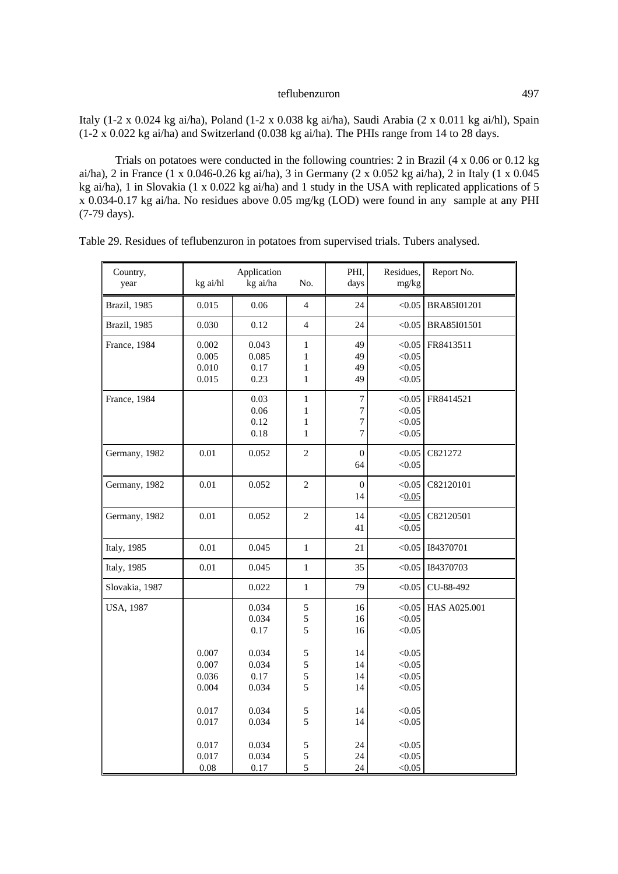Italy (1-2 x 0.024 kg ai/ha), Poland (1-2 x 0.038 kg ai/ha), Saudi Arabia (2 x 0.011 kg ai/hl), Spain  $(1-2 \times 0.022 \text{ kg} \text{ ai/ha})$  and Switzerland  $(0.038 \text{ kg} \text{ ai/ha})$ . The PHIs range from 14 to 28 days.

Trials on potatoes were conducted in the following countries: 2 in Brazil (4 x 0.06 or 0.12 kg ai/ha), 2 in France (1 x 0.046-0.26 kg ai/ha), 3 in Germany (2 x 0.052 kg ai/ha), 2 in Italy (1 x 0.045 kg ai/ha), 1 in Slovakia (1 x 0.022 kg ai/ha) and 1 study in the USA with replicated applications of 5 x 0.034-0.17 kg ai/ha. No residues above 0.05 mg/kg (LOD) were found in any sample at any PHI (7-79 days).

| Country,<br>year    | kg ai/hl                                  | Application<br>kg ai/ha                  | No.                                                   | PHI,<br>days                                                         | Residues,<br>mg/kg                             | Report No.   |
|---------------------|-------------------------------------------|------------------------------------------|-------------------------------------------------------|----------------------------------------------------------------------|------------------------------------------------|--------------|
| Brazil, 1985        | 0.015                                     | 0.06                                     | $\overline{4}$                                        | 24                                                                   | < 0.05                                         | BRA85I01201  |
| Brazil, 1985        | 0.030                                     | 0.12                                     | $\overline{4}$                                        | 24                                                                   | < 0.05                                         | BRA85I01501  |
| France, 1984        | 0.002<br>0.005<br>0.010<br>0.015          | 0.043<br>0.085<br>0.17<br>0.23           | $\,1$<br>$\mathbf{1}$<br>$\mathbf{1}$<br>$\mathbf{1}$ | 49<br>49<br>49<br>49                                                 | < 0.05<br>< 0.05<br>< 0.05<br>< 0.05           | FR8413511    |
| France, 1984        |                                           | 0.03<br>0.06<br>0.12<br>0.18             | $\mathbf{1}$<br>1<br>$\mathbf{1}$<br>$\mathbf{1}$     | $\overline{7}$<br>$\overline{7}$<br>$\overline{7}$<br>$\overline{7}$ | < 0.05<br>< 0.05<br>< 0.05<br>< 0.05           | FR8414521    |
| Germany, 1982       | 0.01                                      | 0.052                                    | $\overline{c}$                                        | $\overline{0}$<br>64                                                 | < 0.05<br>< 0.05                               | C821272      |
| Germany, 1982       | 0.01                                      | 0.052                                    | $\overline{c}$                                        | $\boldsymbol{0}$<br>14                                               | < 0.05<br>< 0.05                               | C82120101    |
| Germany, 1982       | 0.01                                      | 0.052                                    | $\overline{2}$                                        | 14<br>41                                                             | < 0.05<br>< 0.05                               | C82120501    |
| <b>Italy</b> , 1985 | 0.01                                      | 0.045                                    | $\mathbf{1}$                                          | 21                                                                   | < 0.05                                         | 184370701    |
| <b>Italy</b> , 1985 | 0.01                                      | 0.045                                    | $\,1\,$                                               | 35                                                                   | < 0.05                                         | 184370703    |
| Slovakia, 1987      |                                           | 0.022                                    | $\mathbf{1}$                                          | 79                                                                   | < 0.05                                         | CU-88-492    |
| <b>USA, 1987</b>    |                                           | 0.034<br>0.034<br>0.17                   | 5<br>5<br>5                                           | 16<br>16<br>16                                                       | < 0.05<br>< 0.05<br>< 0.05                     | HAS A025.001 |
|                     | 0.007<br>0.007<br>0.036<br>0.004<br>0.017 | 0.034<br>0.034<br>0.17<br>0.034<br>0.034 | 5<br>5<br>5<br>5<br>5                                 | 14<br>14<br>14<br>14<br>14                                           | < 0.05<br>< 0.05<br>< 0.05<br>< 0.05<br>< 0.05 |              |
|                     | 0.017<br>0.017<br>0.017<br>$0.08\,$       | 0.034<br>0.034<br>0.034<br>0.17          | 5<br>5<br>5<br>$\overline{5}$                         | 14<br>24<br>24<br>24                                                 | < 0.05<br>< 0.05<br>< 0.05<br>< 0.05           |              |

Table 29. Residues of teflubenzuron in potatoes from supervised trials. Tubers analysed.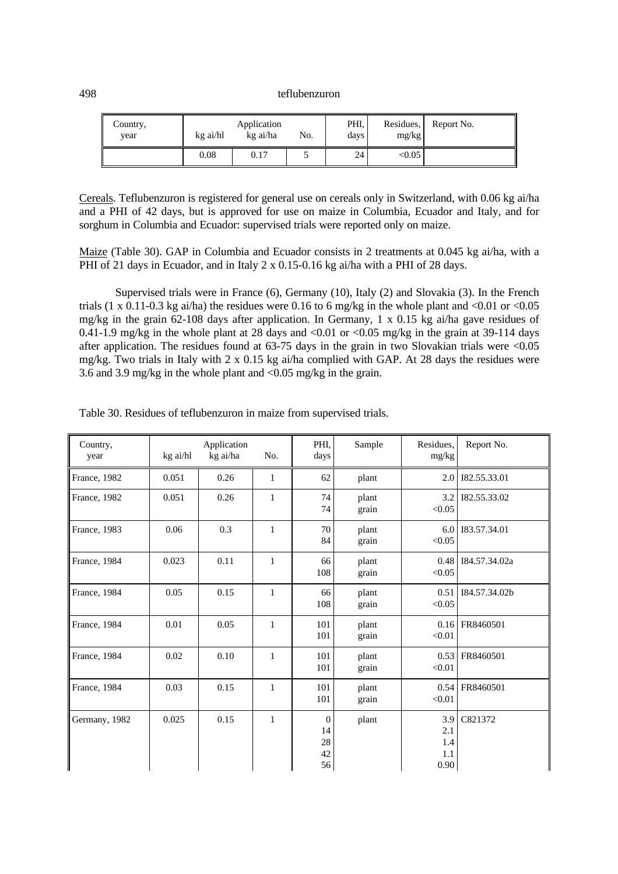| ║<br>Country,<br>vear | kg ai/hl | Application<br>kg ai/ha | No. | PHI.<br>days | Residues,<br>mg/kg | Report No. |
|-----------------------|----------|-------------------------|-----|--------------|--------------------|------------|
|                       | 0.08     | 0.17                    |     | 24           | < 0.05             |            |

Cereals. Teflubenzuron is registered for general use on cereals only in Switzerland, with 0.06 kg ai/ha and a PHI of 42 days, but is approved for use on maize in Columbia, Ecuador and Italy, and for sorghum in Columbia and Ecuador: supervised trials were reported only on maize.

Maize (Table 30). GAP in Columbia and Ecuador consists in 2 treatments at 0.045 kg ai/ha, with a PHI of 21 days in Ecuador, and in Italy 2 x 0.15-0.16 kg ai/ha with a PHI of 28 days.

Supervised trials were in France (6), Germany (10), Italy (2) and Slovakia (3). In the French trials (1 x 0.11-0.3 kg ai/ha) the residues were 0.16 to 6 mg/kg in the whole plant and  $\langle 0.01 \text{ or } \langle 0.05 \rangle$ mg/kg in the grain 62-108 days after application. In Germany, 1 x 0.15 kg ai/ha gave residues of 0.41-1.9 mg/kg in the whole plant at 28 days and <0.01 or <0.05 mg/kg in the grain at 39-114 days after application. The residues found at 63-75 days in the grain in two Slovakian trials were <0.05 mg/kg. Two trials in Italy with 2 x 0.15 kg ai/ha complied with GAP. At 28 days the residues were 3.6 and 3.9 mg/kg in the whole plant and <0.05 mg/kg in the grain.

| Country,<br>year | kg ai/hl | Application<br>kg ai/ha | No.          | PHI,<br>days                           | Sample         | Residues,<br>mg/kg               | Report No.    |
|------------------|----------|-------------------------|--------------|----------------------------------------|----------------|----------------------------------|---------------|
| France, 1982     | 0.051    | 0.26                    | $\mathbf{1}$ | 62                                     | plant          | 2.0                              | 182.55.33.01  |
| France, 1982     | 0.051    | 0.26                    | $\mathbf{1}$ | 74<br>74                               | plant<br>grain | 3.2<br>< 0.05                    | 182.55.33.02  |
| France, 1983     | 0.06     | 0.3                     | 1            | 70<br>84                               | plant<br>grain | 6.0 <sub>1</sub><br>< 0.05       | 183.57.34.01  |
| France, 1984     | 0.023    | 0.11                    | $\mathbf{1}$ | 66<br>108                              | plant<br>grain | 0.48<br>< 0.05                   | I84.57.34.02a |
| France, 1984     | 0.05     | 0.15                    | $\mathbf{1}$ | 66<br>108                              | plant<br>grain | 0.51<br>< 0.05                   | I84.57.34.02b |
| France, 1984     | 0.01     | 0.05                    | $\mathbf{1}$ | 101<br>101                             | plant<br>grain | 0.16<br>< 0.01                   | FR8460501     |
| France, 1984     | 0.02     | 0.10                    | $\mathbf{1}$ | 101<br>101                             | plant<br>grain | 0.53<br>< 0.01                   | FR8460501     |
| France, 1984     | 0.03     | 0.15                    | $\mathbf{1}$ | 101<br>101                             | plant<br>grain | 0.54<br>< 0.01                   | FR8460501     |
| Germany, 1982    | 0.025    | 0.15                    | $\mathbf{1}$ | $\overline{0}$<br>14<br>28<br>42<br>56 | plant          | 3.9<br>2.1<br>1.4<br>1.1<br>0.90 | C821372       |

Table 30. Residues of teflubenzuron in maize from supervised trials.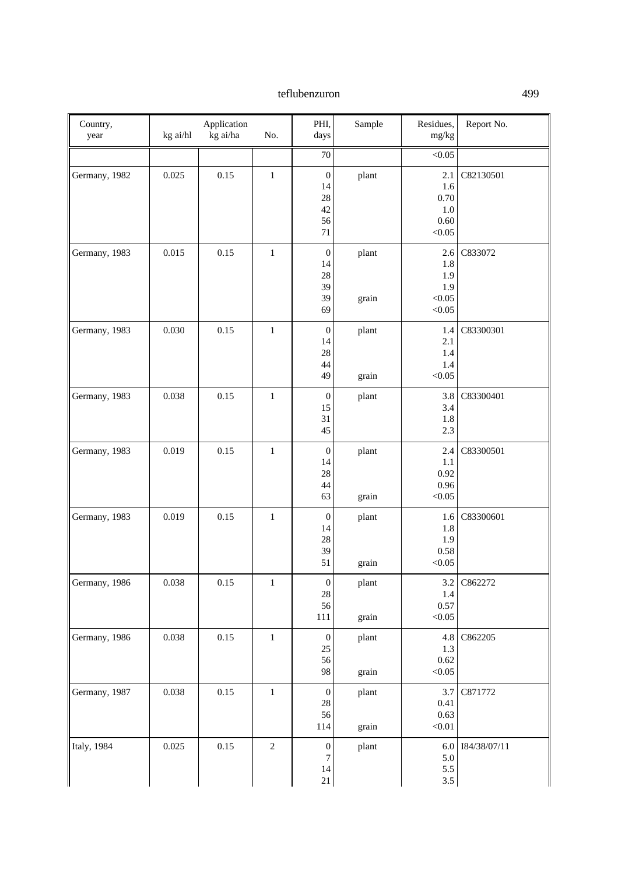| Country,<br>year | kg ai/hl | Application<br>kg ai/ha | No.            | PHI,<br>days                                         | Sample         | Residues,<br>mg/kg                                | Report No.   |
|------------------|----------|-------------------------|----------------|------------------------------------------------------|----------------|---------------------------------------------------|--------------|
|                  |          |                         |                | 70                                                   |                | < 0.05                                            |              |
| Germany, 1982    | 0.025    | 0.15                    | $\mathbf{1}$   | $\boldsymbol{0}$<br>14<br>28<br>42<br>56<br>71       | plant          | 2.1<br>1.6<br>$0.70\,$<br>1.0<br>0.60<br>< 0.05   | C82130501    |
| Germany, 1983    | 0.015    | 0.15                    | $\mathbf{1}$   | $\boldsymbol{0}$<br>14<br>28<br>39<br>39<br>69       | plant<br>grain | 2.6<br>1.8<br>1.9<br>1.9<br>< 0.05<br>$<\!\!0.05$ | C833072      |
| Germany, 1983    | 0.030    | 0.15                    | $\mathbf{1}$   | $\boldsymbol{0}$<br>14<br>28<br>44<br>49             | plant<br>grain | 1.4<br>2.1<br>1.4<br>1.4<br>< 0.05                | C83300301    |
| Germany, 1983    | 0.038    | 0.15                    | $\mathbf{1}$   | $\boldsymbol{0}$<br>15<br>31<br>45                   | plant          | 3.8<br>3.4<br>1.8<br>2.3                          | C83300401    |
| Germany, 1983    | 0.019    | 0.15                    | $\mathbf{1}$   | $\boldsymbol{0}$<br>14<br>28<br>44<br>63             | plant<br>grain | 2.4<br>1.1<br>0.92<br>0.96<br>$<\!\!0.05$         | C83300501    |
| Germany, 1983    | 0.019    | 0.15                    | $\,1$          | $\boldsymbol{0}$<br>14<br>28<br>39<br>51             | plant<br>grain | 1.6<br>1.8<br>1.9<br>0.58<br>< 0.05               | C83300601    |
| Germany, 1986    | 0.038    | 0.15                    | $\mathbf{1}$   | $\boldsymbol{0}$<br>28<br>56<br>111                  | plant<br>grain | 3.2<br>1.4<br>0.57<br>< 0.05                      | C862272      |
| Germany, 1986    | 0.038    | 0.15                    | $\,1\,$        | $\boldsymbol{0}$<br>25<br>56<br>98                   | plant<br>grain | 4.8<br>1.3<br>$0.62\,$<br>< 0.05                  | C862205      |
| Germany, 1987    | 0.038    | 0.15                    | $\mathbf 1$    | $\boldsymbol{0}$<br>$28\,$<br>56<br>114              | plant<br>grain | 3.7<br>0.41<br>0.63<br>$<0.01$                    | C871772      |
| Italy, 1984      | 0.025    | $0.15\,$                | $\overline{2}$ | $\boldsymbol{0}$<br>$\boldsymbol{7}$<br>$14\,$<br>21 | plant          | 6.0<br>$5.0\,$<br>5.5<br>3.5                      | 184/38/07/11 |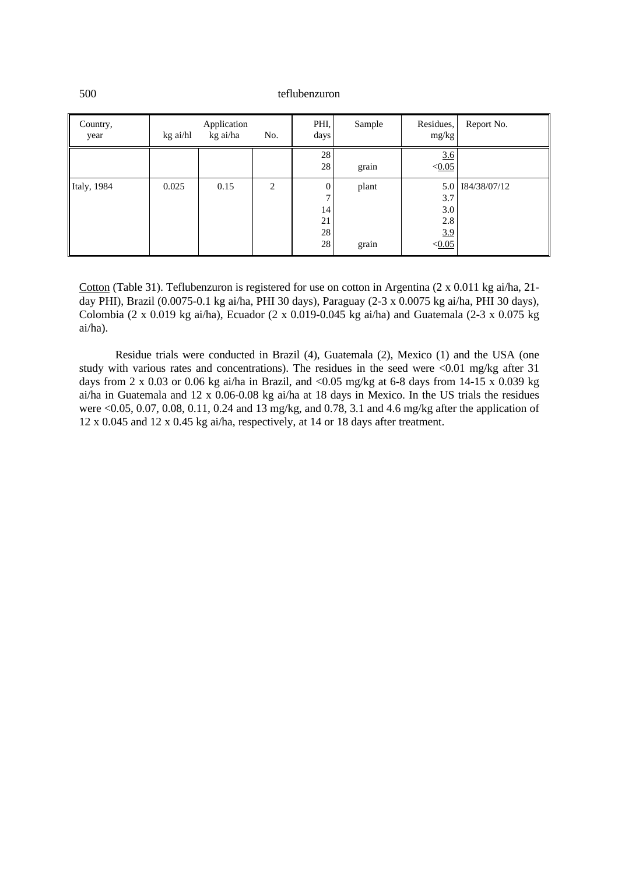| Country,<br>year | kg ai/hl | Application<br>kg ai/ha | No.            | PHI,<br>days                                | Sample         | Residues,<br>mg/kg                        | Report No.   |
|------------------|----------|-------------------------|----------------|---------------------------------------------|----------------|-------------------------------------------|--------------|
|                  |          |                         |                | 28<br>28                                    | grain          | 3.6<br>< 0.05                             |              |
| Italy, 1984      | 0.025    | 0.15                    | $\overline{2}$ | $\overline{0}$<br>7<br>14<br>21<br>28<br>28 | plant<br>grain | 5.0<br>3.7<br>3.0<br>2.8<br>3.9<br>< 0.05 | 184/38/07/12 |

Cotton (Table 31). Teflubenzuron is registered for use on cotton in Argentina (2 x 0.011 kg ai/ha, 21 day PHI), Brazil (0.0075-0.1 kg ai/ha, PHI 30 days), Paraguay (2-3 x 0.0075 kg ai/ha, PHI 30 days), Colombia (2 x 0.019 kg ai/ha), Ecuador (2 x 0.019-0.045 kg ai/ha) and Guatemala (2-3 x 0.075 kg ai/ha).

Residue trials were conducted in Brazil (4), Guatemala (2), Mexico (1) and the USA (one study with various rates and concentrations). The residues in the seed were <0.01 mg/kg after 31 days from 2 x 0.03 or 0.06 kg ai/ha in Brazil, and <0.05 mg/kg at 6-8 days from 14-15 x 0.039 kg ai/ha in Guatemala and 12 x 0.06-0.08 kg ai/ha at 18 days in Mexico. In the US trials the residues were <0.05, 0.07, 0.08, 0.11, 0.24 and 13 mg/kg, and 0.78, 3.1 and 4.6 mg/kg after the application of 12 x 0.045 and 12 x 0.45 kg ai/ha, respectively, at 14 or 18 days after treatment.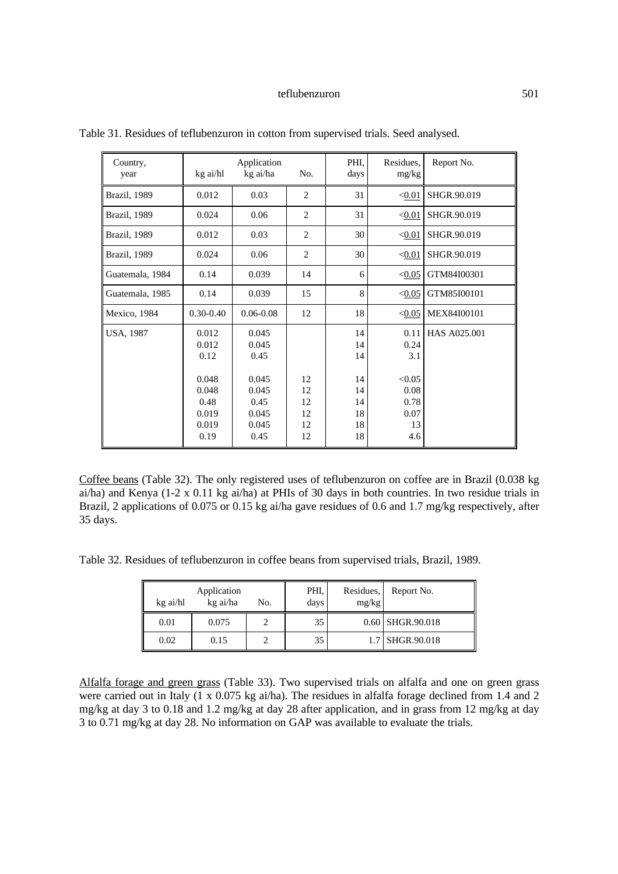| Country,<br>year     | kg ai/hl                                                                   | Application<br>kg ai/ha                                                    | No.                              | PHI.<br>days                                       | Residues,<br>mg/kg                                                 | Report No.   |
|----------------------|----------------------------------------------------------------------------|----------------------------------------------------------------------------|----------------------------------|----------------------------------------------------|--------------------------------------------------------------------|--------------|
| Brazil, 1989         | 0.012                                                                      | 0.03                                                                       | $\overline{2}$                   | 31                                                 | < 0.01                                                             | SHGR.90.019  |
| <b>Brazil</b> , 1989 | 0.024                                                                      | 0.06                                                                       | $\overline{2}$                   | 31                                                 | < 0.01                                                             | SHGR.90.019  |
| Brazil, 1989         | 0.012                                                                      | 0.03                                                                       | $\overline{c}$                   | 30                                                 | < 0.01                                                             | SHGR.90.019  |
| Brazil, 1989         | 0.024                                                                      | 0.06                                                                       | $\overline{2}$                   | 30                                                 | < 0.01                                                             | SHGR.90.019  |
| Guatemala, 1984      | 0.14                                                                       | 0.039                                                                      | 14                               | 6                                                  | < 0.05                                                             | GTM84I00301  |
| Guatemala, 1985      | 0.14                                                                       | 0.039                                                                      | 15                               | 8                                                  | < 0.05                                                             | GTM85I00101  |
| Mexico, 1984         | $0.30 - 0.40$                                                              | $0.06 - 0.08$                                                              | 12                               | 18                                                 | < 0.05                                                             | MEX84I00101  |
| <b>USA, 1987</b>     | 0.012<br>0.012<br>0.12<br>0.048<br>0.048<br>0.48<br>0.019<br>0.019<br>0.19 | 0.045<br>0.045<br>0.45<br>0.045<br>0.045<br>0.45<br>0.045<br>0.045<br>0.45 | 12<br>12<br>12<br>12<br>12<br>12 | 14<br>14<br>14<br>14<br>14<br>14<br>18<br>18<br>18 | 0.11<br>0.24<br>3.1<br>< 0.05<br>0.08<br>0.78<br>0.07<br>13<br>4.6 | HAS A025,001 |

Table 31. Residues of teflubenzuron in cotton from supervised trials. Seed analysed.

Coffee beans (Table 32). The only registered uses of teflubenzuron on coffee are in Brazil (0.038 kg ai/ha) and Kenya (1-2 x 0.11 kg ai/ha) at PHIs of 30 days in both countries. In two residue trials in Brazil, 2 applications of 0.075 or 0.15 kg ai/ha gave residues of 0.6 and 1.7 mg/kg respectively, after 35 days.

Table 32. Residues of teflubenzuron in coffee beans from supervised trials, Brazil, 1989.

| Application<br>kg ai/ha<br>kg ai/hl<br>No. |       |  | PHI.<br>days | Residues,<br>mg/kg | Report No.       |
|--------------------------------------------|-------|--|--------------|--------------------|------------------|
| 0.01                                       | 0.075 |  | 35           |                    | 0.60 SHGR.90.018 |
| 0.02                                       | 0.15  |  | 35           |                    | 1.7 SHGR.90.018  |

Alfalfa forage and green grass (Table 33). Two supervised trials on alfalfa and one on green grass were carried out in Italy (1 x 0.075 kg ai/ha). The residues in alfalfa forage declined from 1.4 and 2 mg/kg at day 3 to 0.18 and 1.2 mg/kg at day 28 after application, and in grass from 12 mg/kg at day 3 to 0.71 mg/kg at day 28. No information on GAP was available to evaluate the trials.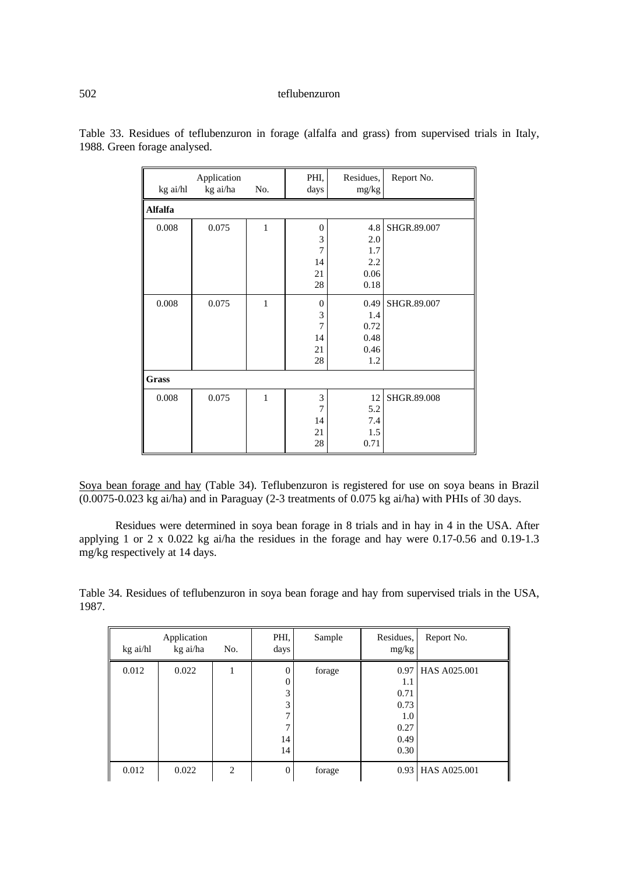| kg ai/hl       | Application<br>kg ai/ha | No.          | PHI,<br>days     | Residues,<br>mg/kg | Report No.  |
|----------------|-------------------------|--------------|------------------|--------------------|-------------|
| <b>Alfalfa</b> |                         |              |                  |                    |             |
| 0.008          | 0.075                   | $\mathbf{1}$ | $\boldsymbol{0}$ | 4.8                | SHGR.89.007 |
|                |                         |              | 3                | 2.0                |             |
|                |                         |              | $\overline{7}$   | 1.7                |             |
|                |                         |              | 14               | 2.2                |             |
|                |                         |              | 21               | 0.06               |             |
|                |                         |              | 28               | 0.18               |             |
| 0.008          | 0.075                   | $\mathbf{1}$ | $\overline{0}$   | 0.49               | SHGR.89.007 |
|                |                         |              | $\mathfrak{Z}$   | 1.4                |             |
|                |                         |              | $\overline{7}$   | 0.72               |             |
|                |                         |              | 14               | 0.48               |             |
|                |                         |              | 21               | 0.46               |             |
|                |                         |              | 28               | 1.2                |             |
| Grass          |                         |              |                  |                    |             |
| 0.008          | 0.075                   | $\mathbf{1}$ | $\mathfrak{Z}$   | 12                 | SHGR.89.008 |
|                |                         |              | $\overline{7}$   | 5.2                |             |
|                |                         |              | 14               | 7.4                |             |
|                |                         |              | 21               | 1.5                |             |
|                |                         |              | 28               | 0.71               |             |

Table 33. Residues of teflubenzuron in forage (alfalfa and grass) from supervised trials in Italy, 1988. Green forage analysed.

Soya bean forage and hay (Table 34). Teflubenzuron is registered for use on soya beans in Brazil (0.0075-0.023 kg ai/ha) and in Paraguay (2-3 treatments of 0.075 kg ai/ha) with PHIs of 30 days.

Residues were determined in soya bean forage in 8 trials and in hay in 4 in the USA. After applying 1 or 2 x 0.022 kg ai/ha the residues in the forage and hay were 0.17-0.56 and 0.19-1.3 mg/kg respectively at 14 days.

Table 34. Residues of teflubenzuron in soya bean forage and hay from supervised trials in the USA, 1987.

| kg ai/hl | Application<br>kg ai/ha | No.            | PHI,<br>days                               | Sample | Residues,<br>mg/kg                                     | Report No.        |
|----------|-------------------------|----------------|--------------------------------------------|--------|--------------------------------------------------------|-------------------|
| 0.012    | 0.022                   |                | $\Omega$<br>$\Omega$<br>3<br>3<br>14<br>14 | forage | $1.1\,$<br>0.71<br>0.73<br>1.0<br>0.27<br>0.49<br>0.30 | 0.97 HAS A025.001 |
| 0.012    | 0.022                   | $\overline{2}$ | $\mathbf{0}$                               | forage |                                                        | 0.93 HAS A025.001 |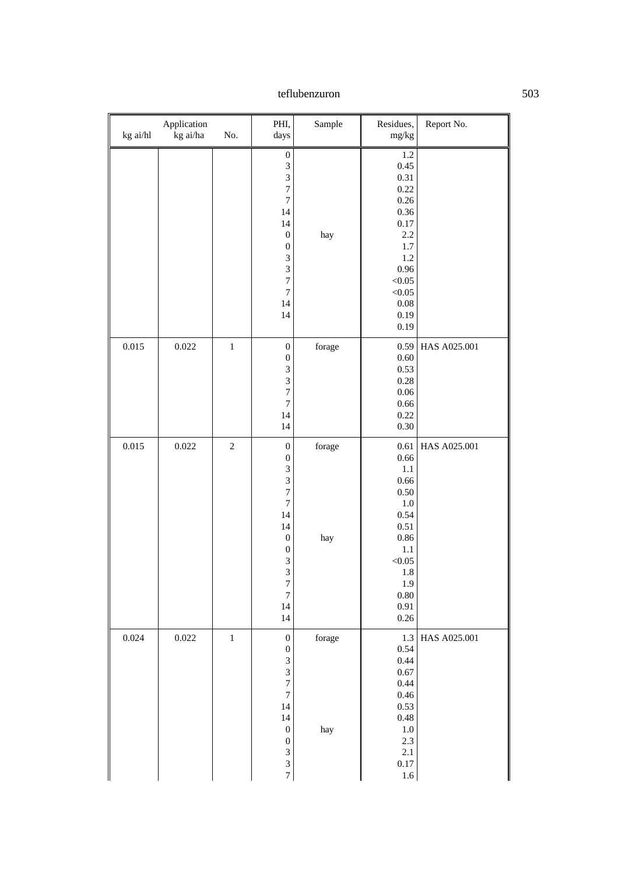| kg ai/hl | Application<br>kg ai/ha | No.            | PHI,<br>days                                                                                                                                                                                                                                              | Sample        | Residues,<br>mg/kg                                                                                                                            | Report No.   |
|----------|-------------------------|----------------|-----------------------------------------------------------------------------------------------------------------------------------------------------------------------------------------------------------------------------------------------------------|---------------|-----------------------------------------------------------------------------------------------------------------------------------------------|--------------|
|          |                         |                | $\boldsymbol{0}$<br>$\overline{\mathbf{3}}$<br>$\overline{3}$<br>$\overline{7}$<br>$\sqrt{ }$<br>14<br>14<br>$\boldsymbol{0}$<br>$\boldsymbol{0}$<br>$\overline{3}$<br>$\overline{3}$<br>$\overline{7}$<br>$\overline{7}$<br>14<br>14                     | hay           | 1.2<br>0.45<br>0.31<br>0.22<br>0.26<br>0.36<br>$0.17\,$<br>2.2<br>$1.7\,$<br>1.2<br>0.96<br>< 0.05<br>< 0.05<br>$0.08\,$<br>0.19<br>0.19      |              |
| 0.015    | 0.022                   | $\,1$          | $\boldsymbol{0}$<br>$\boldsymbol{0}$<br>$\overline{\mathbf{3}}$<br>3<br>$\overline{7}$<br>$\overline{7}$<br>14<br>14                                                                                                                                      | forage        | 0.59<br>0.60<br>0.53<br>0.28<br>$0.06\,$<br>0.66<br>0.22<br>0.30                                                                              | HAS A025.001 |
| 0.015    | 0.022                   | $\overline{c}$ | $\boldsymbol{0}$<br>$\boldsymbol{0}$<br>$\overline{\mathbf{3}}$<br>$\overline{3}$<br>$\overline{7}$<br>$\overline{7}$<br>14<br>14<br>$\boldsymbol{0}$<br>$\boldsymbol{0}$<br>$\sqrt{3}$<br>$\overline{3}$<br>$\overline{7}$<br>$\overline{7}$<br>14<br>14 | forage<br>hay | 0.61<br>0.66<br>$1.1\,$<br>0.66<br>0.50<br>$1.0\,$<br>0.54<br>0.51<br>0.86<br>$1.1\,$<br>< 0.05<br>$1.8\,$<br>1.9<br>$0.80\,$<br>0.91<br>0.26 | HAS A025.001 |
| 0.024    | 0.022                   | $\,1$          | $\boldsymbol{0}$<br>$\boldsymbol{0}$<br>$\mathfrak{Z}$<br>$\overline{\mathbf{3}}$<br>$\overline{7}$<br>$\overline{7}$<br>14<br>14<br>$\boldsymbol{0}$<br>$\boldsymbol{0}$<br>$\overline{\mathbf{3}}$<br>$\overline{3}$<br>$\overline{7}$                  | forage<br>hay | 1.3<br>0.54<br>0.44<br>0.67<br>0.44<br>0.46<br>0.53<br>0.48<br>$1.0\,$<br>$2.3\,$<br>2.1<br>$0.17\,$<br>$1.6\,$                               | HAS A025.001 |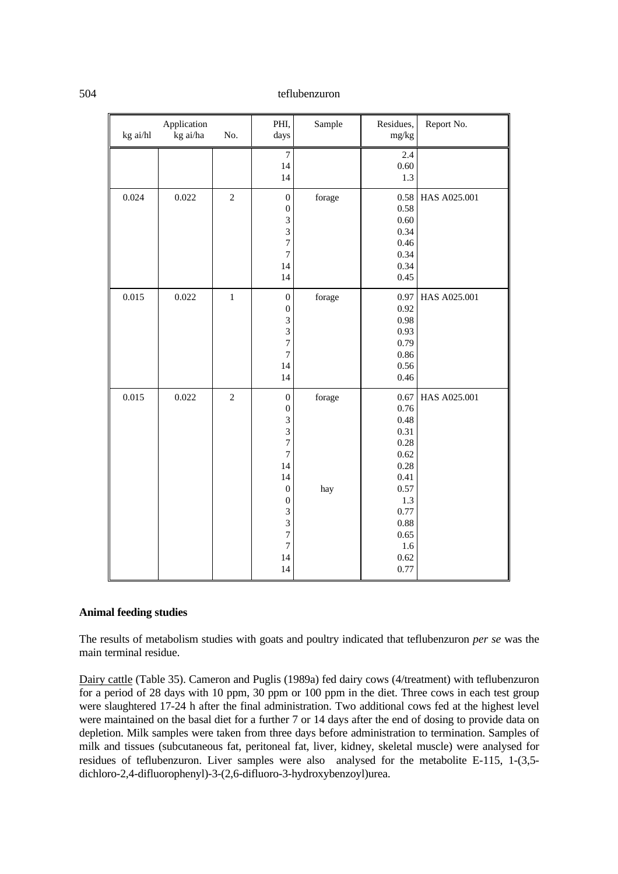| kg ai/hl | Application<br>kg ai/ha | No.            | PHI,<br>days                                                                                                                                                                                                             | Sample        | Residues,<br>mg/kg                                                                                                         | Report No.   |
|----------|-------------------------|----------------|--------------------------------------------------------------------------------------------------------------------------------------------------------------------------------------------------------------------------|---------------|----------------------------------------------------------------------------------------------------------------------------|--------------|
|          |                         |                | $\overline{7}$<br>14<br>14                                                                                                                                                                                               |               | 2.4<br>0.60<br>1.3                                                                                                         |              |
| 0.024    | 0.022                   | $\overline{2}$ | $\boldsymbol{0}$<br>$\boldsymbol{0}$<br>3<br>3<br>7<br>$\overline{7}$<br>14<br>14                                                                                                                                        | forage        | 0.58<br>0.58<br>0.60<br>0.34<br>0.46<br>0.34<br>0.34<br>0.45                                                               | HAS A025.001 |
| 0.015    | 0.022                   | $\,1$          | $\boldsymbol{0}$<br>$\boldsymbol{0}$<br>3<br>3<br>$\overline{7}$<br>$\boldsymbol{7}$<br>14<br>14                                                                                                                         | forage        | 0.97<br>0.92<br>0.98<br>0.93<br>0.79<br>0.86<br>0.56<br>0.46                                                               | HAS A025.001 |
| 0.015    | 0.022                   | $\overline{c}$ | $\boldsymbol{0}$<br>$\boldsymbol{0}$<br>$\overline{3}$<br>3<br>$\overline{7}$<br>$\overline{7}$<br>14<br>14<br>$\boldsymbol{0}$<br>$\boldsymbol{0}$<br>$\overline{\mathbf{3}}$<br>3<br>7<br>$\boldsymbol{7}$<br>14<br>14 | forage<br>hay | 0.67<br>0.76<br>0.48<br>0.31<br>0.28<br>0.62<br>0.28<br>0.41<br>0.57<br>1.3<br>0.77<br>0.88<br>0.65<br>1.6<br>0.62<br>0.77 | HAS A025.001 |

# **Animal feeding studies**

The results of metabolism studies with goats and poultry indicated that teflubenzuron *per se* was the main terminal residue.

Dairy cattle (Table 35). Cameron and Puglis (1989a) fed dairy cows (4/treatment) with teflubenzuron for a period of 28 days with 10 ppm, 30 ppm or 100 ppm in the diet. Three cows in each test group were slaughtered 17-24 h after the final administration. Two additional cows fed at the highest level were maintained on the basal diet for a further 7 or 14 days after the end of dosing to provide data on depletion. Milk samples were taken from three days before administration to termination. Samples of milk and tissues (subcutaneous fat, peritoneal fat, liver, kidney, skeletal muscle) were analysed for residues of teflubenzuron. Liver samples were also analysed for the metabolite E-115, 1-(3,5 dichloro-2,4-difluorophenyl)-3-(2,6-difluoro-3-hydroxybenzoyl)urea.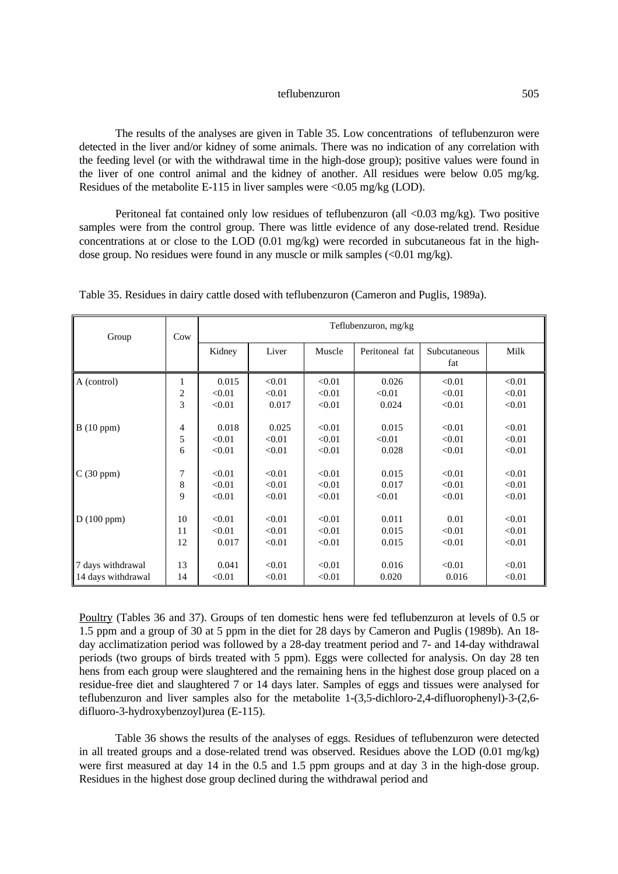The results of the analyses are given in Table 35. Low concentrations of teflubenzuron were detected in the liver and/or kidney of some animals. There was no indication of any correlation with the feeding level (or with the withdrawal time in the high-dose group); positive values were found in the liver of one control animal and the kidney of another. All residues were below 0.05 mg/kg. Residues of the metabolite E-115 in liver samples were  $\langle 0.05 \text{ mg/kg (LOD)} \rangle$ .

Peritoneal fat contained only low residues of teflubenzuron (all  $\langle 0.03 \text{ mg/kg} \rangle$ ). Two positive samples were from the control group. There was little evidence of any dose-related trend. Residue concentrations at or close to the LOD (0.01 mg/kg) were recorded in subcutaneous fat in the highdose group. No residues were found in any muscle or milk samples (<0.01 mg/kg).

| Group              | Cow                     | Teflubenzuron, mg/kg |        |        |                |                     |        |  |
|--------------------|-------------------------|----------------------|--------|--------|----------------|---------------------|--------|--|
|                    |                         | Kidney               | Liver  | Muscle | Peritoneal fat | Subcutaneous<br>fat | Milk   |  |
| A (control)        | 1                       | 0.015                | < 0.01 | < 0.01 | 0.026          | < 0.01              | < 0.01 |  |
|                    | $\overline{\mathbf{c}}$ | < 0.01               | < 0.01 | < 0.01 | < 0.01         | < 0.01              | < 0.01 |  |
|                    | 3                       | < 0.01               | 0.017  | < 0.01 | 0.024          | < 0.01              | < 0.01 |  |
| B(10 ppm)          | 4                       | 0.018                | 0.025  | < 0.01 | 0.015          | < 0.01              | < 0.01 |  |
|                    | 5                       | < 0.01               | < 0.01 | < 0.01 | < 0.01         | < 0.01              | < 0.01 |  |
|                    | 6                       | < 0.01               | < 0.01 | < 0.01 | 0.028          | < 0.01              | < 0.01 |  |
| C(30 ppm)          | 7                       | < 0.01               | < 0.01 | < 0.01 | 0.015          | < 0.01              | < 0.01 |  |
|                    | 8                       | < 0.01               | < 0.01 | < 0.01 | 0.017          | < 0.01              | < 0.01 |  |
|                    | 9                       | < 0.01               | < 0.01 | < 0.01 | < 0.01         | < 0.01              | < 0.01 |  |
| D(100 ppm)         | 10                      | < 0.01               | < 0.01 | < 0.01 | 0.011          | 0.01                | < 0.01 |  |
|                    | 11                      | < 0.01               | < 0.01 | < 0.01 | 0.015          | < 0.01              | < 0.01 |  |
|                    | 12                      | 0.017                | < 0.01 | < 0.01 | 0.015          | < 0.01              | < 0.01 |  |
| 7 days withdrawal  | 13                      | 0.041                | < 0.01 | < 0.01 | 0.016          | < 0.01              | < 0.01 |  |
| 14 days withdrawal | 14                      | < 0.01               | < 0.01 | < 0.01 | 0.020          | 0.016               | < 0.01 |  |

Table 35. Residues in dairy cattle dosed with teflubenzuron (Cameron and Puglis, 1989a).

Poultry (Tables 36 and 37). Groups of ten domestic hens were fed teflubenzuron at levels of 0.5 or 1.5 ppm and a group of 30 at 5 ppm in the diet for 28 days by Cameron and Puglis (1989b). An 18 day acclimatization period was followed by a 28-day treatment period and 7- and 14-day withdrawal periods (two groups of birds treated with 5 ppm). Eggs were collected for analysis. On day 28 ten hens from each group were slaughtered and the remaining hens in the highest dose group placed on a residue-free diet and slaughtered 7 or 14 days later. Samples of eggs and tissues were analysed for teflubenzuron and liver samples also for the metabolite 1-(3,5-dichloro-2,4-difluorophenyl)-3-(2,6 difluoro-3-hydroxybenzoyl)urea (E-115).

Table 36 shows the results of the analyses of eggs. Residues of teflubenzuron were detected in all treated groups and a dose-related trend was observed. Residues above the LOD (0.01 mg/kg) were first measured at day 14 in the 0.5 and 1.5 ppm groups and at day 3 in the high-dose group. Residues in the highest dose group declined during the withdrawal period and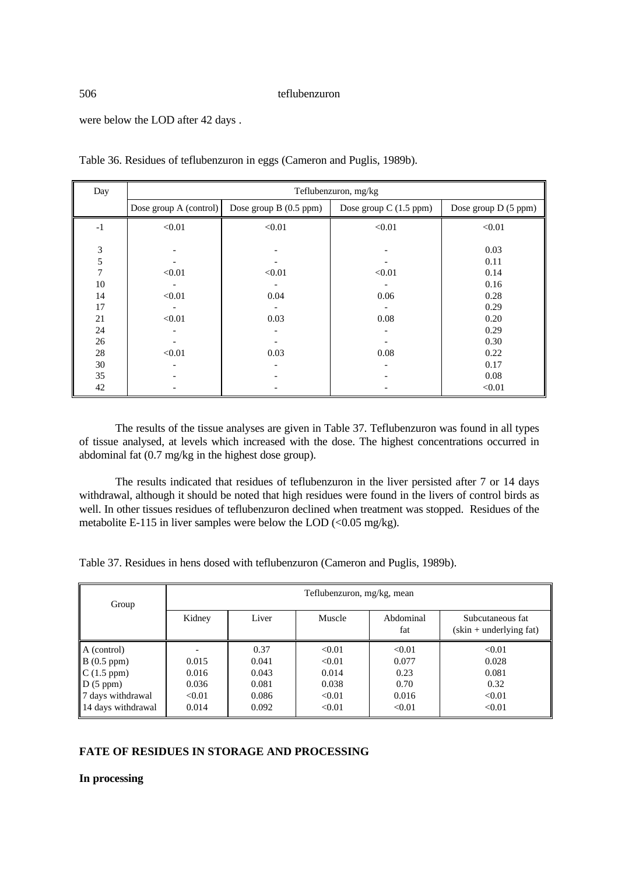were below the LOD after 42 days .

| Day  | Teflubenzuron, mg/kg     |                        |                         |                      |  |  |
|------|--------------------------|------------------------|-------------------------|----------------------|--|--|
|      | Dose group $A$ (control) | Dose group B (0.5 ppm) | Dose group $C(1.5$ ppm) | Dose group D (5 ppm) |  |  |
| $-1$ | < 0.01                   | < 0.01                 | < 0.01                  | < 0.01               |  |  |
|      |                          |                        |                         |                      |  |  |
| 3    |                          |                        |                         | 0.03                 |  |  |
| 5    |                          |                        |                         | 0.11                 |  |  |
| 7    | < 0.01                   | < 0.01                 | < 0.01                  | 0.14                 |  |  |
| 10   |                          |                        |                         | 0.16                 |  |  |
| 14   | < 0.01                   | 0.04                   | 0.06                    | 0.28                 |  |  |
| 17   |                          |                        |                         | 0.29                 |  |  |
| 21   | < 0.01                   | 0.03                   | 0.08                    | 0.20                 |  |  |
| 24   |                          |                        |                         | 0.29                 |  |  |
| 26   |                          |                        |                         | 0.30                 |  |  |
| 28   | < 0.01                   | 0.03                   | 0.08                    | 0.22                 |  |  |
| 30   |                          |                        |                         | 0.17                 |  |  |
| 35   |                          |                        |                         | 0.08                 |  |  |
| 42   |                          |                        |                         | < 0.01               |  |  |

Table 36. Residues of teflubenzuron in eggs (Cameron and Puglis, 1989b).

The results of the tissue analyses are given in Table 37. Teflubenzuron was found in all types of tissue analysed, at levels which increased with the dose. The highest concentrations occurred in abdominal fat (0.7 mg/kg in the highest dose group).

The results indicated that residues of teflubenzuron in the liver persisted after 7 or 14 days withdrawal, although it should be noted that high residues were found in the livers of control birds as well. In other tissues residues of teflubenzuron declined when treatment was stopped. Residues of the metabolite E-115 in liver samples were below the LOD  $\langle 0.05 \text{ mg/kg} \rangle$ .

Table 37. Residues in hens dosed with teflubenzuron (Cameron and Puglis, 1989b).

| Group                                                                                                      | Teflubenzuron, mg/kg, mean                 |                                                   |                                                        |                                                    |                                                      |  |
|------------------------------------------------------------------------------------------------------------|--------------------------------------------|---------------------------------------------------|--------------------------------------------------------|----------------------------------------------------|------------------------------------------------------|--|
|                                                                                                            | Kidney                                     | Liver                                             | Muscle                                                 | Abdominal<br>fat                                   | Subcutaneous fat<br>$(\sin + \text{underlying fat})$ |  |
| A (control)<br>B(0.5 ppm)<br>$\mathbb{C}$ (1.5 ppm)<br>D(5 ppm)<br>7 days withdrawal<br>14 days withdrawal | 0.015<br>0.016<br>0.036<br>< 0.01<br>0.014 | 0.37<br>0.041<br>0.043<br>0.081<br>0.086<br>0.092 | < 0.01<br>< 0.01<br>0.014<br>0.038<br>< 0.01<br>< 0.01 | < 0.01<br>0.077<br>0.23<br>0.70<br>0.016<br>< 0.01 | < 0.01<br>0.028<br>0.081<br>0.32<br>< 0.01<br>< 0.01 |  |

# **FATE OF RESIDUES IN STORAGE AND PROCESSING**

**In processing**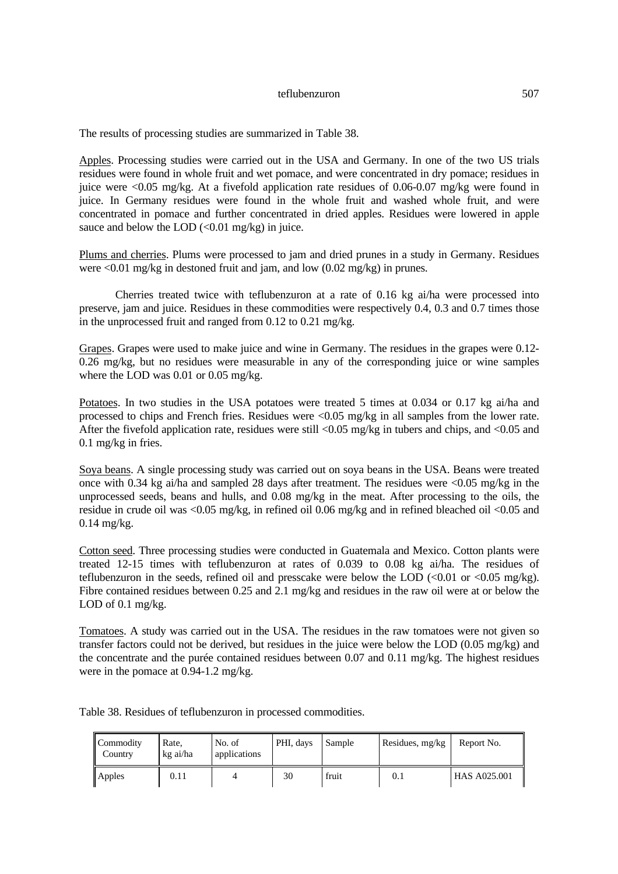The results of processing studies are summarized in Table 38.

Apples. Processing studies were carried out in the USA and Germany. In one of the two US trials residues were found in whole fruit and wet pomace, and were concentrated in dry pomace; residues in juice were <0.05 mg/kg. At a fivefold application rate residues of 0.06-0.07 mg/kg were found in juice. In Germany residues were found in the whole fruit and washed whole fruit, and were concentrated in pomace and further concentrated in dried apples. Residues were lowered in apple sauce and below the LOD  $\left($ <0.01 mg/kg) in juice.

Plums and cherries. Plums were processed to jam and dried prunes in a study in Germany. Residues were  $\leq 0.01$  mg/kg in destoned fruit and jam, and low  $(0.02 \text{ mg/kg})$  in prunes.

Cherries treated twice with teflubenzuron at a rate of 0.16 kg ai/ha were processed into preserve, jam and juice. Residues in these commodities were respectively 0.4, 0.3 and 0.7 times those in the unprocessed fruit and ranged from 0.12 to 0.21 mg/kg.

Grapes. Grapes were used to make juice and wine in Germany. The residues in the grapes were 0.12- 0.26 mg/kg, but no residues were measurable in any of the corresponding juice or wine samples where the LOD was 0.01 or 0.05 mg/kg.

Potatoes. In two studies in the USA potatoes were treated 5 times at 0.034 or 0.17 kg ai/ha and processed to chips and French fries. Residues were <0.05 mg/kg in all samples from the lower rate. After the fivefold application rate, residues were still <0.05 mg/kg in tubers and chips, and <0.05 and 0.1 mg/kg in fries.

Soya beans. A single processing study was carried out on soya beans in the USA. Beans were treated once with 0.34 kg ai/ha and sampled 28 days after treatment. The residues were  $\langle 0.05 \text{ mg/kg} \rangle$  in the unprocessed seeds, beans and hulls, and 0.08 mg/kg in the meat. After processing to the oils, the residue in crude oil was <0.05 mg/kg, in refined oil 0.06 mg/kg and in refined bleached oil <0.05 and 0.14 mg/kg.

Cotton seed. Three processing studies were conducted in Guatemala and Mexico. Cotton plants were treated 12-15 times with teflubenzuron at rates of 0.039 to 0.08 kg ai/ha. The residues of teflubenzuron in the seeds, refined oil and presscake were below the LOD (<0.01 or <0.05 mg/kg). Fibre contained residues between 0.25 and 2.1 mg/kg and residues in the raw oil were at or below the LOD of 0.1 mg/kg.

Tomatoes. A study was carried out in the USA. The residues in the raw tomatoes were not given so transfer factors could not be derived, but residues in the juice were below the LOD (0.05 mg/kg) and the concentrate and the purée contained residues between 0.07 and 0.11 mg/kg. The highest residues were in the pomace at 0.94-1.2 mg/kg.

Table 38. Residues of teflubenzuron in processed commodities.

| Commodity<br>Country | Rate.<br>kg ai/ha | No. of<br>applications | PHI, days | Sample | Residues, mg/kg | Report No.          |
|----------------------|-------------------|------------------------|-----------|--------|-----------------|---------------------|
| <b>Apples</b>        | 0.11              |                        | 30        | fruit  | 0.1             | <b>HAS A025.001</b> |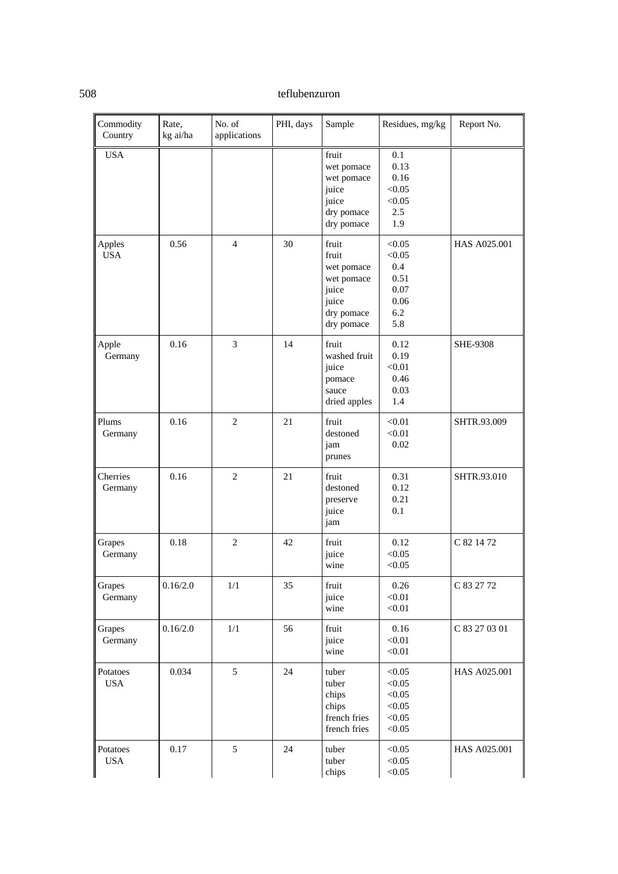| Commodity<br>Country   | Rate,<br>kg ai/ha | No. of<br>applications | PHI, days | Sample                                                                                   | Residues, mg/kg                                               | Report No.      |
|------------------------|-------------------|------------------------|-----------|------------------------------------------------------------------------------------------|---------------------------------------------------------------|-----------------|
| <b>USA</b>             |                   |                        |           | fruit<br>wet pomace<br>wet pomace<br>juice<br>juice<br>dry pomace<br>dry pomace          | 0.1<br>0.13<br>0.16<br>< 0.05<br>< 0.05<br>2.5<br>1.9         |                 |
| Apples<br><b>USA</b>   | 0.56              | $\overline{4}$         | 30        | fruit<br>fruit<br>wet pomace<br>wet pomace<br>juice<br>juice<br>dry pomace<br>dry pomace | < 0.05<br>< 0.05<br>0.4<br>0.51<br>0.07<br>0.06<br>6.2<br>5.8 | HAS A025.001    |
| Apple<br>Germany       | 0.16              | 3                      | 14        | fruit<br>washed fruit<br>juice<br>pomace<br>sauce<br>dried apples                        | 0.12<br>0.19<br>< 0.01<br>0.46<br>0.03<br>1.4                 | <b>SHE-9308</b> |
| Plums<br>Germany       | 0.16              | $\mathfrak{2}$         | 21        | fruit<br>destoned<br>jam<br>prunes                                                       | < 0.01<br>< 0.01<br>0.02                                      | SHTR.93.009     |
| Cherries<br>Germany    | 0.16              | $\overline{2}$         | 21        | fruit<br>destoned<br>preserve<br>juice<br>jam                                            | 0.31<br>0.12<br>0.21<br>0.1                                   | SHTR.93.010     |
| Grapes<br>Germany      | 0.18              | $\overline{c}$         | 42        | fruit<br>juice<br>wine                                                                   | 0.12<br>< 0.05<br>< 0.05                                      | C 82 14 72      |
| Grapes<br>Germany      | 0.16/2.0          | $1/1$                  | 35        | fruit<br>juice<br>wine                                                                   | 0.26<br>< 0.01<br>< 0.01                                      | C 83 27 72      |
| Grapes<br>Germany      | 0.16/2.0          | 1/1                    | 56        | fruit<br>juice<br>wine                                                                   | 0.16<br>< 0.01<br>< 0.01                                      | C 83 27 03 01   |
| Potatoes<br><b>USA</b> | 0.034             | 5                      | 24        | tuber<br>tuber<br>chips<br>chips<br>french fries<br>french fries                         | < 0.05<br>< 0.05<br>< 0.05<br>< 0.05<br>< 0.05<br>< 0.05      | HAS A025.001    |
| Potatoes<br><b>USA</b> | 0.17              | 5                      | 24        | tuber<br>tuber<br>chips                                                                  | < 0.05<br>< 0.05<br>< 0.05                                    | HAS A025.001    |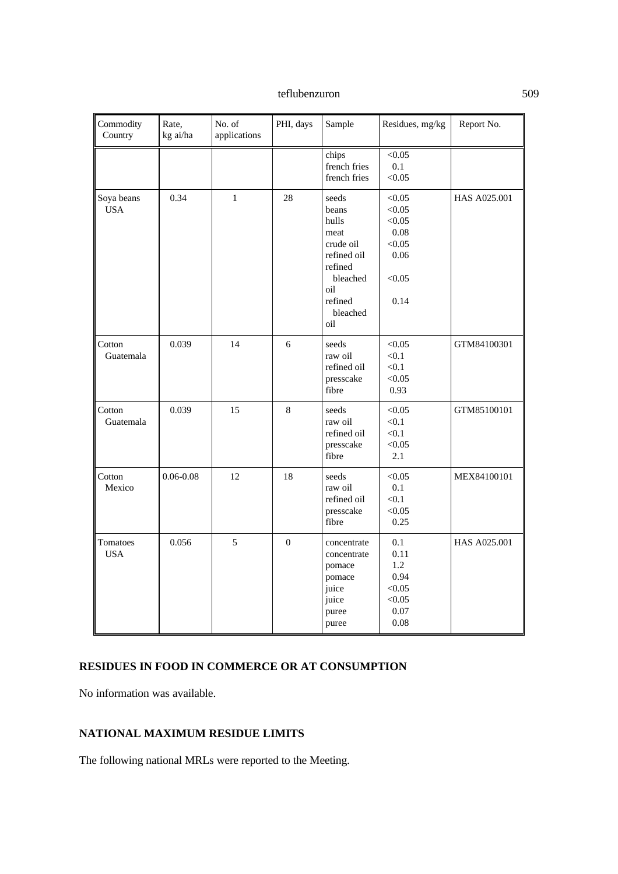| Commodity<br>Country     | Rate,<br>kg ai/ha | No. of<br>applications | PHI, days        | Sample                                                                                                                  | Residues, mg/kg                                                        | Report No.   |
|--------------------------|-------------------|------------------------|------------------|-------------------------------------------------------------------------------------------------------------------------|------------------------------------------------------------------------|--------------|
|                          |                   |                        |                  | chips<br>french fries<br>french fries                                                                                   | < 0.05<br>0.1<br>< 0.05                                                |              |
| Soya beans<br><b>USA</b> | 0.34              | $\,1$                  | 28               | seeds<br>beans<br>hulls<br>meat<br>crude oil<br>refined oil<br>refined<br>bleached<br>oil<br>refined<br>bleached<br>oil | < 0.05<br>< 0.05<br>< 0.05<br>0.08<br>< 0.05<br>0.06<br>< 0.05<br>0.14 | HAS A025.001 |
| Cotton<br>Guatemala      | 0.039             | 14                     | 6                | seeds<br>raw oil<br>refined oil<br>presscake<br>fibre                                                                   | < 0.05<br>< 0.1<br>< 0.1<br>< 0.05<br>0.93                             | GTM84100301  |
| Cotton<br>Guatemala      | 0.039             | 15                     | $\,8\,$          | seeds<br>raw oil<br>refined oil<br>presscake<br>fibre                                                                   | < 0.05<br>< 0.1<br>< 0.1<br>< 0.05<br>2.1                              | GTM85100101  |
| Cotton<br>Mexico         | $0.06 - 0.08$     | 12                     | 18               | seeds<br>raw oil<br>refined oil<br>presscake<br>fibre                                                                   | < 0.05<br>0.1<br>< 0.1<br>< 0.05<br>0.25                               | MEX84100101  |
| Tomatoes<br><b>USA</b>   | 0.056             | 5                      | $\boldsymbol{0}$ | concentrate<br>concentrate<br>pomace<br>pomace<br>juice<br>juice<br>puree<br>puree                                      | 0.1<br>0.11<br>1.2<br>0.94<br>< 0.05<br>< 0.05<br>0.07<br>0.08         | HAS A025.001 |

# **RESIDUES IN FOOD IN COMMERCE OR AT CONSUMPTION**

No information was available.

# **NATIONAL MAXIMUM RESIDUE LIMITS**

The following national MRLs were reported to the Meeting.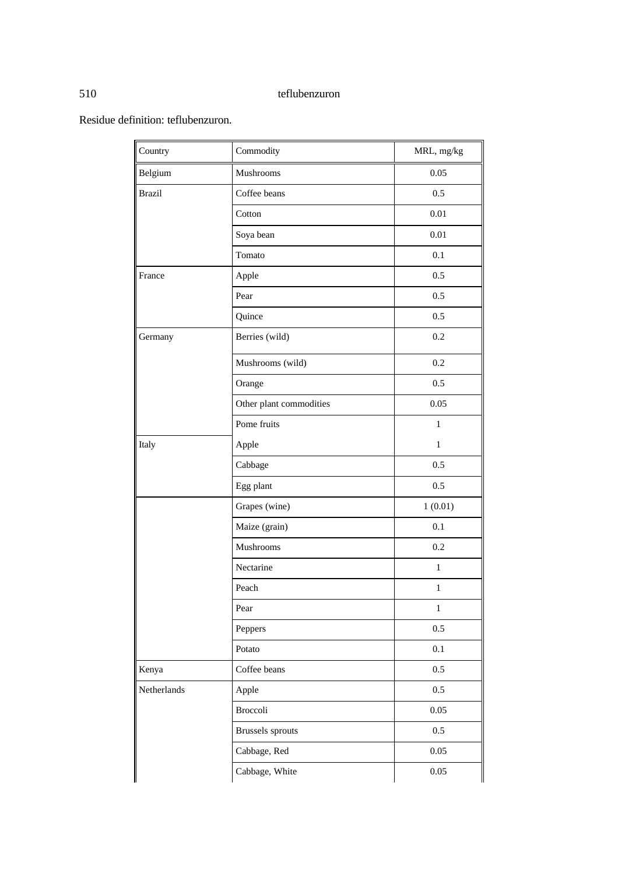Residue definition: teflubenzuron.

| Country       | Commodity               | MRL, mg/kg   |
|---------------|-------------------------|--------------|
| Belgium       | Mushrooms               | 0.05         |
| <b>Brazil</b> | Coffee beans            | 0.5          |
|               | Cotton                  | $0.01\,$     |
|               | Soya bean               | 0.01         |
|               | Tomato                  | 0.1          |
| France        | Apple                   | 0.5          |
|               | Pear                    | 0.5          |
|               | Quince                  | 0.5          |
| Germany       | Berries (wild)          | 0.2          |
|               | Mushrooms (wild)        | 0.2          |
|               | Orange                  | 0.5          |
|               | Other plant commodities | 0.05         |
|               | Pome fruits             | $\mathbf{1}$ |
| Italy         | Apple                   | $\mathbf{1}$ |
|               | Cabbage                 | 0.5          |
|               | Egg plant               | 0.5          |
|               | Grapes (wine)           | 1(0.01)      |
|               | Maize (grain)           | 0.1          |
|               | Mushrooms               | 0.2          |
|               | Nectarine               | $\mathbf{1}$ |
|               | Peach                   | $\,1$        |
|               | Pear                    | 1            |
|               | Peppers                 | 0.5          |
|               | Potato                  | 0.1          |
| Kenya         | Coffee beans            | 0.5          |
| Netherlands   | Apple                   | $0.5\,$      |
|               | <b>Broccoli</b>         | $0.05\,$     |
|               | <b>Brussels</b> sprouts | $0.5\,$      |
|               | Cabbage, Red            | 0.05         |
|               | Cabbage, White          | 0.05         |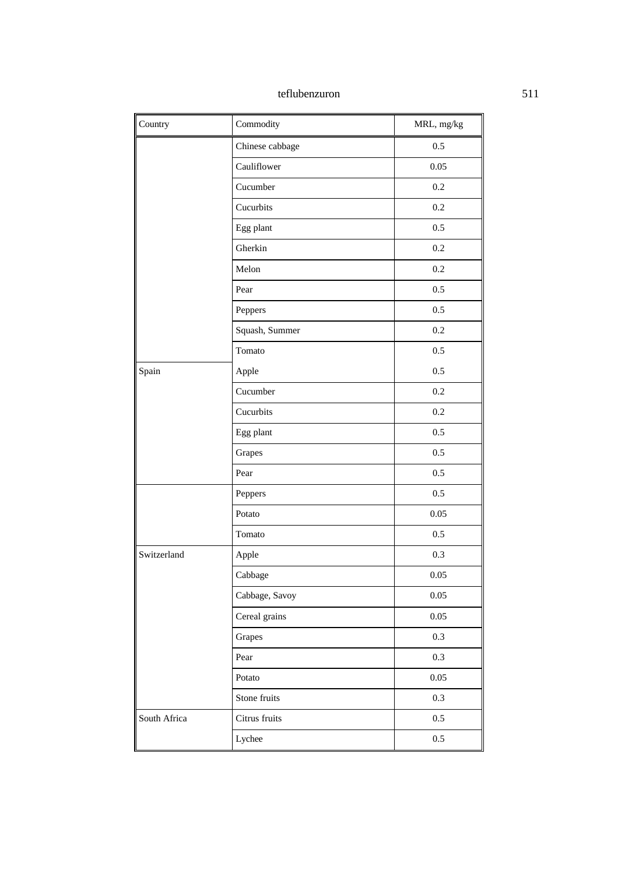| Country      | Commodity       | MRL, mg/kg |
|--------------|-----------------|------------|
|              | Chinese cabbage | 0.5        |
|              | Cauliflower     | 0.05       |
|              | Cucumber        | 0.2        |
|              | Cucurbits       | $0.2\,$    |
|              | Egg plant       | 0.5        |
|              | Gherkin         | 0.2        |
|              | Melon           | 0.2        |
|              | Pear            | 0.5        |
|              | Peppers         | 0.5        |
|              | Squash, Summer  | 0.2        |
|              | Tomato          | 0.5        |
| Spain        | Apple           | 0.5        |
|              | Cucumber        | 0.2        |
|              | Cucurbits       | 0.2        |
|              | Egg plant       | 0.5        |
|              | Grapes          | 0.5        |
|              | Pear            | 0.5        |
|              | Peppers         | 0.5        |
|              | Potato          | 0.05       |
|              | Tomato          | 0.5        |
| Switzerland  | Apple           | 0.3        |
|              | Cabbage         | 0.05       |
|              | Cabbage, Savoy  | $0.05\,$   |
|              | Cereal grains   | $0.05\,$   |
|              | Grapes          | 0.3        |
|              | Pear            | 0.3        |
|              | Potato          | $0.05\,$   |
|              | Stone fruits    | 0.3        |
| South Africa | Citrus fruits   | 0.5        |
|              | Lychee          | 0.5        |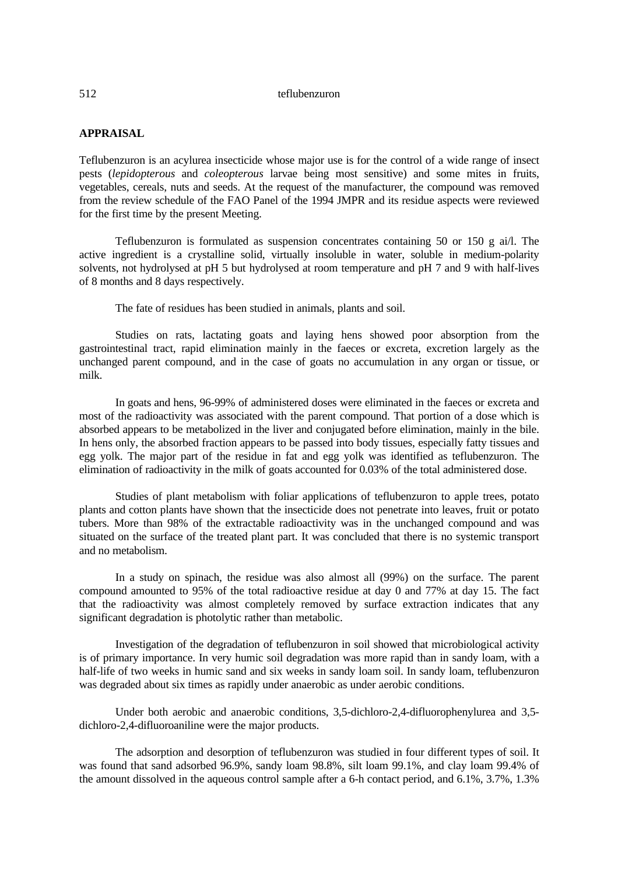# **APPRAISAL**

Teflubenzuron is an acylurea insecticide whose major use is for the control of a wide range of insect pests (*lepidopterous* and *coleopterous* larvae being most sensitive) and some mites in fruits, vegetables, cereals, nuts and seeds. At the request of the manufacturer, the compound was removed from the review schedule of the FAO Panel of the 1994 JMPR and its residue aspects were reviewed for the first time by the present Meeting.

Teflubenzuron is formulated as suspension concentrates containing 50 or 150 g ai/l. The active ingredient is a crystalline solid, virtually insoluble in water, soluble in medium-polarity solvents, not hydrolysed at pH 5 but hydrolysed at room temperature and pH 7 and 9 with half-lives of 8 months and 8 days respectively.

The fate of residues has been studied in animals, plants and soil.

Studies on rats, lactating goats and laying hens showed poor absorption from the gastrointestinal tract, rapid elimination mainly in the faeces or excreta, excretion largely as the unchanged parent compound, and in the case of goats no accumulation in any organ or tissue, or milk.

In goats and hens, 96-99% of administered doses were eliminated in the faeces or excreta and most of the radioactivity was associated with the parent compound. That portion of a dose which is absorbed appears to be metabolized in the liver and conjugated before elimination, mainly in the bile. In hens only, the absorbed fraction appears to be passed into body tissues, especially fatty tissues and egg yolk. The major part of the residue in fat and egg yolk was identified as teflubenzuron. The elimination of radioactivity in the milk of goats accounted for 0.03% of the total administered dose.

Studies of plant metabolism with foliar applications of teflubenzuron to apple trees, potato plants and cotton plants have shown that the insecticide does not penetrate into leaves, fruit or potato tubers. More than 98% of the extractable radioactivity was in the unchanged compound and was situated on the surface of the treated plant part. It was concluded that there is no systemic transport and no metabolism.

In a study on spinach, the residue was also almost all (99%) on the surface. The parent compound amounted to 95% of the total radioactive residue at day 0 and 77% at day 15. The fact that the radioactivity was almost completely removed by surface extraction indicates that any significant degradation is photolytic rather than metabolic.

Investigation of the degradation of teflubenzuron in soil showed that microbiological activity is of primary importance. In very humic soil degradation was more rapid than in sandy loam, with a half-life of two weeks in humic sand and six weeks in sandy loam soil. In sandy loam, teflubenzuron was degraded about six times as rapidly under anaerobic as under aerobic conditions.

Under both aerobic and anaerobic conditions, 3,5-dichloro-2,4-difluorophenylurea and 3,5 dichloro-2,4-difluoroaniline were the major products.

The adsorption and desorption of teflubenzuron was studied in four different types of soil. It was found that sand adsorbed 96.9%, sandy loam 98.8%, silt loam 99.1%, and clay loam 99.4% of the amount dissolved in the aqueous control sample after a 6-h contact period, and 6.1%, 3.7%, 1.3%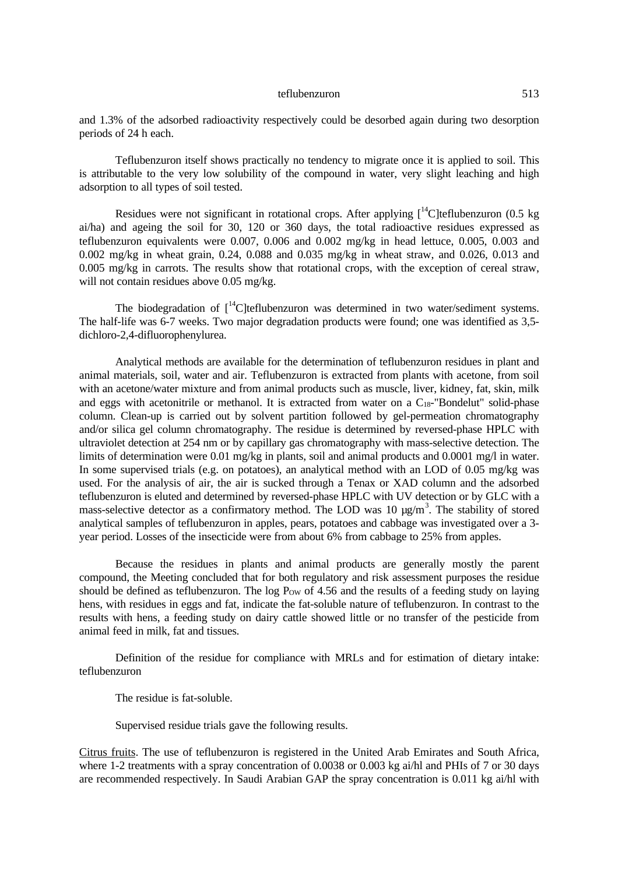and 1.3% of the adsorbed radioactivity respectively could be desorbed again during two desorption periods of 24 h each.

Teflubenzuron itself shows practically no tendency to migrate once it is applied to soil. This is attributable to the very low solubility of the compound in water, very slight leaching and high adsorption to all types of soil tested.

Residues were not significant in rotational crops. After applying  $\int_{0}^{14}$ C]teflubenzuron (0.5 kg ai/ha) and ageing the soil for 30, 120 or 360 days, the total radioactive residues expressed as teflubenzuron equivalents were 0.007, 0.006 and 0.002 mg/kg in head lettuce, 0.005, 0.003 and 0.002 mg/kg in wheat grain, 0.24, 0.088 and 0.035 mg/kg in wheat straw, and 0.026, 0.013 and 0.005 mg/kg in carrots. The results show that rotational crops, with the exception of cereal straw, will not contain residues above 0.05 mg/kg.

The biodegradation of  $\int_0^{14}$ C]teflubenzuron was determined in two water/sediment systems. The half-life was 6-7 weeks. Two major degradation products were found; one was identified as 3,5 dichloro-2,4-difluorophenylurea.

Analytical methods are available for the determination of teflubenzuron residues in plant and animal materials, soil, water and air. Teflubenzuron is extracted from plants with acetone, from soil with an acetone/water mixture and from animal products such as muscle, liver, kidney, fat, skin, milk and eggs with acetonitrile or methanol. It is extracted from water on a C<sub>18</sub>-"Bondelut" solid-phase column. Clean-up is carried out by solvent partition followed by gel-permeation chromatography and/or silica gel column chromatography. The residue is determined by reversed-phase HPLC with ultraviolet detection at 254 nm or by capillary gas chromatography with mass-selective detection. The limits of determination were 0.01 mg/kg in plants, soil and animal products and 0.0001 mg/l in water. In some supervised trials (e.g. on potatoes), an analytical method with an LOD of 0.05 mg/kg was used. For the analysis of air, the air is sucked through a Tenax or XAD column and the adsorbed teflubenzuron is eluted and determined by reversed-phase HPLC with UV detection or by GLC with a mass-selective detector as a confirmatory method. The LOD was 10  $\mu$ g/m<sup>3</sup>. The stability of stored analytical samples of teflubenzuron in apples, pears, potatoes and cabbage was investigated over a 3 year period. Losses of the insecticide were from about 6% from cabbage to 25% from apples.

Because the residues in plants and animal products are generally mostly the parent compound, the Meeting concluded that for both regulatory and risk assessment purposes the residue should be defined as teflubenzuron. The log  $P_{\text{OW}}$  of 4.56 and the results of a feeding study on laying hens, with residues in eggs and fat, indicate the fat-soluble nature of teflubenzuron. In contrast to the results with hens, a feeding study on dairy cattle showed little or no transfer of the pesticide from animal feed in milk, fat and tissues.

Definition of the residue for compliance with MRLs and for estimation of dietary intake: teflubenzuron

The residue is fat-soluble.

Supervised residue trials gave the following results.

Citrus fruits. The use of teflubenzuron is registered in the United Arab Emirates and South Africa, where 1-2 treatments with a spray concentration of 0.0038 or 0.003 kg ai/hl and PHIs of 7 or 30 days are recommended respectively. In Saudi Arabian GAP the spray concentration is 0.011 kg ai/hl with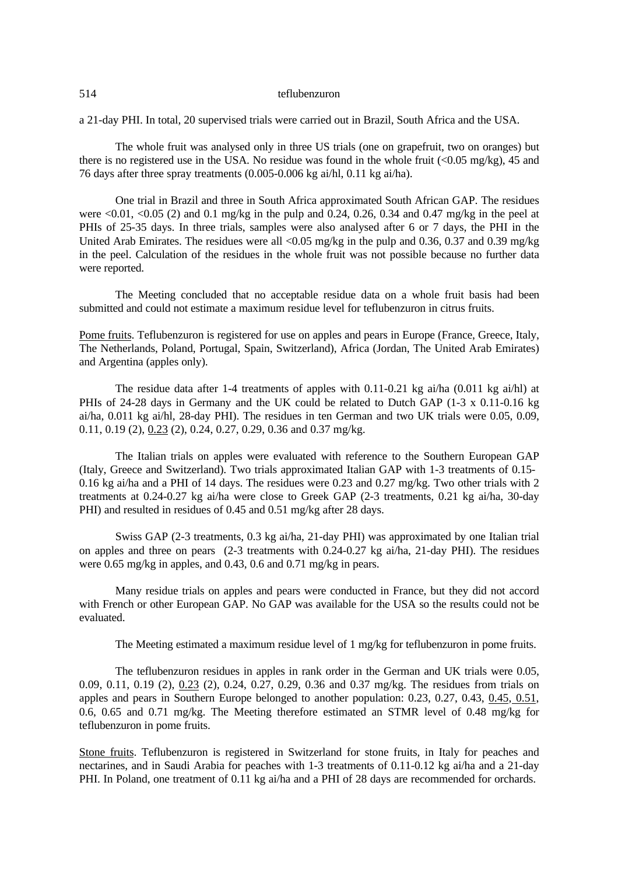a 21-day PHI. In total, 20 supervised trials were carried out in Brazil, South Africa and the USA.

The whole fruit was analysed only in three US trials (one on grapefruit, two on oranges) but there is no registered use in the USA. No residue was found in the whole fruit  $\langle 0.05 \text{ mg/kg} \rangle$ , 45 and 76 days after three spray treatments (0.005-0.006 kg ai/hl, 0.11 kg ai/ha).

One trial in Brazil and three in South Africa approximated South African GAP. The residues were  $\langle 0.01, \langle 0.05 (2) \rangle$  and 0.1 mg/kg in the pulp and 0.24, 0.26, 0.34 and 0.47 mg/kg in the peel at PHIs of 25-35 days. In three trials, samples were also analysed after 6 or 7 days, the PHI in the United Arab Emirates. The residues were all <0.05 mg/kg in the pulp and 0.36, 0.37 and 0.39 mg/kg in the peel. Calculation of the residues in the whole fruit was not possible because no further data were reported.

The Meeting concluded that no acceptable residue data on a whole fruit basis had been submitted and could not estimate a maximum residue level for teflubenzuron in citrus fruits.

Pome fruits. Teflubenzuron is registered for use on apples and pears in Europe (France, Greece, Italy, The Netherlands, Poland, Portugal, Spain, Switzerland), Africa (Jordan, The United Arab Emirates) and Argentina (apples only).

The residue data after 1-4 treatments of apples with 0.11-0.21 kg ai/ha (0.011 kg ai/hl) at PHIs of 24-28 days in Germany and the UK could be related to Dutch GAP (1-3 x 0.11-0.16 kg ai/ha, 0.011 kg ai/hl, 28-day PHI). The residues in ten German and two UK trials were 0.05, 0.09, 0.11, 0.19 (2), 0.23 (2), 0.24, 0.27, 0.29, 0.36 and 0.37 mg/kg.

The Italian trials on apples were evaluated with reference to the Southern European GAP (Italy, Greece and Switzerland). Two trials approximated Italian GAP with 1-3 treatments of 0.15- 0.16 kg ai/ha and a PHI of 14 days. The residues were 0.23 and 0.27 mg/kg. Two other trials with 2 treatments at 0.24-0.27 kg ai/ha were close to Greek GAP (2-3 treatments, 0.21 kg ai/ha, 30-day PHI) and resulted in residues of 0.45 and 0.51 mg/kg after 28 days.

Swiss GAP (2-3 treatments, 0.3 kg ai/ha, 21-day PHI) was approximated by one Italian trial on apples and three on pears (2-3 treatments with 0.24-0.27 kg ai/ha, 21-day PHI). The residues were 0.65 mg/kg in apples, and 0.43, 0.6 and 0.71 mg/kg in pears.

Many residue trials on apples and pears were conducted in France, but they did not accord with French or other European GAP. No GAP was available for the USA so the results could not be evaluated.

The Meeting estimated a maximum residue level of 1 mg/kg for teflubenzuron in pome fruits.

The teflubenzuron residues in apples in rank order in the German and UK trials were 0.05, 0.09, 0.11, 0.19 (2), 0.23 (2), 0.24, 0.27, 0.29, 0.36 and 0.37 mg/kg. The residues from trials on apples and pears in Southern Europe belonged to another population: 0.23, 0.27, 0.43, 0.45, 0.51, 0.6, 0.65 and 0.71 mg/kg. The Meeting therefore estimated an STMR level of 0.48 mg/kg for teflubenzuron in pome fruits.

Stone fruits. Teflubenzuron is registered in Switzerland for stone fruits, in Italy for peaches and nectarines, and in Saudi Arabia for peaches with 1-3 treatments of 0.11-0.12 kg ai/ha and a 21-day PHI. In Poland, one treatment of 0.11 kg ai/ha and a PHI of 28 days are recommended for orchards.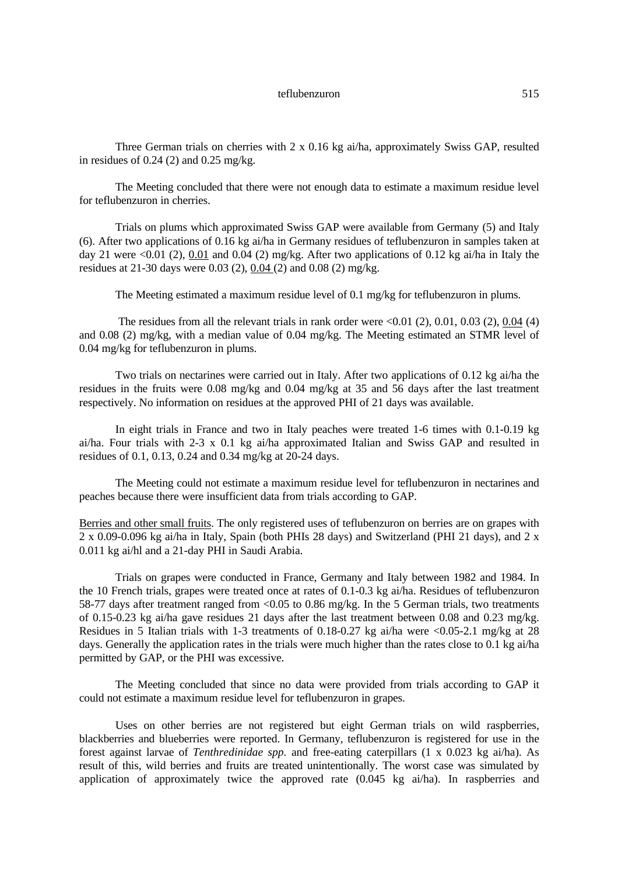Three German trials on cherries with 2 x 0.16 kg ai/ha, approximately Swiss GAP, resulted in residues of  $0.24$  (2) and  $0.25$  mg/kg.

The Meeting concluded that there were not enough data to estimate a maximum residue level for teflubenzuron in cherries.

Trials on plums which approximated Swiss GAP were available from Germany (5) and Italy (6). After two applications of 0.16 kg ai/ha in Germany residues of teflubenzuron in samples taken at day 21 were <0.01 (2),  $0.01$  and 0.04 (2) mg/kg. After two applications of 0.12 kg ai/ha in Italy the residues at 21-30 days were 0.03 (2), 0.04 (2) and 0.08 (2) mg/kg.

The Meeting estimated a maximum residue level of 0.1 mg/kg for teflubenzuron in plums.

The residues from all the relevant trials in rank order were  $\leq 0.01$  (2), 0.01, 0.03 (2), 0.04 (4) and 0.08 (2) mg/kg, with a median value of 0.04 mg/kg. The Meeting estimated an STMR level of 0.04 mg/kg for teflubenzuron in plums.

Two trials on nectarines were carried out in Italy. After two applications of 0.12 kg ai/ha the residues in the fruits were 0.08 mg/kg and 0.04 mg/kg at 35 and 56 days after the last treatment respectively. No information on residues at the approved PHI of 21 days was available.

In eight trials in France and two in Italy peaches were treated 1-6 times with 0.1-0.19 kg ai/ha. Four trials with 2-3 x 0.1 kg ai/ha approximated Italian and Swiss GAP and resulted in residues of 0.1, 0.13, 0.24 and 0.34 mg/kg at 20-24 days.

The Meeting could not estimate a maximum residue level for teflubenzuron in nectarines and peaches because there were insufficient data from trials according to GAP.

Berries and other small fruits. The only registered uses of teflubenzuron on berries are on grapes with 2 x 0.09-0.096 kg ai/ha in Italy, Spain (both PHIs 28 days) and Switzerland (PHI 21 days), and 2 x 0.011 kg ai/hl and a 21-day PHI in Saudi Arabia.

Trials on grapes were conducted in France, Germany and Italy between 1982 and 1984. In the 10 French trials, grapes were treated once at rates of 0.1-0.3 kg ai/ha. Residues of teflubenzuron 58-77 days after treatment ranged from <0.05 to 0.86 mg/kg. In the 5 German trials, two treatments of 0.15-0.23 kg ai/ha gave residues 21 days after the last treatment between 0.08 and 0.23 mg/kg. Residues in 5 Italian trials with 1-3 treatments of 0.18-0.27 kg ai/ha were <0.05-2.1 mg/kg at 28 days. Generally the application rates in the trials were much higher than the rates close to 0.1 kg ai/ha permitted by GAP, or the PHI was excessive.

The Meeting concluded that since no data were provided from trials according to GAP it could not estimate a maximum residue level for teflubenzuron in grapes.

Uses on other berries are not registered but eight German trials on wild raspberries, blackberries and blueberries were reported. In Germany, teflubenzuron is registered for use in the forest against larvae of *Tenthredinidae spp.* and free-eating caterpillars (1 x 0.023 kg ai/ha). As result of this, wild berries and fruits are treated unintentionally. The worst case was simulated by application of approximately twice the approved rate (0.045 kg ai/ha). In raspberries and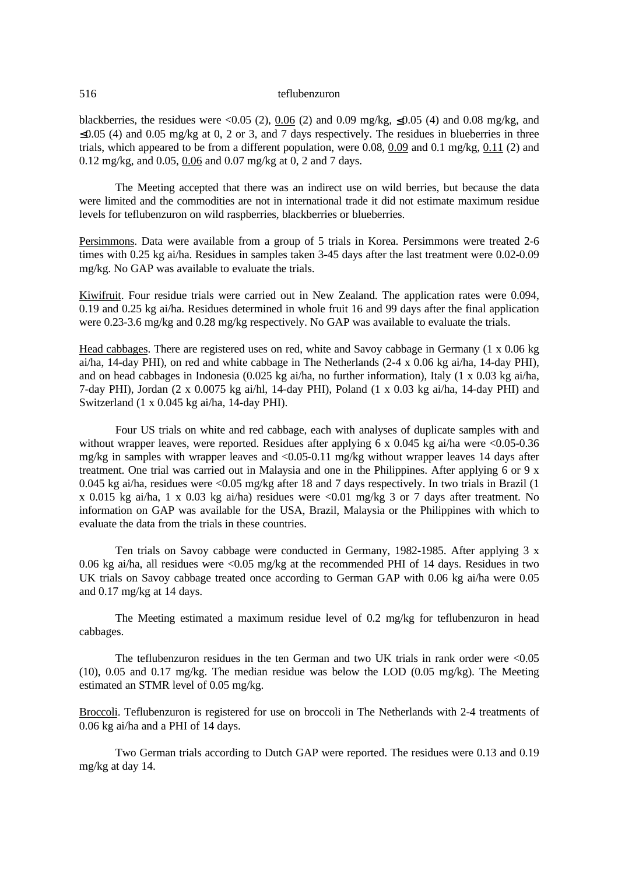blackberries, the residues were <0.05 (2), 0.06 (2) and 0.09 mg/kg,  $\leq 0.05$  (4) and 0.08 mg/kg, and  $\leq 0.05$  (4) and 0.05 mg/kg at 0, 2 or 3, and 7 days respectively. The residues in blueberries in three trials, which appeared to be from a different population, were 0.08,  $0.09$  and 0.1 mg/kg,  $0.11$  (2) and 0.12 mg/kg, and 0.05, 0.06 and 0.07 mg/kg at 0, 2 and 7 days.

The Meeting accepted that there was an indirect use on wild berries, but because the data were limited and the commodities are not in international trade it did not estimate maximum residue levels for teflubenzuron on wild raspberries, blackberries or blueberries.

Persimmons. Data were available from a group of 5 trials in Korea. Persimmons were treated 2-6 times with 0.25 kg ai/ha. Residues in samples taken 3-45 days after the last treatment were 0.02-0.09 mg/kg. No GAP was available to evaluate the trials.

Kiwifruit. Four residue trials were carried out in New Zealand. The application rates were 0.094, 0.19 and 0.25 kg ai/ha. Residues determined in whole fruit 16 and 99 days after the final application were 0.23-3.6 mg/kg and 0.28 mg/kg respectively. No GAP was available to evaluate the trials.

Head cabbages. There are registered uses on red, white and Savoy cabbage in Germany  $(1 \times 0.06 \text{ kg})$ ai/ha, 14-day PHI), on red and white cabbage in The Netherlands (2-4 x 0.06 kg ai/ha, 14-day PHI), and on head cabbages in Indonesia (0.025 kg ai/ha, no further information), Italy (1 x 0.03 kg ai/ha, 7-day PHI), Jordan (2 x 0.0075 kg ai/hl, 14-day PHI), Poland (1 x 0.03 kg ai/ha, 14-day PHI) and Switzerland (1 x 0.045 kg ai/ha, 14-day PHI).

Four US trials on white and red cabbage, each with analyses of duplicate samples with and without wrapper leaves, were reported. Residues after applying 6 x 0.045 kg ai/ha were <0.05-0.36 mg/kg in samples with wrapper leaves and <0.05-0.11 mg/kg without wrapper leaves 14 days after treatment. One trial was carried out in Malaysia and one in the Philippines. After applying 6 or 9 x 0.045 kg ai/ha, residues were <0.05 mg/kg after 18 and 7 days respectively. In two trials in Brazil (1 x 0.015 kg ai/ha, 1 x 0.03 kg ai/ha) residues were <0.01 mg/kg 3 or 7 days after treatment. No information on GAP was available for the USA, Brazil, Malaysia or the Philippines with which to evaluate the data from the trials in these countries.

Ten trials on Savoy cabbage were conducted in Germany, 1982-1985. After applying 3 x 0.06 kg ai/ha, all residues were  $\langle 0.05 \text{ mg/kg} \rangle$  at the recommended PHI of 14 days. Residues in two UK trials on Savoy cabbage treated once according to German GAP with 0.06 kg ai/ha were 0.05 and 0.17 mg/kg at 14 days.

The Meeting estimated a maximum residue level of 0.2 mg/kg for teflubenzuron in head cabbages.

The teflubenzuron residues in the ten German and two UK trials in rank order were  $\leq 0.05$ (10), 0.05 and 0.17 mg/kg. The median residue was below the LOD (0.05 mg/kg). The Meeting estimated an STMR level of 0.05 mg/kg.

Broccoli. Teflubenzuron is registered for use on broccoli in The Netherlands with 2-4 treatments of 0.06 kg ai/ha and a PHI of 14 days.

Two German trials according to Dutch GAP were reported. The residues were 0.13 and 0.19 mg/kg at day 14.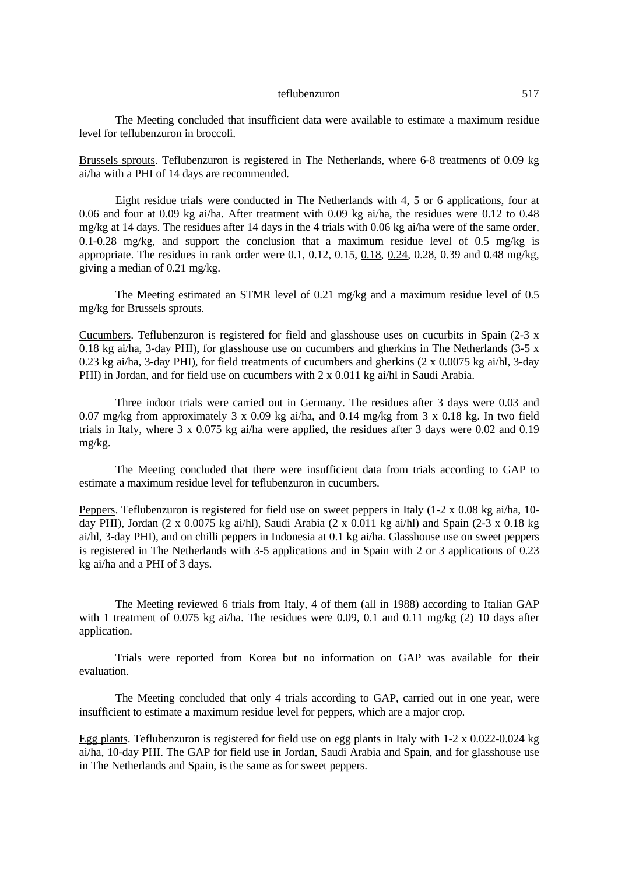The Meeting concluded that insufficient data were available to estimate a maximum residue level for teflubenzuron in broccoli.

Brussels sprouts. Teflubenzuron is registered in The Netherlands, where 6-8 treatments of 0.09 kg ai/ha with a PHI of 14 days are recommended.

Eight residue trials were conducted in The Netherlands with 4, 5 or 6 applications, four at 0.06 and four at 0.09 kg ai/ha. After treatment with 0.09 kg ai/ha, the residues were 0.12 to 0.48 mg/kg at 14 days. The residues after 14 days in the 4 trials with 0.06 kg ai/ha were of the same order, 0.1-0.28 mg/kg, and support the conclusion that a maximum residue level of 0.5 mg/kg is appropriate. The residues in rank order were 0.1, 0.12, 0.15, 0.18, 0.24, 0.28, 0.39 and 0.48 mg/kg, giving a median of 0.21 mg/kg.

The Meeting estimated an STMR level of 0.21 mg/kg and a maximum residue level of 0.5 mg/kg for Brussels sprouts.

Cucumbers. Teflubenzuron is registered for field and glasshouse uses on cucurbits in Spain (2-3 x 0.18 kg ai/ha, 3-day PHI), for glasshouse use on cucumbers and gherkins in The Netherlands (3-5  $x$ ) 0.23 kg ai/ha, 3-day PHI), for field treatments of cucumbers and gherkins (2 x 0.0075 kg ai/hl, 3-day PHI) in Jordan, and for field use on cucumbers with 2 x 0.011 kg ai/hl in Saudi Arabia.

Three indoor trials were carried out in Germany. The residues after 3 days were 0.03 and 0.07 mg/kg from approximately 3 x 0.09 kg ai/ha, and 0.14 mg/kg from 3 x 0.18 kg. In two field trials in Italy, where 3 x 0.075 kg ai/ha were applied, the residues after 3 days were 0.02 and 0.19 mg/kg.

The Meeting concluded that there were insufficient data from trials according to GAP to estimate a maximum residue level for teflubenzuron in cucumbers.

Peppers. Teflubenzuron is registered for field use on sweet peppers in Italy (1-2 x 0.08 kg ai/ha, 10 day PHI), Jordan (2 x 0.0075 kg ai/hl), Saudi Arabia (2 x 0.011 kg ai/hl) and Spain (2-3 x 0.18 kg ai/hl, 3-day PHI), and on chilli peppers in Indonesia at 0.1 kg ai/ha. Glasshouse use on sweet peppers is registered in The Netherlands with 3-5 applications and in Spain with 2 or 3 applications of 0.23 kg ai/ha and a PHI of 3 days.

The Meeting reviewed 6 trials from Italy, 4 of them (all in 1988) according to Italian GAP with 1 treatment of 0.075 kg ai/ha. The residues were 0.09, 0.1 and 0.11 mg/kg  $(2)$  10 days after application.

Trials were reported from Korea but no information on GAP was available for their evaluation.

The Meeting concluded that only 4 trials according to GAP, carried out in one year, were insufficient to estimate a maximum residue level for peppers, which are a major crop.

Egg plants. Teflubenzuron is registered for field use on egg plants in Italy with 1-2 x 0.022-0.024 kg ai/ha, 10-day PHI. The GAP for field use in Jordan, Saudi Arabia and Spain, and for glasshouse use in The Netherlands and Spain, is the same as for sweet peppers.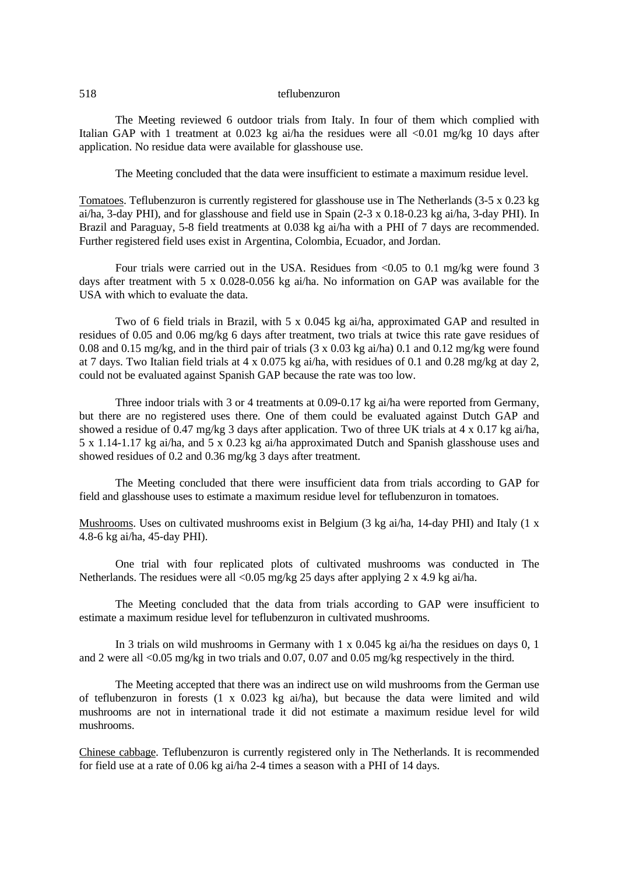The Meeting reviewed 6 outdoor trials from Italy. In four of them which complied with Italian GAP with 1 treatment at 0.023 kg ai/ha the residues were all <0.01 mg/kg 10 days after application. No residue data were available for glasshouse use.

The Meeting concluded that the data were insufficient to estimate a maximum residue level.

Tomatoes. Teflubenzuron is currently registered for glasshouse use in The Netherlands (3-5 x 0.23 kg ai/ha, 3-day PHI), and for glasshouse and field use in Spain (2-3 x 0.18-0.23 kg ai/ha, 3-day PHI). In Brazil and Paraguay, 5-8 field treatments at 0.038 kg ai/ha with a PHI of 7 days are recommended. Further registered field uses exist in Argentina, Colombia, Ecuador, and Jordan.

Four trials were carried out in the USA. Residues from <0.05 to 0.1 mg/kg were found 3 days after treatment with 5 x 0.028-0.056 kg ai/ha. No information on GAP was available for the USA with which to evaluate the data.

Two of 6 field trials in Brazil, with 5 x 0.045 kg ai/ha, approximated GAP and resulted in residues of 0.05 and 0.06 mg/kg 6 days after treatment, two trials at twice this rate gave residues of 0.08 and 0.15 mg/kg, and in the third pair of trials (3 x 0.03 kg ai/ha) 0.1 and 0.12 mg/kg were found at 7 days. Two Italian field trials at 4 x 0.075 kg ai/ha, with residues of 0.1 and 0.28 mg/kg at day 2, could not be evaluated against Spanish GAP because the rate was too low.

Three indoor trials with 3 or 4 treatments at 0.09-0.17 kg ai/ha were reported from Germany, but there are no registered uses there. One of them could be evaluated against Dutch GAP and showed a residue of 0.47 mg/kg 3 days after application. Two of three UK trials at 4 x 0.17 kg ai/ha, 5 x 1.14-1.17 kg ai/ha, and 5 x 0.23 kg ai/ha approximated Dutch and Spanish glasshouse uses and showed residues of 0.2 and 0.36 mg/kg 3 days after treatment.

The Meeting concluded that there were insufficient data from trials according to GAP for field and glasshouse uses to estimate a maximum residue level for teflubenzuron in tomatoes.

Mushrooms. Uses on cultivated mushrooms exist in Belgium (3 kg ai/ha, 14-day PHI) and Italy (1 x 4.8-6 kg ai/ha, 45-day PHI).

One trial with four replicated plots of cultivated mushrooms was conducted in The Netherlands. The residues were all <0.05 mg/kg 25 days after applying 2 x 4.9 kg ai/ha.

The Meeting concluded that the data from trials according to GAP were insufficient to estimate a maximum residue level for teflubenzuron in cultivated mushrooms.

In 3 trials on wild mushrooms in Germany with 1 x 0.045 kg ai/ha the residues on days 0, 1 and 2 were all <0.05 mg/kg in two trials and 0.07, 0.07 and 0.05 mg/kg respectively in the third.

The Meeting accepted that there was an indirect use on wild mushrooms from the German use of teflubenzuron in forests (1 x 0.023 kg ai/ha), but because the data were limited and wild mushrooms are not in international trade it did not estimate a maximum residue level for wild mushrooms.

Chinese cabbage. Teflubenzuron is currently registered only in The Netherlands. It is recommended for field use at a rate of 0.06 kg ai/ha 2-4 times a season with a PHI of 14 days.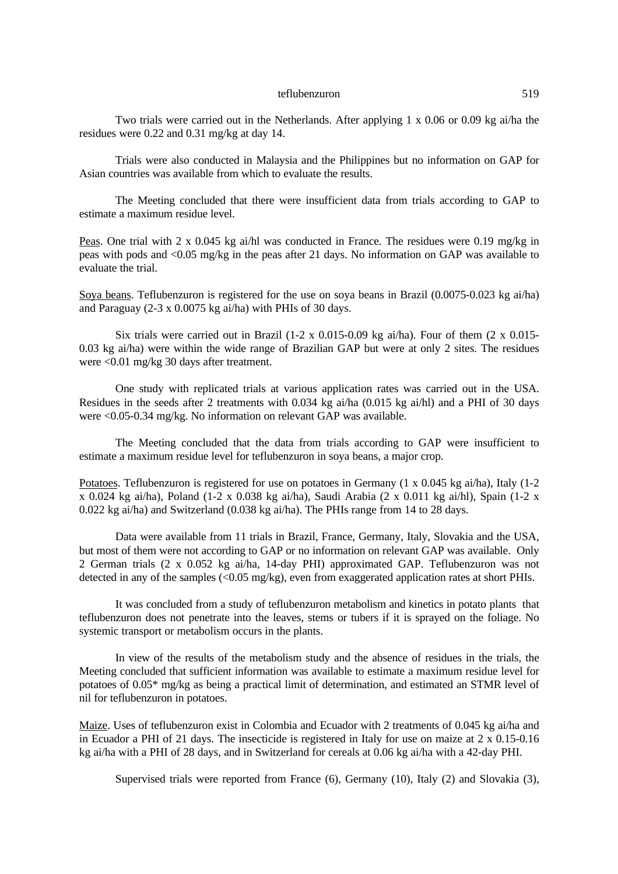Two trials were carried out in the Netherlands. After applying  $1 \times 0.06$  or 0.09 kg ai/ha the residues were 0.22 and 0.31 mg/kg at day 14.

Trials were also conducted in Malaysia and the Philippines but no information on GAP for Asian countries was available from which to evaluate the results.

The Meeting concluded that there were insufficient data from trials according to GAP to estimate a maximum residue level.

Peas. One trial with 2 x 0.045 kg ai/hl was conducted in France. The residues were 0.19 mg/kg in peas with pods and <0.05 mg/kg in the peas after 21 days. No information on GAP was available to evaluate the trial.

Soya beans. Teflubenzuron is registered for the use on soya beans in Brazil (0.0075-0.023 kg ai/ha) and Paraguay (2-3 x 0.0075 kg ai/ha) with PHIs of 30 days.

Six trials were carried out in Brazil (1-2 x 0.015-0.09 kg ai/ha). Four of them  $(2 \times 0.015$ -0.03 kg ai/ha) were within the wide range of Brazilian GAP but were at only 2 sites. The residues were <0.01 mg/kg 30 days after treatment.

One study with replicated trials at various application rates was carried out in the USA. Residues in the seeds after 2 treatments with 0.034 kg ai/ha (0.015 kg ai/hl) and a PHI of 30 days were <0.05-0.34 mg/kg. No information on relevant GAP was available.

The Meeting concluded that the data from trials according to GAP were insufficient to estimate a maximum residue level for teflubenzuron in soya beans, a major crop.

Potatoes. Teflubenzuron is registered for use on potatoes in Germany (1 x 0.045 kg ai/ha), Italy (1-2 x 0.024 kg ai/ha), Poland (1-2 x 0.038 kg ai/ha), Saudi Arabia (2 x 0.011 kg ai/hl), Spain (1-2 x 0.022 kg ai/ha) and Switzerland (0.038 kg ai/ha). The PHIs range from 14 to 28 days.

Data were available from 11 trials in Brazil, France, Germany, Italy, Slovakia and the USA, but most of them were not according to GAP or no information on relevant GAP was available. Only 2 German trials (2 x 0.052 kg ai/ha, 14-day PHI) approximated GAP. Teflubenzuron was not detected in any of the samples  $\langle 0.05 \text{ mg/kg} \rangle$ , even from exaggerated application rates at short PHIs.

It was concluded from a study of teflubenzuron metabolism and kinetics in potato plants that teflubenzuron does not penetrate into the leaves, stems or tubers if it is sprayed on the foliage. No systemic transport or metabolism occurs in the plants.

In view of the results of the metabolism study and the absence of residues in the trials, the Meeting concluded that sufficient information was available to estimate a maximum residue level for potatoes of 0.05\* mg/kg as being a practical limit of determination, and estimated an STMR level of nil for teflubenzuron in potatoes.

Maize. Uses of teflubenzuron exist in Colombia and Ecuador with 2 treatments of 0.045 kg ai/ha and in Ecuador a PHI of 21 days. The insecticide is registered in Italy for use on maize at 2 x 0.15-0.16 kg ai/ha with a PHI of 28 days, and in Switzerland for cereals at 0.06 kg ai/ha with a 42-day PHI.

Supervised trials were reported from France (6), Germany (10), Italy (2) and Slovakia (3),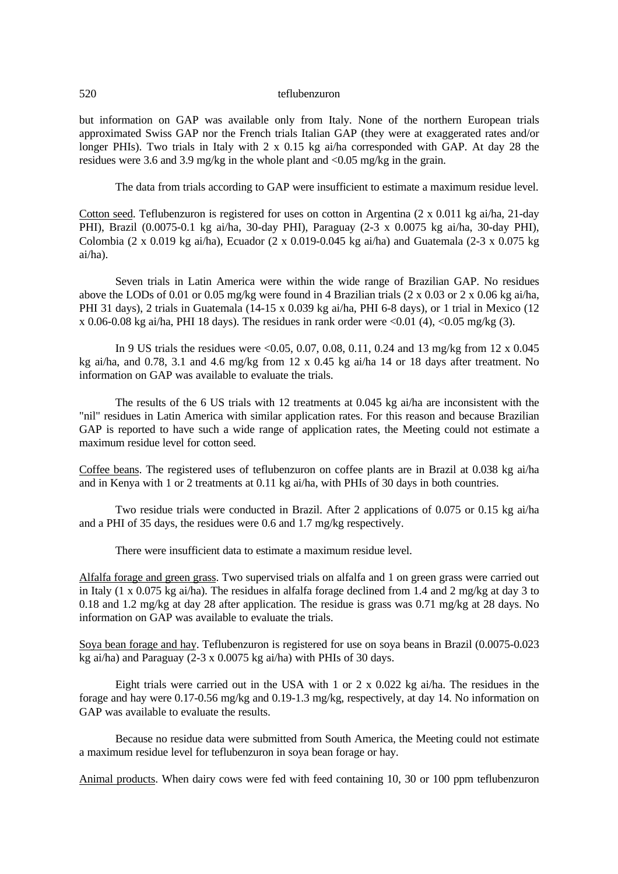but information on GAP was available only from Italy. None of the northern European trials approximated Swiss GAP nor the French trials Italian GAP (they were at exaggerated rates and/or longer PHIs). Two trials in Italy with 2 x 0.15 kg ai/ha corresponded with GAP. At day 28 the residues were 3.6 and 3.9 mg/kg in the whole plant and <0.05 mg/kg in the grain.

The data from trials according to GAP were insufficient to estimate a maximum residue level.

Cotton seed. Teflubenzuron is registered for uses on cotton in Argentina (2 x 0.011 kg ai/ha, 21-day PHI), Brazil (0.0075-0.1 kg ai/ha, 30-day PHI), Paraguay (2-3 x 0.0075 kg ai/ha, 30-day PHI), Colombia (2 x 0.019 kg ai/ha), Ecuador (2 x 0.019-0.045 kg ai/ha) and Guatemala (2-3 x 0.075 kg ai/ha).

Seven trials in Latin America were within the wide range of Brazilian GAP. No residues above the LODs of 0.01 or 0.05 mg/kg were found in 4 Brazilian trials (2 x 0.03 or 2 x 0.06 kg ai/ha, PHI 31 days), 2 trials in Guatemala (14-15 x 0.039 kg ai/ha, PHI 6-8 days), or 1 trial in Mexico (12 x 0.06-0.08 kg ai/ha, PHI 18 days). The residues in rank order were  $\leq 0.01$  (4),  $\leq 0.05$  mg/kg (3).

In 9 US trials the residues were  $\langle 0.05, 0.07, 0.08, 0.11, 0.24 \rangle$  and 13 mg/kg from 12 x 0.045 kg ai/ha, and 0.78, 3.1 and 4.6 mg/kg from 12 x 0.45 kg ai/ha 14 or 18 days after treatment. No information on GAP was available to evaluate the trials.

The results of the 6 US trials with 12 treatments at 0.045 kg ai/ha are inconsistent with the "nil" residues in Latin America with similar application rates. For this reason and because Brazilian GAP is reported to have such a wide range of application rates, the Meeting could not estimate a maximum residue level for cotton seed.

Coffee beans. The registered uses of teflubenzuron on coffee plants are in Brazil at 0.038 kg ai/ha and in Kenya with 1 or 2 treatments at 0.11 kg ai/ha, with PHIs of 30 days in both countries.

Two residue trials were conducted in Brazil. After 2 applications of 0.075 or 0.15 kg ai/ha and a PHI of 35 days, the residues were 0.6 and 1.7 mg/kg respectively.

There were insufficient data to estimate a maximum residue level.

Alfalfa forage and green grass. Two supervised trials on alfalfa and 1 on green grass were carried out in Italy (1 x 0.075 kg ai/ha). The residues in alfalfa forage declined from 1.4 and 2 mg/kg at day 3 to 0.18 and 1.2 mg/kg at day 28 after application. The residue is grass was 0.71 mg/kg at 28 days. No information on GAP was available to evaluate the trials.

Soya bean forage and hay. Teflubenzuron is registered for use on soya beans in Brazil (0.0075-0.023 kg ai/ha) and Paraguay (2-3 x 0.0075 kg ai/ha) with PHIs of 30 days.

Eight trials were carried out in the USA with 1 or 2 x 0.022 kg ai/ha. The residues in the forage and hay were 0.17-0.56 mg/kg and 0.19-1.3 mg/kg, respectively, at day 14. No information on GAP was available to evaluate the results.

Because no residue data were submitted from South America, the Meeting could not estimate a maximum residue level for teflubenzuron in soya bean forage or hay.

Animal products. When dairy cows were fed with feed containing 10, 30 or 100 ppm teflubenzuron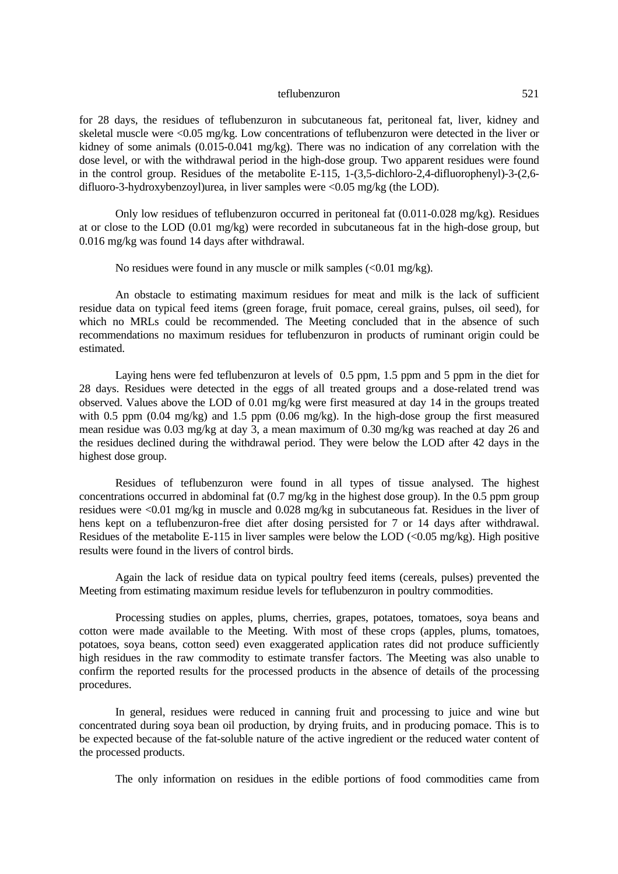for 28 days, the residues of teflubenzuron in subcutaneous fat, peritoneal fat, liver, kidney and skeletal muscle were <0.05 mg/kg. Low concentrations of teflubenzuron were detected in the liver or kidney of some animals (0.015-0.041 mg/kg). There was no indication of any correlation with the dose level, or with the withdrawal period in the high-dose group. Two apparent residues were found in the control group. Residues of the metabolite E-115, 1-(3,5-dichloro-2,4-difluorophenyl)-3-(2,6 difluoro-3-hydroxybenzoyl)urea, in liver samples were  $\langle 0.05 \text{ mg/kg}$  (the LOD).

Only low residues of teflubenzuron occurred in peritoneal fat (0.011-0.028 mg/kg). Residues at or close to the LOD (0.01 mg/kg) were recorded in subcutaneous fat in the high-dose group, but 0.016 mg/kg was found 14 days after withdrawal.

No residues were found in any muscle or milk samples  $\langle 0.01 \text{ mg/kg} \rangle$ .

An obstacle to estimating maximum residues for meat and milk is the lack of sufficient residue data on typical feed items (green forage, fruit pomace, cereal grains, pulses, oil seed), for which no MRLs could be recommended. The Meeting concluded that in the absence of such recommendations no maximum residues for teflubenzuron in products of ruminant origin could be estimated.

Laying hens were fed teflubenzuron at levels of 0.5 ppm, 1.5 ppm and 5 ppm in the diet for 28 days. Residues were detected in the eggs of all treated groups and a dose-related trend was observed. Values above the LOD of 0.01 mg/kg were first measured at day 14 in the groups treated with 0.5 ppm  $(0.04 \text{ mg/kg})$  and 1.5 ppm  $(0.06 \text{ mg/kg})$ . In the high-dose group the first measured mean residue was 0.03 mg/kg at day 3, a mean maximum of 0.30 mg/kg was reached at day 26 and the residues declined during the withdrawal period. They were below the LOD after 42 days in the highest dose group.

Residues of teflubenzuron were found in all types of tissue analysed. The highest concentrations occurred in abdominal fat (0.7 mg/kg in the highest dose group). In the 0.5 ppm group residues were <0.01 mg/kg in muscle and 0.028 mg/kg in subcutaneous fat. Residues in the liver of hens kept on a teflubenzuron-free diet after dosing persisted for 7 or 14 days after withdrawal. Residues of the metabolite E-115 in liver samples were below the LOD (<0.05 mg/kg). High positive results were found in the livers of control birds.

Again the lack of residue data on typical poultry feed items (cereals, pulses) prevented the Meeting from estimating maximum residue levels for teflubenzuron in poultry commodities.

Processing studies on apples, plums, cherries, grapes, potatoes, tomatoes, soya beans and cotton were made available to the Meeting. With most of these crops (apples, plums, tomatoes, potatoes, soya beans, cotton seed) even exaggerated application rates did not produce sufficiently high residues in the raw commodity to estimate transfer factors. The Meeting was also unable to confirm the reported results for the processed products in the absence of details of the processing procedures.

In general, residues were reduced in canning fruit and processing to juice and wine but concentrated during soya bean oil production, by drying fruits, and in producing pomace. This is to be expected because of the fat-soluble nature of the active ingredient or the reduced water content of the processed products.

The only information on residues in the edible portions of food commodities came from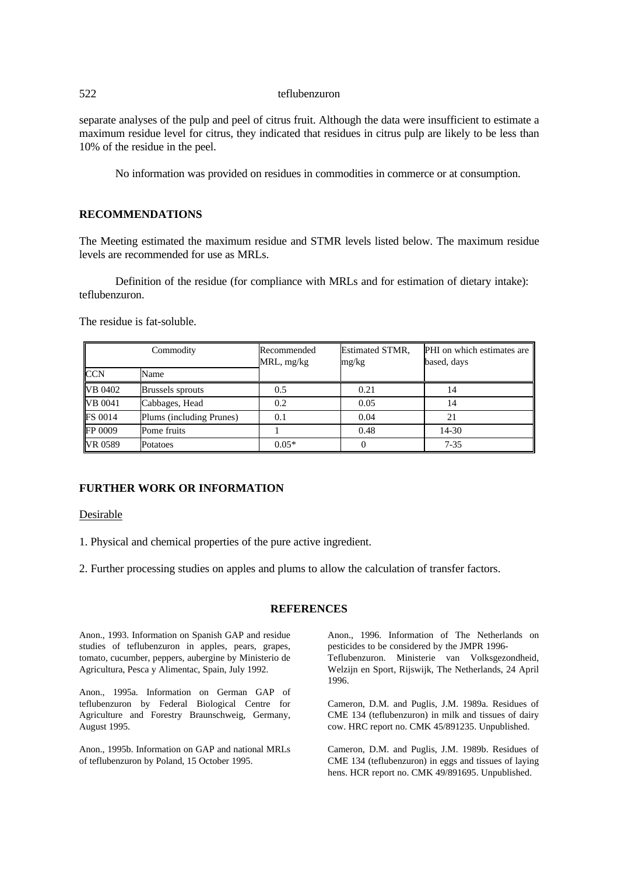separate analyses of the pulp and peel of citrus fruit. Although the data were insufficient to estimate a maximum residue level for citrus, they indicated that residues in citrus pulp are likely to be less than 10% of the residue in the peel.

No information was provided on residues in commodities in commerce or at consumption.

# **RECOMMENDATIONS**

The Meeting estimated the maximum residue and STMR levels listed below. The maximum residue levels are recommended for use as MRLs.

Definition of the residue (for compliance with MRLs and for estimation of dietary intake): teflubenzuron.

The residue is fat-soluble.

| Commodity      |                          | Recommended<br>$MRL$ , mg/kg | <b>Estimated STMR,</b><br>mg/kg | PHI on which estimates are<br>based, days |
|----------------|--------------------------|------------------------------|---------------------------------|-------------------------------------------|
| <b>CCN</b>     | Name                     |                              |                                 |                                           |
| VB 0402        | Brussels sprouts         | 0.5                          | 0.21                            | 14                                        |
| <b>VB</b> 0041 | Cabbages, Head           | 0.2                          | 0.05                            | 14                                        |
| <b>FS 0014</b> | Plums (including Prunes) | 0.1                          | 0.04                            |                                           |
| FP 0009        | Pome fruits              |                              | 0.48                            | 14-30                                     |
| VR 0589        | Potatoes                 | $0.05*$                      |                                 | $7 - 35$                                  |

# **FURTHER WORK OR INFORMATION**

Desirable

1. Physical and chemical properties of the pure active ingredient.

2. Further processing studies on apples and plums to allow the calculation of transfer factors.

## **REFERENCES**

Anon., 1993. Information on Spanish GAP and residue studies of teflubenzuron in apples, pears, grapes, tomato, cucumber, peppers, aubergine by Ministerio de Agricultura, Pesca y Alimentac, Spain, July 1992.

Anon., 1995a. Information on German GAP of teflubenzuron by Federal Biological Centre for Agriculture and Forestry Braunschweig, Germany, August 1995.

Anon., 1995b. Information on GAP and national MRLs of teflubenzuron by Poland, 15 October 1995.

Anon., 1996. Information of The Netherlands on pesticides to be considered by the JMPR 1996- Teflubenzuron. Ministerie van Volksgezondheid, Welzijn en Sport, Rijswijk, The Netherlands, 24 April 1996.

Cameron, D.M. and Puglis, J.M. 1989a. Residues of CME 134 (teflubenzuron) in milk and tissues of dairy cow. HRC report no. CMK 45/891235. Unpublished.

Cameron, D.M. and Puglis, J.M. 1989b. Residues of CME 134 (teflubenzuron) in eggs and tissues of laying hens. HCR report no. CMK 49/891695. Unpublished.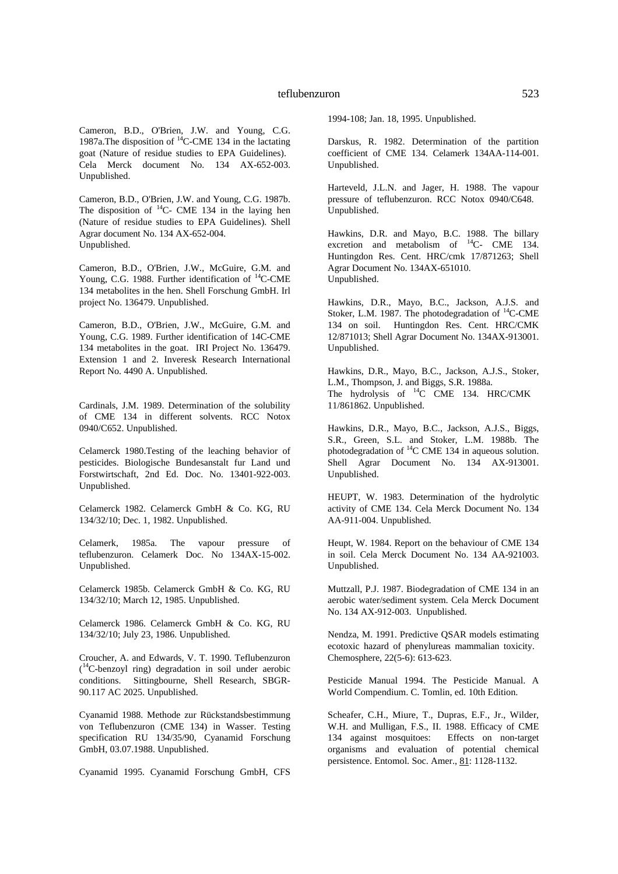Cameron, B.D., O'Brien, J.W. and Young, C.G. 1987a.The disposition of <sup>14</sup>C-CME 134 in the lactating goat (Nature of residue studies to EPA Guidelines). Cela Merck document No. 134 AX-652-003. Unpublished.

Cameron, B.D., O'Brien, J.W. and Young, C.G. 1987b. The disposition of  $^{14}$ C- CME 134 in the laying hen (Nature of residue studies to EPA Guidelines). Shell Agrar document No. 134 AX-652-004. Unpublished.

Cameron, B.D., O'Brien, J.W., McGuire, G.M. and Young, C.G. 1988. Further identification of <sup>14</sup>C-CME 134 metabolites in the hen. Shell Forschung GmbH. Irl project No. 136479. Unpublished.

Cameron, B.D., O'Brien, J.W., McGuire, G.M. and Young, C.G. 1989. Further identification of 14C-CME 134 metabolites in the goat. IRI Project No. 136479. Extension 1 and 2. Inveresk Research International Report No. 4490 A. Unpublished.

Cardinals, J.M. 1989. Determination of the solubility of CME 134 in different solvents. RCC Notox 0940/C652. Unpublished.

Celamerck 1980.Testing of the leaching behavior of pesticides. Biologische Bundesanstalt fur Land und Forstwirtschaft, 2nd Ed. Doc. No. 13401-922-003. Unpublished.

Celamerck 1982. Celamerck GmbH & Co. KG, RU 134/32/10; Dec. 1, 1982. Unpublished.

Celamerk, 1985a. The vapour pressure of teflubenzuron. Celamerk Doc. No 134AX-15-002. Unpublished.

Celamerck 1985b. Celamerck GmbH & Co. KG, RU 134/32/10; March 12, 1985. Unpublished.

Celamerck 1986. Celamerck GmbH & Co. KG, RU 134/32/10; July 23, 1986. Unpublished.

Croucher, A. and Edwards, V. T. 1990. Teflubenzuron ( <sup>14</sup>C-benzoyl ring) degradation in soil under aerobic conditions. Sittingbourne, Shell Research, SBGR-90.117 AC 2025. Unpublished.

Cyanamid 1988. Methode zur Rückstandsbestimmung von Teflubenzuron (CME 134) in Wasser. Testing specification RU 134/35/90, Cyanamid Forschung GmbH, 03.07.1988. Unpublished.

Cyanamid 1995. Cyanamid Forschung GmbH, CFS

1994-108; Jan. 18, 1995. Unpublished.

Darskus, R. 1982. Determination of the partition coefficient of CME 134. Celamerk 134AA-114-001. Unpublished.

Harteveld, J.L.N. and Jager, H. 1988. The vapour pressure of teflubenzuron. RCC Notox 0940/C648. Unpublished.

Hawkins, D.R. and Mayo, B.C. 1988. The billary excretion and metabolism of  $^{14}$ C- CME 134. Huntingdon Res. Cent. HRC/cmk 17/871263; Shell Agrar Document No. 134AX-651010. Unpublished.

Hawkins, D.R., Mayo, B.C., Jackson, A.J.S. and Stoker, L.M. 1987. The photodegradation of  $^{14}$ C-CME 134 on soil. Huntingdon Res. Cent. HRC/CMK 12/871013; Shell Agrar Document No. 134AX-913001. Unpublished.

Hawkins, D.R., Mayo, B.C., Jackson, A.J.S., Stoker, L.M., Thompson, J. and Biggs, S.R. 1988a. The hydrolysis of  ${}^{14}$ C CME 134. HRC/CMK 11/861862. Unpublished.

Hawkins, D.R., Mayo, B.C., Jackson, A.J.S., Biggs, S.R., Green, S.L. and Stoker, L.M. 1988b. The photodegradation of  ${}^{14}$ C CME 134 in aqueous solution. Shell Agrar Document No. 134 AX-913001. Unpublished.

HEUPT, W. 1983. Determination of the hydrolytic activity of CME 134. Cela Merck Document No. 134 AA-911-004. Unpublished.

Heupt, W. 1984. Report on the behaviour of CME 134 in soil. Cela Merck Document No. 134 AA-921003. Unpublished.

Muttzall, P.J. 1987. Biodegradation of CME 134 in an aerobic water/sediment system. Cela Merck Document No. 134 AX-912-003. Unpublished.

Nendza, M. 1991. Predictive QSAR models estimating ecotoxic hazard of phenylureas mammalian toxicity. Chemosphere, 22(5-6): 613-623.

Pesticide Manual 1994. The Pesticide Manual. A World Compendium. C. Tomlin, ed. 10th Edition.

Scheafer, C.H., Miure, T., Dupras, E.F., Jr., Wilder, W.H. and Mulligan, F.S., II. 1988. Efficacy of CME 134 against mosquitoes: Effects on non-target organisms and evaluation of potential chemical persistence. Entomol. Soc. Amer., 81: 1128-1132.